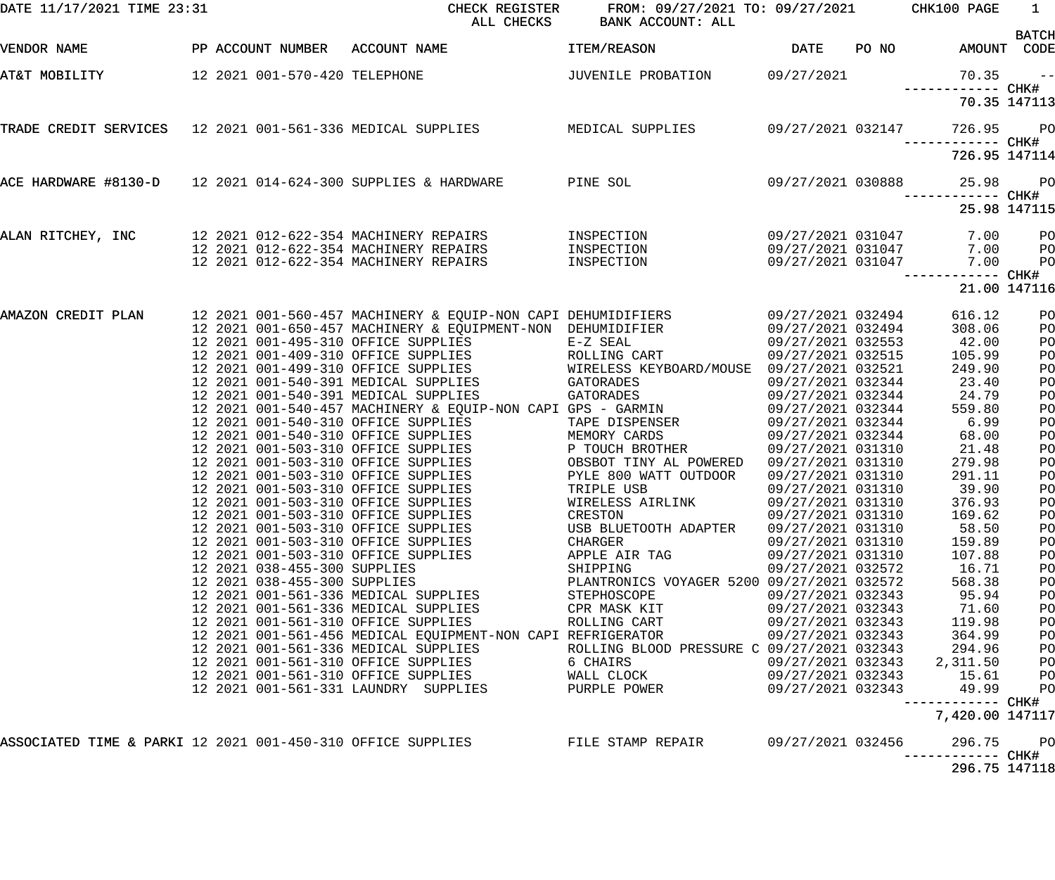| DATE 11/17/2021 TIME 23:31 |                                                                      | CHECK REGISTER<br>ALL CHECKS                                                                    | FROM: 09/27/2021 TO: 09/27/2021 CHK100 PAGE<br>BANK ACCOUNT: ALL |                                        |       |                            | 1              |
|----------------------------|----------------------------------------------------------------------|-------------------------------------------------------------------------------------------------|------------------------------------------------------------------|----------------------------------------|-------|----------------------------|----------------|
| VENDOR NAME                | PP ACCOUNT NUMBER ACCOUNT NAME                                       |                                                                                                 | ITEM/REASON                                                      | <b>DATE</b>                            | PO NO | AMOUNT CODE                | <b>BATCH</b>   |
| AT&T MOBILITY              |                                                                      | 12 2021 001-570-420 TELEPHONE                                                                   | JUVENILE PROBATION 09/27/2021                                    |                                        |       | 70.35                      | $ -$           |
|                            |                                                                      |                                                                                                 |                                                                  |                                        |       | 70.35 147113               |                |
|                            |                                                                      | TRADE CREDIT SERVICES 12 2021 001-561-336 MEDICAL SUPPLIES MEDICAL SUPPLIES 09/27/2021 032147   |                                                                  |                                        |       | 726.95                     | <b>PO</b>      |
|                            |                                                                      |                                                                                                 |                                                                  |                                        |       | 726.95 147114              |                |
|                            |                                                                      | ACE HARDWARE #8130-D 12 2021 014-624-300 SUPPLIES & HARDWARE PINE SOL                           |                                                                  | 09/27/2021 030888                      |       | 25.98                      | <b>PO</b>      |
|                            |                                                                      |                                                                                                 |                                                                  |                                        |       | 25.98 147115               |                |
|                            |                                                                      | ALAN RITCHEY, INC 32021 012-622-354 MACHINERY REPAIRS                                           | INSPECTION                                                       | 09/27/2021 031047                      |       | 7.00                       | P <sub>O</sub> |
|                            | 12 2021 012-622-354 MACHINERY REPAIRS                                |                                                                                                 | INSPECTION<br>INSPECTION                                         | 09/27/2021 031047<br>09/27/2021 031047 |       | 7.00<br>7.00               | PO<br>PO       |
|                            |                                                                      |                                                                                                 |                                                                  |                                        |       | ------------ CHK#          |                |
|                            |                                                                      |                                                                                                 |                                                                  |                                        |       | 21.00 147116               |                |
| AMAZON CREDIT PLAN         |                                                                      | 12 2021 001-560-457 MACHINERY & EQUIP-NON CAPI DEHUMIDIFIERS                                    |                                                                  | 09/27/2021 032494                      |       | 616.12                     | PO             |
|                            |                                                                      | 12 2021 001-650-457 MACHINERY & EQUIPMENT-NON DEHUMIDIFIER                                      |                                                                  | 09/27/2021 032494                      |       | 308.06                     | PO             |
|                            | 12 2021 001-495-310 OFFICE SUPPLIES                                  |                                                                                                 | E-Z SEAL                                                         | 09/27/2021 032553                      |       | 42.00                      | PO             |
|                            |                                                                      | 12  2021  001-409-310  OFFICE  SUPPLIES<br>12  2021  001-499-310  OFFICE  SUPPLIES              | ROLLING CART                                                     | 09/27/2021 032515                      |       | 105.99                     | PO             |
|                            | 12 2021 001-540-391 MEDICAL SUPPLIES                                 |                                                                                                 | WIRELESS KEYBOARD/MOUSE 09/27/2021 032521<br>GATORADES           | 09/27/2021 032344                      |       | 249.90<br>23.40            | PO             |
|                            | 12 2021 001-540-391 MEDICAL SUPPLIES                                 |                                                                                                 | GATORADES                                                        | 09/27/2021 032344                      |       | 24.79                      | PO<br>PO       |
|                            |                                                                      | 12 2021 001-540-457 MACHINERY & EQUIP-NON CAPI GPS - GARMIN                                     |                                                                  | 09/27/2021 032344                      |       | 559.80                     | PO             |
|                            | 12 2021 001-540-310 OFFICE SUPPLIES                                  |                                                                                                 | TAPE DISPENSER                                                   | 09/27/2021 032344                      |       | 6.99                       | PO             |
|                            | 12 2021 001-540-310 OFFICE SUPPLIES                                  |                                                                                                 | MEMORY CARDS                                                     | 09/27/2021 032344                      |       | 68.00                      | PO             |
|                            | 12 2021 001-503-310 OFFICE SUPPLIES                                  |                                                                                                 | P TOUCH BROTHER                                                  | 09/27/2021 031310                      |       | 21.48                      | PO             |
|                            | 12 2021 001-503-310 OFFICE SUPPLIES                                  |                                                                                                 | OBSBOT TINY AL POWERED                                           | 09/27/2021 031310                      |       | 279.98                     | PO             |
|                            | 12 2021 001-503-310 OFFICE SUPPLIES                                  |                                                                                                 | PYLE 800 WATT OUTDOOR                                            | 09/27/2021 031310                      |       | 291.11                     | PO             |
|                            | 12 2021 001-503-310 OFFICE SUPPLIES                                  |                                                                                                 | TRIPLE USB                                                       | 09/27/2021 031310                      |       | 39.90                      | PO             |
|                            | 12 2021 001-503-310 OFFICE SUPPLIES                                  |                                                                                                 | WIRELESS AIRLINK                                                 | 09/27/2021 031310                      |       | 376.93                     | PO             |
|                            | 12 2021 001-503-310 OFFICE SUPPLIES                                  |                                                                                                 | CRESTON                                                          | 09/27/2021 031310                      |       | 169.62                     | PO             |
|                            | 12 2021 001-503-310 OFFICE SUPPLIES                                  |                                                                                                 | USB BLUETOOTH ADAPTER                                            | 09/27/2021 031310                      |       | 58.50                      | PO             |
|                            | 12 2021 001-503-310 OFFICE SUPPLIES                                  |                                                                                                 | CHARGER                                                          | 09/27/2021 031310                      |       | 159.89                     | PO             |
|                            | 12 2021 001-503-310 OFFICE SUPPLIES                                  |                                                                                                 | APPLE AIR TAG                                                    | 09/27/2021 031310                      |       | 107.88                     | PO             |
|                            | 12 2021 038-455-300 SUPPLIES                                         |                                                                                                 | SHIPPING                                                         | 09/27/2021 032572                      |       | 16.71                      | PO             |
|                            | 12 2021 038-455-300 SUPPLIES<br>12 2021 001-561-336 MEDICAL SUPPLIES |                                                                                                 | PLANTRONICS VOYAGER 5200 09/27/2021 032572<br>STEPHOSCOPE        | 09/27/2021 032343                      |       | 568.38<br>95.94            | PO             |
|                            | 12 2021 001-561-336 MEDICAL SUPPLIES                                 |                                                                                                 | CPR MASK KIT                                                     | 09/27/2021 032343                      |       | 71.60                      | PO<br>PO       |
|                            | 12 2021 001-561-310 OFFICE SUPPLIES                                  |                                                                                                 | ROLLING CART                                                     | 09/27/2021 032343                      |       | 119.98                     | PO             |
|                            |                                                                      | 12 2021 001-561-456 MEDICAL EQUIPMENT-NON CAPI REFRIGERATOR                                     |                                                                  | 09/27/2021 032343                      |       | 364.99                     | PO             |
|                            | 12 2021 001-561-336 MEDICAL SUPPLIES                                 |                                                                                                 | ROLLING BLOOD PRESSURE C 09/27/2021 032343                       |                                        |       | 294.96                     | PO             |
|                            |                                                                      | 12 2021 001-561-310 OFFICE SUPPLIES                                                             | 6 CHAIRS                                                         |                                        |       | 09/27/2021 032343 2,311.50 | PО             |
|                            |                                                                      | 12 2021 001-561-310 OFFICE SUPPLIES                                                             | WALL CLOCK                                                       | 09/27/2021 032343                      |       | 15.61                      | PО             |
|                            |                                                                      | 12 2021 001-561-331 LAUNDRY SUPPLIES                                                            | PURPLE POWER                                                     | 09/27/2021 032343                      |       | 49.99                      | P <sub>O</sub> |
|                            |                                                                      |                                                                                                 |                                                                  |                                        |       | 7,420.00 147117            |                |
|                            |                                                                      | ASSOCIATED TIME & PARKI 12 2021 001-450-310 OFFICE SUPPLIES FILE STAMP REPAIR 69/27/2021 032456 |                                                                  |                                        |       | 296.75                     | <b>PO</b>      |
|                            |                                                                      |                                                                                                 |                                                                  |                                        |       | 296.75 147118              |                |
|                            |                                                                      |                                                                                                 |                                                                  |                                        |       |                            |                |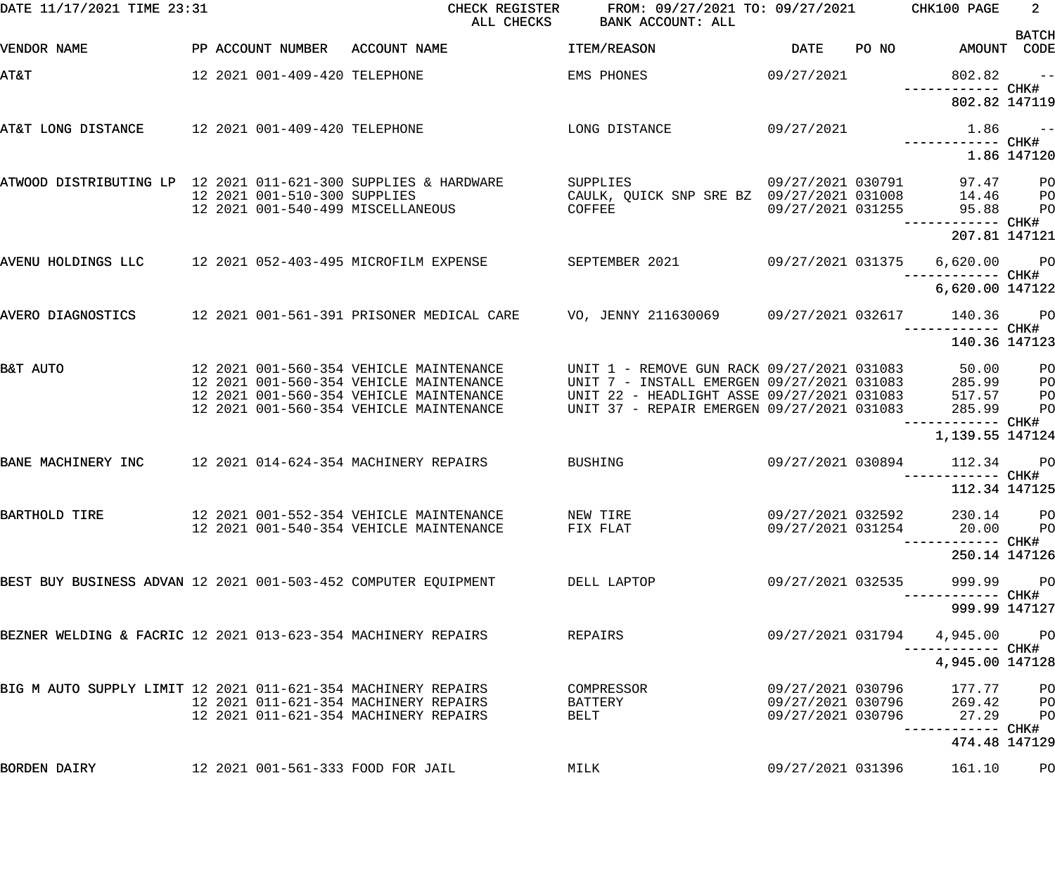| DATE 11/17/2021 TIME 23:31                                     |  | ALL CHECKS                    | CHECK REGISTER<br>FROM: 09/27/2021 TO: 09/27/2021 CHK100 PAGE<br>BANK ACCOUNT: ALL                        |                                                                                                       |                   | $2^{\circ}$ |                                                 |                                  |
|----------------------------------------------------------------|--|-------------------------------|-----------------------------------------------------------------------------------------------------------|-------------------------------------------------------------------------------------------------------|-------------------|-------------|-------------------------------------------------|----------------------------------|
| VENDOR NAME                                                    |  |                               | PP ACCOUNT NUMBER ACCOUNT NAME                                                                            | ITEM/REASON                                                                                           | DATE              |             | PO NO AMOUNT CODE                               | <b>BATCH</b>                     |
| <b>AT&amp;T</b>                                                |  | 12 2021 001-409-420 TELEPHONE |                                                                                                           | EMS PHONES                                                                                            | 09/27/2021        |             | $802.82 - -$                                    |                                  |
|                                                                |  |                               |                                                                                                           |                                                                                                       |                   |             | 802.82 147119                                   |                                  |
| AT&T LONG DISTANCE 12 2021 001-409-420 TELEPHONE               |  |                               |                                                                                                           | LONG DISTANCE                                                                                         | 09/27/2021        |             | $1.86$ ------------ CHK#                        |                                  |
|                                                                |  |                               |                                                                                                           |                                                                                                       |                   |             |                                                 | 1.86 147120                      |
| ATWOOD DISTRIBUTING LP 12 2021 011-621-300 SUPPLIES & HARDWARE |  | 12 2021 001-510-300 SUPPLIES  |                                                                                                           | SUPPLIES<br>CAULK, QUICK SNP SRE BZ 09/27/2021 031008                                                 | 09/27/2021 030791 |             | 97.47 PO<br>14.46                               | $P$ O                            |
|                                                                |  |                               | 12 2021 001-540-499 MISCELLANEOUS                                                                         | COFFEE                                                                                                |                   |             | 09/27/2021 031255 95.88<br>------------ CHK#    | P <sub>O</sub>                   |
|                                                                |  |                               |                                                                                                           |                                                                                                       |                   |             | 207.81 147121                                   |                                  |
| AVENU HOLDINGS LLC 12 2021 052-403-495 MICROFILM EXPENSE       |  |                               |                                                                                                           | SEPTEMBER 2021                                                                                        | 09/27/2021 031375 |             | 6,620.00 PO<br>------------ CHK#                |                                  |
|                                                                |  |                               |                                                                                                           |                                                                                                       |                   |             | 6,620.00 147122                                 |                                  |
| AVERO DIAGNOSTICS                                              |  |                               | 12 2021 001-561-391 PRISONER MEDICAL CARE        VO, JENNY 211630069       09/27/2021 032617       140.36 |                                                                                                       |                   |             | ------------ CHK#                               | <b>PO</b>                        |
|                                                                |  |                               |                                                                                                           |                                                                                                       |                   |             | 140.36 147123                                   |                                  |
| B&T AUTO                                                       |  |                               | 12 2021 001-560-354 VEHICLE MAINTENANCE<br>12 2021 001-560-354 VEHICLE MAINTENANCE                        | UNIT 1 - REMOVE GUN RACK 09/27/2021 031083 50.00<br>UNIT 7 - INSTALL EMERGEN 09/27/2021 031083 285.99 |                   |             |                                                 | P <sub>O</sub><br>P <sub>O</sub> |
|                                                                |  |                               | 12 2021 001-560-354 VEHICLE MAINTENANCE<br>12 2021 001-560-354 VEHICLE MAINTENANCE                        | UNIT 22 - HEADLIGHT ASSE 09/27/2021 031083<br>UNIT 37 - REPAIR EMERGEN 09/27/2021 031083              |                   |             | 517.57<br>285.99                                | PO<br>PO                         |
|                                                                |  |                               |                                                                                                           |                                                                                                       |                   |             | ------------ CHK#<br>1,139.55 147124            |                                  |
| BANE MACHINERY INC                                             |  |                               | 12 2021 014-624-354 MACHINERY REPAIRS                                                                     | <b>BUSHING</b>                                                                                        | 09/27/2021 030894 |             | 112.34                                          | PO <sub>1</sub>                  |
|                                                                |  |                               |                                                                                                           |                                                                                                       |                   |             | ------------ CHK#<br>112.34 147125              |                                  |
| BARTHOLD TIRE                                                  |  |                               | 12 2021 001-552-354 VEHICLE MAINTENANCE                                                                   | NEW TIRE                                                                                              | 09/27/2021 032592 |             | 230.14                                          | P <sub>O</sub>                   |
|                                                                |  |                               | 12 2021 001-540-354 VEHICLE MAINTENANCE                                                                   | FIX FLAT                                                                                              | 09/27/2021 031254 |             | 20.00                                           | P <sub>O</sub>                   |
|                                                                |  |                               |                                                                                                           |                                                                                                       |                   |             | 250.14 147126                                   |                                  |
| BEST BUY BUSINESS ADVAN 12 2021 001-503-452 COMPUTER EQUIPMENT |  |                               |                                                                                                           | DELL LAPTOP                                                                                           | 09/27/2021 032535 |             | 999.99                                          | P <sub>O</sub>                   |
| BEZNER WELDING & FACRIC 12 2021 013-623-354 MACHINERY REPAIRS  |  |                               |                                                                                                           | REPAIRS                                                                                               | 09/27/2021 031794 |             | 999.99 147127                                   |                                  |
|                                                                |  |                               |                                                                                                           |                                                                                                       |                   |             | 4,945.00<br>----------- CHK#<br>4,945.00 147128 | <b>PO</b>                        |
| BIG M AUTO SUPPLY LIMIT 12 2021 011-621-354 MACHINERY REPAIRS  |  |                               |                                                                                                           | COMPRESSOR                                                                                            | 09/27/2021 030796 |             | 177.77                                          | PО                               |
|                                                                |  |                               | 12 2021 011-621-354 MACHINERY REPAIRS                                                                     | BATTERY                                                                                               | 09/27/2021 030796 |             | 269.42                                          | PО                               |
|                                                                |  |                               | 12 2021 011-621-354 MACHINERY REPAIRS                                                                     | BELT                                                                                                  | 09/27/2021 030796 |             | 27.29                                           | P <sub>O</sub>                   |
| BORDEN DAIRY                                                   |  |                               |                                                                                                           |                                                                                                       | 09/27/2021 031396 |             | 474.48 147129                                   |                                  |
|                                                                |  |                               | 12 2021 001-561-333 FOOD FOR JAIL                                                                         | MILK                                                                                                  |                   |             | 161.10                                          | PO                               |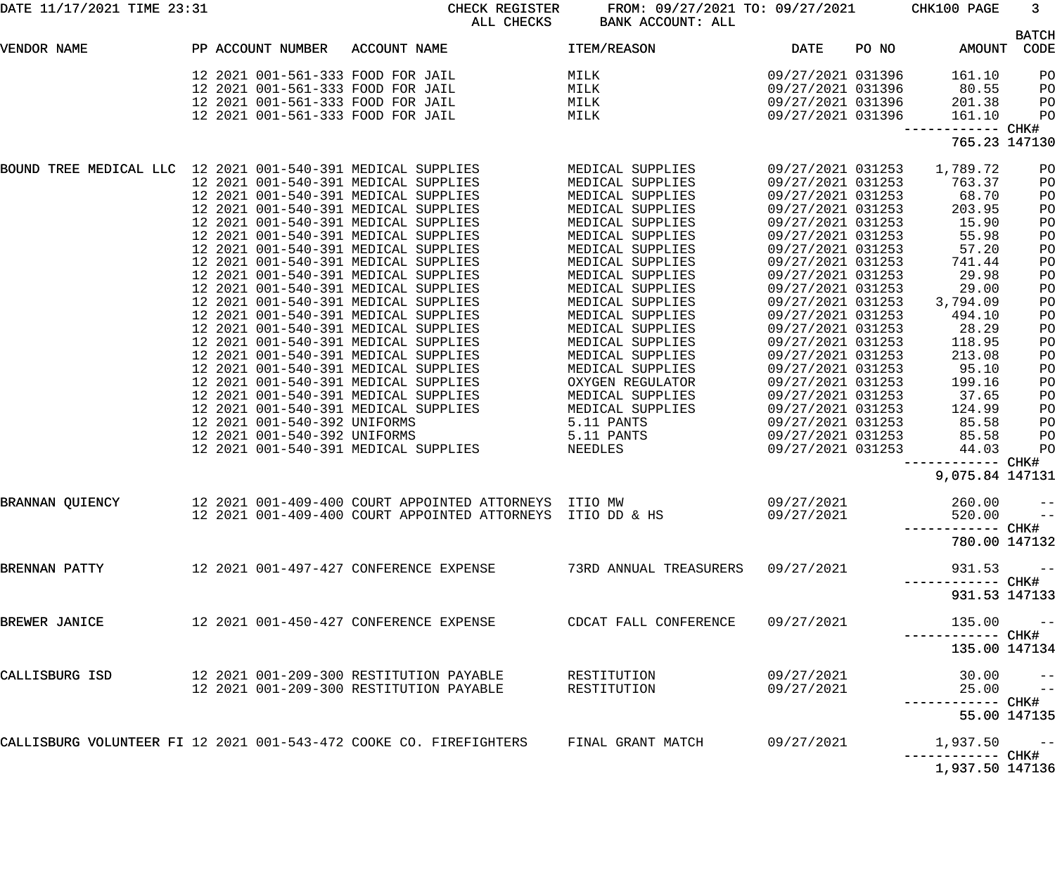| DATE 11/17/2021 TIME 23:31                                  |                              | CHECK REGISTER<br>ALL CHECKS                                       | FROM: 09/27/2021 TO: 09/27/2021<br>BANK ACCOUNT: ALL |                   |       | CHK100 PAGE                          | 3 <sup>7</sup>       |
|-------------------------------------------------------------|------------------------------|--------------------------------------------------------------------|------------------------------------------------------|-------------------|-------|--------------------------------------|----------------------|
| VENDOR NAME                                                 | PP ACCOUNT NUMBER            | ACCOUNT NAME                                                       | ITEM/REASON                                          | <b>DATE</b>       | PO NO | AMOUNT                               | <b>BATCH</b><br>CODE |
|                                                             |                              |                                                                    |                                                      |                   |       |                                      |                      |
|                                                             |                              | 12 2021 001-561-333 FOOD FOR JAIL                                  | MILK                                                 | 09/27/2021 031396 |       | 161.10                               | PO                   |
|                                                             |                              | 12 2021 001-561-333 FOOD FOR JAIL                                  | MILK                                                 | 09/27/2021 031396 |       | 80.55                                | PO                   |
|                                                             |                              | 12 2021 001-561-333 FOOD FOR JAIL                                  | MILK                                                 | 09/27/2021 031396 |       | 201.38                               | PO                   |
|                                                             |                              | 12 2021 001-561-333 FOOD FOR JAIL                                  | MILK                                                 | 09/27/2021 031396 |       | 161.10<br>------------ CHK#          | PO                   |
|                                                             |                              |                                                                    |                                                      |                   |       | 765.23 147130                        |                      |
| BOUND TREE MEDICAL LLC 12 2021 001-540-391 MEDICAL SUPPLIES |                              |                                                                    | MEDICAL SUPPLIES                                     | 09/27/2021 031253 |       | 1,789.72                             | PO                   |
|                                                             |                              | 12 2021 001-540-391 MEDICAL SUPPLIES                               | MEDICAL SUPPLIES                                     | 09/27/2021 031253 |       | 763.37                               | PO                   |
|                                                             |                              | 12 2021 001-540-391 MEDICAL SUPPLIES                               | MEDICAL SUPPLIES                                     | 09/27/2021 031253 |       | 68.70                                | PO                   |
|                                                             |                              | 12 2021 001-540-391 MEDICAL SUPPLIES                               | MEDICAL SUPPLIES                                     | 09/27/2021 031253 |       | 203.95                               | PO                   |
|                                                             |                              | 12 2021 001-540-391 MEDICAL SUPPLIES                               | MEDICAL SUPPLIES                                     | 09/27/2021 031253 |       | 15.90                                | PO                   |
|                                                             |                              | 12 2021 001-540-391 MEDICAL SUPPLIES                               | MEDICAL SUPPLIES                                     | 09/27/2021 031253 |       | 55.98                                | PO                   |
|                                                             |                              | 12 2021 001-540-391 MEDICAL SUPPLIES                               | MEDICAL SUPPLIES                                     | 09/27/2021 031253 |       | 57.20                                | PO                   |
|                                                             |                              | 12 2021 001-540-391 MEDICAL SUPPLIES                               | MEDICAL SUPPLIES                                     | 09/27/2021 031253 |       | 741.44                               | PO                   |
|                                                             |                              | 12 2021 001-540-391 MEDICAL SUPPLIES                               | MEDICAL SUPPLIES                                     | 09/27/2021 031253 |       | 29.98                                | PO                   |
|                                                             |                              | 12 2021 001-540-391 MEDICAL SUPPLIES                               | MEDICAL SUPPLIES                                     | 09/27/2021 031253 |       | 29.00                                | PO                   |
|                                                             |                              | 12 2021 001-540-391 MEDICAL SUPPLIES                               | MEDICAL SUPPLIES                                     | 09/27/2021 031253 |       | 3,794.09                             | PO                   |
|                                                             |                              | 12 2021 001-540-391 MEDICAL SUPPLIES                               | MEDICAL SUPPLIES                                     | 09/27/2021 031253 |       | 494.10                               | PO                   |
|                                                             |                              | 12 2021 001-540-391 MEDICAL SUPPLIES                               | MEDICAL SUPPLIES                                     | 09/27/2021 031253 |       | 28.29                                |                      |
|                                                             |                              | 12 2021 001-540-391 MEDICAL SUPPLIES                               |                                                      |                   |       |                                      | PO                   |
|                                                             |                              |                                                                    | MEDICAL SUPPLIES                                     | 09/27/2021 031253 |       | 118.95                               | PO                   |
|                                                             |                              | 12 2021 001-540-391 MEDICAL SUPPLIES                               | MEDICAL SUPPLIES                                     | 09/27/2021 031253 |       | 213.08                               | PO                   |
|                                                             |                              | 12 2021 001-540-391 MEDICAL SUPPLIES                               | MEDICAL SUPPLIES                                     | 09/27/2021 031253 |       | 95.10                                | PO                   |
|                                                             |                              | 12 2021 001-540-391 MEDICAL SUPPLIES                               | OXYGEN REGULATOR                                     | 09/27/2021 031253 |       | 199.16                               | PO                   |
|                                                             |                              | 12 2021 001-540-391 MEDICAL SUPPLIES                               | MEDICAL SUPPLIES                                     | 09/27/2021 031253 |       | 37.65                                | PO                   |
|                                                             |                              | 12 2021 001-540-391 MEDICAL SUPPLIES                               | MEDICAL SUPPLIES                                     | 09/27/2021 031253 |       | 124.99                               | PO                   |
|                                                             | 12 2021 001-540-392 UNIFORMS |                                                                    | 5.11 PANTS                                           | 09/27/2021 031253 |       | 85.58                                | PO                   |
|                                                             | 12 2021 001-540-392 UNIFORMS |                                                                    | 5.11 PANTS                                           | 09/27/2021 031253 |       | 85.58                                | PO                   |
|                                                             |                              | 12 2021 001-540-391 MEDICAL SUPPLIES                               | NEEDLES                                              | 09/27/2021 031253 |       | 44.03                                | PO                   |
|                                                             |                              |                                                                    |                                                      |                   |       | ------------ CHK#<br>9,075.84 147131 |                      |
| BRANNAN QUIENCY                                             |                              | 12 2021 001-409-400 COURT APPOINTED ATTORNEYS ITIO MW              |                                                      | 09/27/2021        |       | $260.00 - -$                         |                      |
|                                                             |                              | 12 2021 001-409-400 COURT APPOINTED ATTORNEYS ITIO DD & HS         |                                                      | 09/27/2021        |       | $520.00 - -$                         |                      |
|                                                             |                              |                                                                    |                                                      |                   |       |                                      |                      |
|                                                             |                              |                                                                    |                                                      |                   |       | 780.00 147132                        |                      |
| BRENNAN PATTY                                               |                              | 12   2021  001-497-427  CONFERENCE EXPENSE                         | 73RD ANNUAL TREASURERS 09/27/2021                    |                   |       | 931.53                               | $\sim$ $-$           |
|                                                             |                              |                                                                    |                                                      |                   |       | 931.53 147133                        |                      |
| BREWER JANICE                                               |                              | 12   2021  001-450-427  CONFERENCE EXPENSE                         | CDCAT FALL CONFERENCE                                | 09/27/2021        |       | $135.00 - -$                         |                      |
|                                                             |                              |                                                                    |                                                      |                   |       | 135.00 147134                        |                      |
| CALLISBURG ISD                                              |                              | 12 2021 001-209-300 RESTITUTION PAYABLE                            | RESTITUTION                                          | 09/27/2021        |       |                                      |                      |
|                                                             |                              | 12 2021 001-209-300 RESTITUTION PAYABLE                            | RESTITUTION                                          | 09/27/2021        |       | $30.00$ --<br>25.00 --               |                      |
|                                                             |                              |                                                                    |                                                      |                   |       |                                      |                      |
|                                                             |                              |                                                                    |                                                      |                   |       | 55.00 147135                         |                      |
|                                                             |                              | CALLISBURG VOLUNTEER FI 12 2021 001-543-472 COOKE CO. FIREFIGHTERS | FINAL GRANT MATCH                                    | 09/27/2021        |       | $1,937.50 - -$                       |                      |
|                                                             |                              |                                                                    |                                                      |                   |       | 1,937.50 147136                      |                      |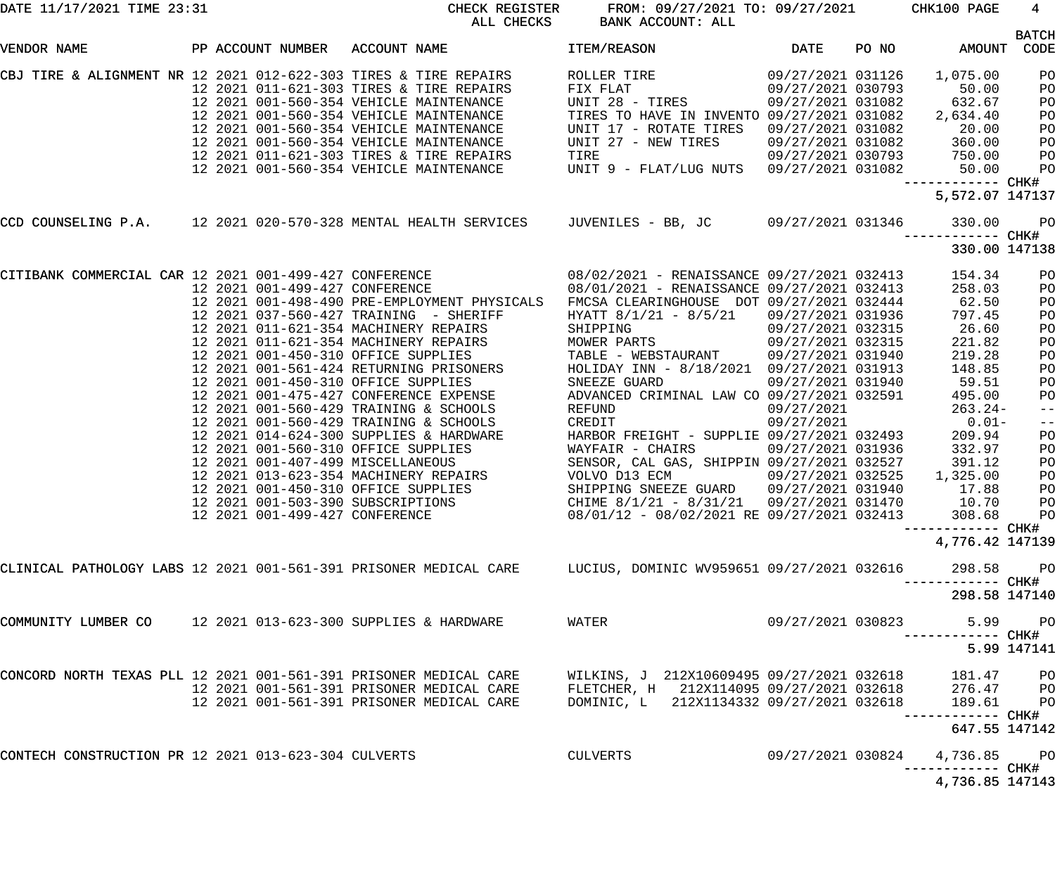| DATE 11/17/2021 TIME 23:31                                        |  | CHECK REGISTER<br>ALL CHECKS                                                                                                                                                                                                                                                                                                                                                  | FROM: 09/27/2021 TO: 09/27/2021 CHK100 PAGE<br>BANK ACCOUNT: ALL                                                                                                              |                                        |                                                                                                                                                            | $\overline{4}$                                           |
|-------------------------------------------------------------------|--|-------------------------------------------------------------------------------------------------------------------------------------------------------------------------------------------------------------------------------------------------------------------------------------------------------------------------------------------------------------------------------|-------------------------------------------------------------------------------------------------------------------------------------------------------------------------------|----------------------------------------|------------------------------------------------------------------------------------------------------------------------------------------------------------|----------------------------------------------------------|
| VENDOR NAME                                                       |  | PP ACCOUNT NUMBER ACCOUNT NAME                                                                                                                                                                                                                                                                                                                                                | ITEM/REASON                                                                                                                                                                   | <b>DATE</b>                            | PO NO AMOUNT CODE                                                                                                                                          | <b>BATCH</b>                                             |
|                                                                   |  | CBJ TIRE & ALIGNMENT NR 12 2021 012-622-303 TIRES & TIRE REPAIRS<br>12 2021 011-621-303 TIRES & TIRE REPAIRS<br>12 2021 001-560-354 VEHICLE MAINTENANCE<br>12 2021 001-560-354 VEHICLE MAINTENANCE<br>12 2021 001-560-354 VEHICLE MAINTENA<br>12 2021 011-621-303 TIRES & TIRE REPAIRS<br>12 2021 011-021-503 IIRES & IIRE REPAIRS<br>12 2021 001-560-354 VEHICLE MAINTENANCE | UNIT 28 - TIRES<br>TIRES TO HAVE IN INVENTO 09/27/2021 031082<br>UNIT 17 - ROTATE TIRES<br>UNIT 27 - NEW TIRES<br>TIRE<br>UNIT 9 - FLAT/LUG NUTS 09/27/2021 031082            | 09/27/2021 031082<br>09/27/2021 031082 | 1,075.00<br>50.00<br>632.67<br>2,634.40<br>20.00<br>$09/27/2021$ 031082 $360.00$<br>09/27/2021 030793 750.00<br>09/27/2021 031082 50.00<br>5,572.07 147137 | PO<br>PO<br>PO<br>PO<br>PO<br>PO<br>P <sub>O</sub><br>PO |
|                                                                   |  | CCD COUNSELING P.A. 12 2021 020-570-328 MENTAL HEALTH SERVICES JUVENILES - BB, JC 09/27/2021 031346                                                                                                                                                                                                                                                                           |                                                                                                                                                                               |                                        | 330.00<br>330.00 147138                                                                                                                                    | <b>PO</b>                                                |
|                                                                   |  | CITIBANK COMMERCIAL CAR 12 2021 001-499-427 CONFERENCE 68/02/2021 - RENAISSANCE 09/27/2021 032413<br>12 2021 001-499-427 CONFERENCE 68/01/2021 - RENAISSANCE 09/27/2021 032413<br>12 2021 001-498-490 PRE-EMPLOYMENT PHYSICALS                                                                                                                                                | FMCSA CLEARINGHOUSE DOT 09/27/2021 032444<br>HYATT 8/1/21 - 8/5/21 09/27/2021 031936                                                                                          |                                        | 154.34<br>258.03<br>62.50<br>797.45<br>--------- CHK#<br>4,776.42 147139                                                                                   | PO<br>PO<br>PO<br>PO                                     |
|                                                                   |  | CLINICAL PATHOLOGY LABS 12 2021 001-561-391 PRISONER MEDICAL CARE LUCIUS, DOMINIC WV959651 09/27/2021 032616                                                                                                                                                                                                                                                                  |                                                                                                                                                                               |                                        | 298.58<br>--------- CHK#<br>298.58 147140                                                                                                                  | $P$ O                                                    |
| COMMUNITY LUMBER CO 12 2021 013-623-300 SUPPLIES & HARDWARE       |  |                                                                                                                                                                                                                                                                                                                                                                               | WATER                                                                                                                                                                         | 09/27/2021 030823                      | -------- CHK#                                                                                                                                              | 5.99 PO<br>5.99 147141                                   |
| CONCORD NORTH TEXAS PLL 12 2021 001-561-391 PRISONER MEDICAL CARE |  | 12 2021 001-561-391 PRISONER MEDICAL CARE<br>12 2021 001-561-391 PRISONER MEDICAL CARE                                                                                                                                                                                                                                                                                        | WILKINS, J 212X10609495 09/27/2021 032618<br>FLETCHER, H 212X114095 09/27/2021 032618<br>DOMINIC I. 212X1134332 09/27/2021 032618<br>DOMINIC, L 212X1134332 09/27/2021 032618 |                                        | 181.47<br>276.47 PO<br>189.61<br>------- CHK#<br>647.55 147142                                                                                             | $P$ O<br>P <sub>O</sub>                                  |
| CONTECH CONSTRUCTION PR 12 2021 013-623-304 CULVERTS              |  |                                                                                                                                                                                                                                                                                                                                                                               | CULVERTS                                                                                                                                                                      | 09/27/2021 030824                      | 4,736.85<br>------------ CHK#<br>4,736.85 147143                                                                                                           | <b>PO</b>                                                |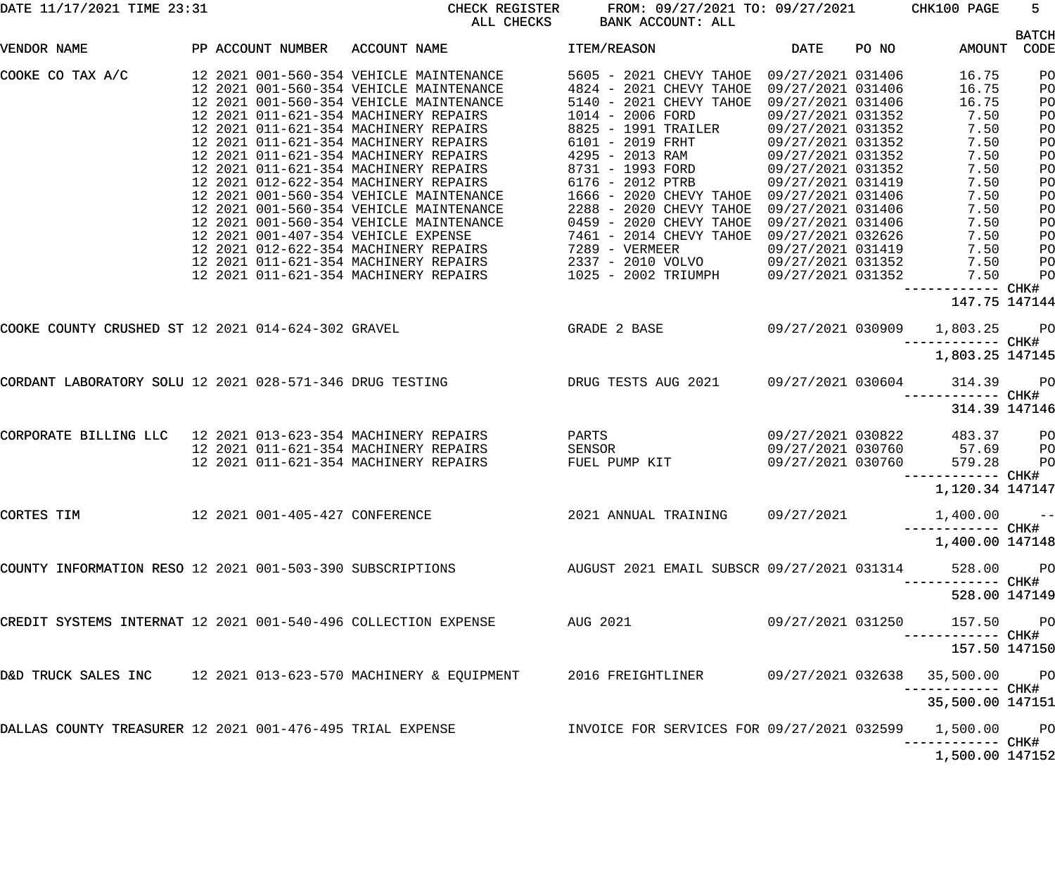| DATE 11/17/2021 TIME 23:31 |  |  |
|----------------------------|--|--|
|----------------------------|--|--|

CHECK REGISTER FROM: 09/27/2021 TO: 09/27/2021 CHK100 PAGE 5 RANK ACCOUNT: ALL

|                                                                |                                | סטסשם חחם                                                                                                                                                                                                                                                                                                                                                                                                                                                                                                                                                                                                                                                                                                       | DANN ACCOONI. ALL                                                                                                                                                                                                                                                                                                            |                                                                                                                                                                                                                                                                                                    |       |                                                                                                                                 |                                                                                              |
|----------------------------------------------------------------|--------------------------------|-----------------------------------------------------------------------------------------------------------------------------------------------------------------------------------------------------------------------------------------------------------------------------------------------------------------------------------------------------------------------------------------------------------------------------------------------------------------------------------------------------------------------------------------------------------------------------------------------------------------------------------------------------------------------------------------------------------------|------------------------------------------------------------------------------------------------------------------------------------------------------------------------------------------------------------------------------------------------------------------------------------------------------------------------------|----------------------------------------------------------------------------------------------------------------------------------------------------------------------------------------------------------------------------------------------------------------------------------------------------|-------|---------------------------------------------------------------------------------------------------------------------------------|----------------------------------------------------------------------------------------------|
| VENDOR NAME                                                    | PP ACCOUNT NUMBER ACCOUNT NAME |                                                                                                                                                                                                                                                                                                                                                                                                                                                                                                                                                                                                                                                                                                                 | ITEM/REASON                                                                                                                                                                                                                                                                                                                  | DATE                                                                                                                                                                                                                                                                                               | PO NO | AMOUNT                                                                                                                          | <b>BATCH</b><br>CODE                                                                         |
| COOKE CO TAX A/C                                               |                                | 12 2021 001-560-354 VEHICLE MAINTENANCE<br>12 2021 001-560-354 VEHICLE MAINTENANCE<br>12 2021 001-560-354 VEHICLE MAINTENANCE<br>12 2021 011-621-354 MACHINERY REPAIRS<br>12 2021 011-621-354 MACHINERY REPAIRS<br>12 2021 011-621-354 MACHINERY REPAIRS<br>12 2021 011-621-354 MACHINERY REPAIRS<br>12 2021 011-621-354 MACHINERY REPAIRS<br>12 2021 012-622-354 MACHINERY REPAIRS<br>12 2021 001-560-354 VEHICLE MAINTENANCE<br>12 2021 001-560-354 VEHICLE MAINTENANCE<br>12 2021 001-560-354 VEHICLE MAINTENANCE<br>12 2021 012-622-354 MACHINERY REPAIRS<br>12 2021 011-621-354 MACHINERY REPAIRS<br>12 2021 011-621-354 MACHINERY REPAIRS<br>12 2021 011-621-354 MACHINERY REPAIRS<br>1025 - 2002 TRIUMPH | 5605 - 2021 CHEVY TAHOE 09/27/2021 031406<br>4824 - 2021 CHEVY TAHOE<br>5140 - 2021 CHEVY TAHOE<br>1014 - 2006 FORD<br>8825 - 1991 TRAILER<br>6101 - 2019 FRHT<br>4295 - 2013 RAM<br>8731 - 1993 FORD<br>6176 - 2012 PTRB<br>1666 - 2020 CHEVY TAHOE 09/27/2021 031406<br>2288 - 2020 CHEVY TAHOE<br>0459 - 2020 CHEVY TAHOE | 09/27/2021 031406<br>09/27/2021 031406<br>09/27/2021 031352<br>09/27/2021 031352<br>09/27/2021 031352<br>09/27/2021 031352<br>09/27/2021 031352<br>09/27/2021 031419<br>09/27/2021 031406<br>09/27/2021 031406<br>09/27/2021 032626<br>09/27/2021 031419<br>09/27/2021 031352<br>09/27/2021 031352 |       | 16.75<br>16.75<br>16.75<br>7.50<br>7.50<br>7.50<br>7.50<br>7.50<br>7.50<br>7.50<br>7.50<br>7.50<br>7.50<br>7.50<br>7.50<br>7.50 | PO<br>PO<br>PO<br>PO<br>PO<br>PO<br>PO<br>PO<br>PO<br>PO<br>PO<br>PO<br>PO<br>PO<br>PO<br>PO |
|                                                                |                                |                                                                                                                                                                                                                                                                                                                                                                                                                                                                                                                                                                                                                                                                                                                 |                                                                                                                                                                                                                                                                                                                              |                                                                                                                                                                                                                                                                                                    |       | ------------ CHK#<br>147.75 147144                                                                                              |                                                                                              |
| COOKE COUNTY CRUSHED ST 12 2021 014-624-302 GRAVEL             |                                | <b>GRADE 2 BASE</b>                                                                                                                                                                                                                                                                                                                                                                                                                                                                                                                                                                                                                                                                                             |                                                                                                                                                                                                                                                                                                                              | 09/27/2021 030909                                                                                                                                                                                                                                                                                  |       | 1,803.25<br>------------ CHK#                                                                                                   | PO                                                                                           |
|                                                                |                                |                                                                                                                                                                                                                                                                                                                                                                                                                                                                                                                                                                                                                                                                                                                 |                                                                                                                                                                                                                                                                                                                              |                                                                                                                                                                                                                                                                                                    |       | 1,803.25 147145                                                                                                                 |                                                                                              |
|                                                                |                                | CORDANT LABORATORY SOLU 12 2021 028-571-346 DRUG TESTING <b>Example 1991 DRUG TESTS AUG 2021</b> 09/27/2021 030604                                                                                                                                                                                                                                                                                                                                                                                                                                                                                                                                                                                              |                                                                                                                                                                                                                                                                                                                              |                                                                                                                                                                                                                                                                                                    |       | 314.39<br>------------ CHK#<br>314.39 147146                                                                                    | PO                                                                                           |
| CORPORATE BILLING LLC 12 2021 013-623-354 MACHINERY REPAIRS    |                                | 12 2021 011-621-354 MACHINERY REPAIRS<br>12 2021 011-621-354 MACHINERY REPAIRS                                                                                                                                                                                                                                                                                                                                                                                                                                                                                                                                                                                                                                  | PARTS<br>SENSOR<br>FUEL PUMP KIT                                                                                                                                                                                                                                                                                             | 09/27/2021 030822<br>09/27/2021 030760<br>09/27/2021 030760                                                                                                                                                                                                                                        |       | 483.37<br>$57.69$<br>$579.28$<br>------------ CHK#                                                                              | PO<br>PO<br>PO                                                                               |
| CORTES TIM                                                     | 12 2021 001-405-427 CONFERENCE |                                                                                                                                                                                                                                                                                                                                                                                                                                                                                                                                                                                                                                                                                                                 | 2021 ANNUAL TRAINING                                                                                                                                                                                                                                                                                                         | 09/27/2021                                                                                                                                                                                                                                                                                         |       | 1,120.34 147147<br>1,400.00                                                                                                     | $- -$                                                                                        |
|                                                                |                                |                                                                                                                                                                                                                                                                                                                                                                                                                                                                                                                                                                                                                                                                                                                 |                                                                                                                                                                                                                                                                                                                              |                                                                                                                                                                                                                                                                                                    |       | ------------ CHK#<br>1,400.00 147148                                                                                            |                                                                                              |
|                                                                |                                | COUNTY INFORMATION RESO 12 2021 001-503-390 SUBSCRIPTIONS AUGUST 2021 EMAIL SUBSCR 09/27/2021 031314                                                                                                                                                                                                                                                                                                                                                                                                                                                                                                                                                                                                            |                                                                                                                                                                                                                                                                                                                              |                                                                                                                                                                                                                                                                                                    |       | 528.00 PO                                                                                                                       |                                                                                              |
|                                                                |                                |                                                                                                                                                                                                                                                                                                                                                                                                                                                                                                                                                                                                                                                                                                                 |                                                                                                                                                                                                                                                                                                                              |                                                                                                                                                                                                                                                                                                    |       | 528.00 147149                                                                                                                   |                                                                                              |
| CREDIT SYSTEMS INTERNAT 12 2021 001-540-496 COLLECTION EXPENSE |                                |                                                                                                                                                                                                                                                                                                                                                                                                                                                                                                                                                                                                                                                                                                                 | AUG 2021                                                                                                                                                                                                                                                                                                                     | 09/27/2021 031250                                                                                                                                                                                                                                                                                  |       | 157.50 PO<br>------------ CHK#                                                                                                  |                                                                                              |
| D&D TRUCK SALES INC 12 2021 013-623-570 MACHINERY & EQUIPMENT  |                                |                                                                                                                                                                                                                                                                                                                                                                                                                                                                                                                                                                                                                                                                                                                 | 2016 FREIGHTLINER                                                                                                                                                                                                                                                                                                            |                                                                                                                                                                                                                                                                                                    |       | 157.50 147150<br>09/27/2021 032638 35,500.00 PO                                                                                 |                                                                                              |
|                                                                |                                |                                                                                                                                                                                                                                                                                                                                                                                                                                                                                                                                                                                                                                                                                                                 |                                                                                                                                                                                                                                                                                                                              |                                                                                                                                                                                                                                                                                                    |       | ------------ CHK#<br>35,500.00 147151                                                                                           |                                                                                              |
| DALLAS COUNTY TREASURER 12 2021 001-476-495 TRIAL EXPENSE      |                                |                                                                                                                                                                                                                                                                                                                                                                                                                                                                                                                                                                                                                                                                                                                 | INVOICE FOR SERVICES FOR 09/27/2021 032599                                                                                                                                                                                                                                                                                   |                                                                                                                                                                                                                                                                                                    |       | 1,500.00 PO                                                                                                                     |                                                                                              |
|                                                                |                                |                                                                                                                                                                                                                                                                                                                                                                                                                                                                                                                                                                                                                                                                                                                 |                                                                                                                                                                                                                                                                                                                              |                                                                                                                                                                                                                                                                                                    |       | 1,500.00 147152                                                                                                                 |                                                                                              |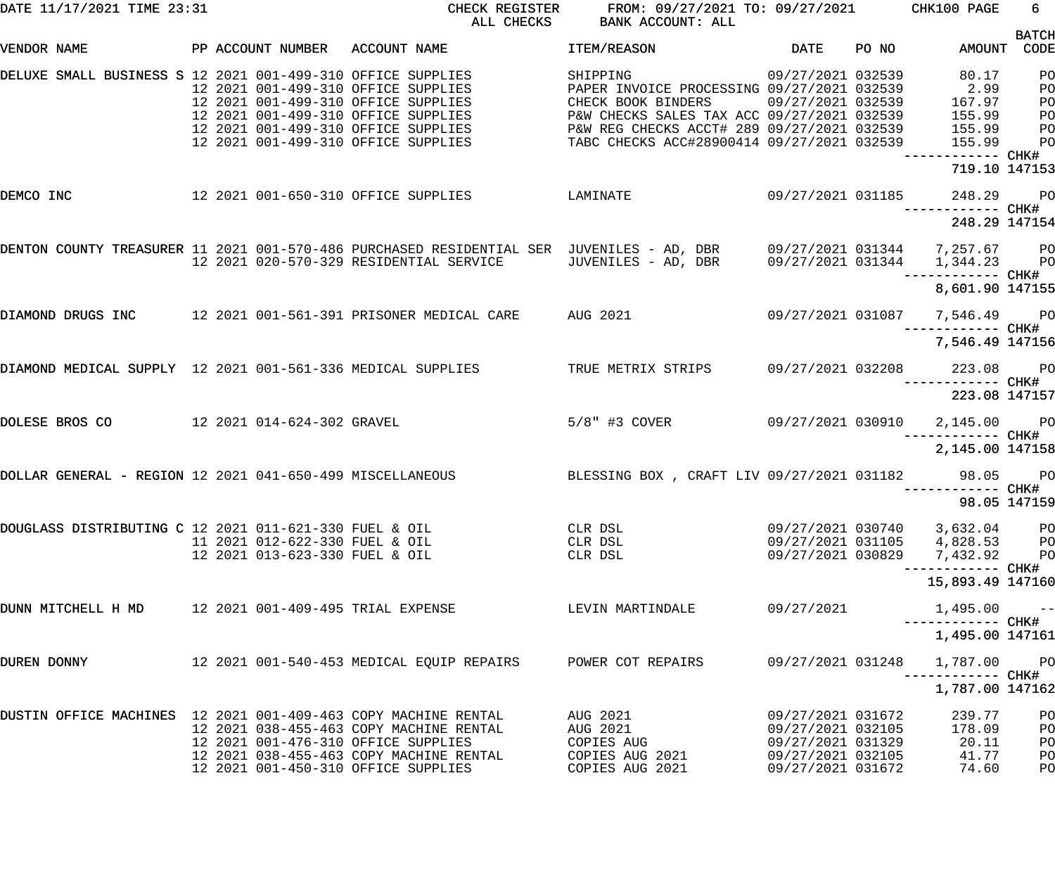| DATE 11/17/2021 TIME 23:31                                     |  |                                                                  | CHECK REGISTER<br>ALL CHECKS                                                                                                                                                                    | FROM: 09/27/2021 TO: 09/27/2021 CHK100 PAGE<br>BANK ACCOUNT: ALL                                                                                                                                                                                                            |                                                                                                       |       |                                                                                              | 6                                            |
|----------------------------------------------------------------|--|------------------------------------------------------------------|-------------------------------------------------------------------------------------------------------------------------------------------------------------------------------------------------|-----------------------------------------------------------------------------------------------------------------------------------------------------------------------------------------------------------------------------------------------------------------------------|-------------------------------------------------------------------------------------------------------|-------|----------------------------------------------------------------------------------------------|----------------------------------------------|
| VENDOR NAME                                                    |  |                                                                  | PP ACCOUNT NUMBER ACCOUNT NAME                                                                                                                                                                  | <b>ITEM/REASON</b>                                                                                                                                                                                                                                                          | DATE                                                                                                  | PO NO | AMOUNT CODE                                                                                  | <b>BATCH</b>                                 |
| DELUXE SMALL BUSINESS S 12 2021 001-499-310 OFFICE SUPPLIES    |  |                                                                  | 12 2021 001-499-310 OFFICE SUPPLIES<br>12 2021 001-499-310 OFFICE SUPPLIES<br>12 2021 001-499-310 OFFICE SUPPLIES<br>12 2021 001-499-310 OFFICE SUPPLIES<br>12 2021 001-499-310 OFFICE SUPPLIES | $09/27/2021$ 032539<br>SHIPPING<br>PAPER INVOICE PROCESSING 09/27/2021 032539 2.99<br>CHECK BOOK BINDERS 09/27/2021 032539 167.97<br>P&W CHECKS SALES TAX ACC 09/27/2021 032539<br>P&W REG CHECKS ACCT# 289 09/27/2021 032539<br>TABC CHECKS ACC#28900414 09/27/2021 032539 |                                                                                                       |       | 80.17<br>155.99<br>155.99<br>155.99                                                          | PO<br>PO<br>PО<br>PО<br>P <sub>O</sub><br>PO |
|                                                                |  |                                                                  |                                                                                                                                                                                                 |                                                                                                                                                                                                                                                                             |                                                                                                       |       | 719.10 147153                                                                                |                                              |
| DEMCO INC                                                      |  |                                                                  | 12  2021  001-650-310  OFFICE SUPPLIES   LAMINATE                                                                                                                                               | 09/27/2021 031185                                                                                                                                                                                                                                                           |                                                                                                       |       | 248.29 PO<br>248.29 147154                                                                   |                                              |
|                                                                |  |                                                                  | DENTON COUNTY TREASURER 11 2021 001-570-486 PURCHASED RESIDENTIAL SER JUVENILES - AD, DBR 09/27/2021 031344 7,257.67 PO<br>12  2021  020-570-329  RESIDENTIAL SERVICE                           | JUVENILES - AD, DBR 09/27/2021 031344                                                                                                                                                                                                                                       |                                                                                                       |       | 1,344.23 PO<br>8,601.90 147155                                                               |                                              |
|                                                                |  |                                                                  | DIAMOND DRUGS INC 		 12 2021 001-561-391 PRISONER MEDICAL CARE 		 AUG 2021 		 09/27/2021 031087                                                                                                 |                                                                                                                                                                                                                                                                             |                                                                                                       |       | 7,546.49 PO                                                                                  |                                              |
|                                                                |  |                                                                  |                                                                                                                                                                                                 |                                                                                                                                                                                                                                                                             |                                                                                                       |       | 7,546.49 147156                                                                              |                                              |
| DIAMOND MEDICAL SUPPLY 12 2021 001-561-336 MEDICAL SUPPLIES    |  |                                                                  |                                                                                                                                                                                                 | TRUE METRIX STRIPS                                                                                                                                                                                                                                                          |                                                                                                       |       | 09/27/2021 032208 223.08 PO                                                                  |                                              |
|                                                                |  |                                                                  | DOLESE BROS CO 12 2021 014-624-302 GRAVEL                                                                                                                                                       | 5/8" #3 COVER 09/27/2021 030910 2,145.00 PO                                                                                                                                                                                                                                 |                                                                                                       |       | 223.08 147157                                                                                |                                              |
|                                                                |  |                                                                  |                                                                                                                                                                                                 |                                                                                                                                                                                                                                                                             |                                                                                                       |       | 2,145.00 147158                                                                              |                                              |
| DOLLAR GENERAL - REGION 12 2021 041-650-499 MISCELLANEOUS      |  |                                                                  |                                                                                                                                                                                                 | BLESSING BOX, CRAFT LIV 09/27/2021 031182 98.05 PO                                                                                                                                                                                                                          |                                                                                                       |       |                                                                                              |                                              |
|                                                                |  |                                                                  |                                                                                                                                                                                                 |                                                                                                                                                                                                                                                                             |                                                                                                       |       | 98.05 147159                                                                                 |                                              |
| DOUGLASS DISTRIBUTING C 12 2021 011-621-330 FUEL & OIL         |  | 11 2021 012-622-330 FUEL & OIL<br>12 2021 013-623-330 FUEL & OIL |                                                                                                                                                                                                 | CLR DSL<br>CLR DSL<br>CLR DSL                                                                                                                                                                                                                                               |                                                                                                       |       | 09/27/2021 030740 3,632.04 PO<br>09/27/2021 031105 4,828.53 PO<br>09/27/2021 030829 7,432.92 | <b>PO</b>                                    |
|                                                                |  |                                                                  |                                                                                                                                                                                                 |                                                                                                                                                                                                                                                                             |                                                                                                       |       | 15,893.49 147160                                                                             |                                              |
| DUNN MITCHELL H MD 12 2021 001-409-495 TRIAL EXPENSE           |  |                                                                  |                                                                                                                                                                                                 | LEVIN MARTINDALE                                                                                                                                                                                                                                                            | 09/27/2021                                                                                            |       | 1,495.00                                                                                     | $\sim$ $ -$                                  |
|                                                                |  |                                                                  |                                                                                                                                                                                                 |                                                                                                                                                                                                                                                                             |                                                                                                       |       | 1,495.00 147161                                                                              |                                              |
| DUREN DONNY                                                    |  |                                                                  | 12 2021 001-540-453 MEDICAL EQUIP REPAIRS FOWER COT REPAIRS                                                                                                                                     |                                                                                                                                                                                                                                                                             | 09/27/2021 031248                                                                                     |       | 1,787.00                                                                                     | <b>PO</b>                                    |
|                                                                |  |                                                                  |                                                                                                                                                                                                 |                                                                                                                                                                                                                                                                             |                                                                                                       |       | 1,787.00 147162                                                                              |                                              |
| DUSTIN OFFICE MACHINES 12 2021 001-409-463 COPY MACHINE RENTAL |  |                                                                  | 12 2021 038-455-463 COPY MACHINE RENTAL<br>12 2021 001-476-310 OFFICE SUPPLIES<br>12 2021 038-455-463 COPY MACHINE RENTAL<br>12 2021 001-450-310 OFFICE SUPPLIES                                | AUG 2021<br>AUG 2021<br>COPIES AUG<br>COPIES AUG 2021<br>COPIES AUG 2021                                                                                                                                                                                                    | 09/27/2021 031672<br>09/27/2021 032105<br>09/27/2021 031329<br>09/27/2021 032105<br>09/27/2021 031672 |       | 239.77<br>178.09<br>20.11<br>41.77<br>74.60                                                  | P <sub>O</sub><br>PO<br>PO<br>PO<br>PO       |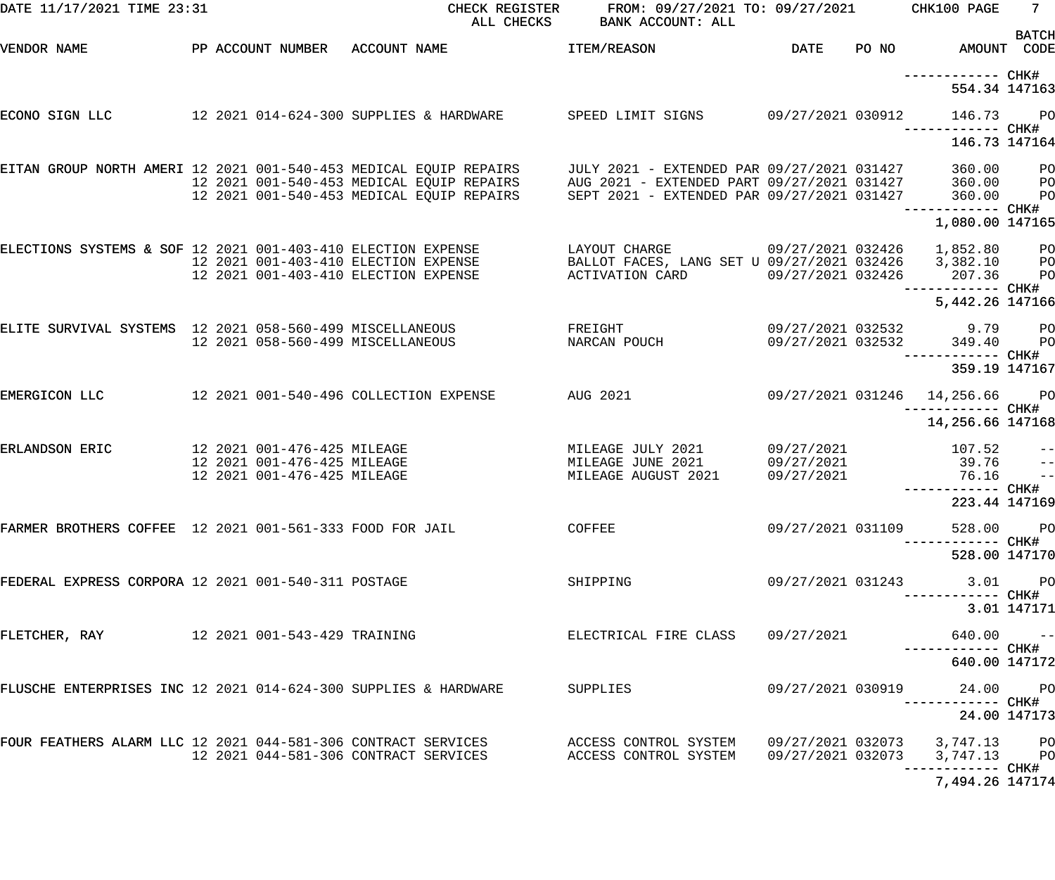| DATE 11/17/2021 TIME 23:31                                      |  | CHECK REGISTER<br>ALL CHECKS                                                                                                                                                                                                         | FROM: 09/27/2021 TO: 09/27/2021<br>BANK ACCOUNT: ALL   |                   |       | CHK100 PAGE                                   | 7 <sup>7</sup>    |
|-----------------------------------------------------------------|--|--------------------------------------------------------------------------------------------------------------------------------------------------------------------------------------------------------------------------------------|--------------------------------------------------------|-------------------|-------|-----------------------------------------------|-------------------|
| VENDOR NAME                                                     |  | PP ACCOUNT NUMBER ACCOUNT NAME                                                                                                                                                                                                       | ITEM/REASON                                            | DATE              | PO NO | AMOUNT CODE                                   | <b>BATCH</b>      |
|                                                                 |  |                                                                                                                                                                                                                                      |                                                        |                   |       | 554.34 147163                                 |                   |
| ECONO SIGN LLC                                                  |  | 12 2021 014-624-300 SUPPLIES & HARDWARE SPEED LIMIT SIGNS 09/27/2021 030912                                                                                                                                                          |                                                        |                   |       | 146.73 PO                                     |                   |
|                                                                 |  |                                                                                                                                                                                                                                      |                                                        |                   |       | 146.73 147164                                 |                   |
|                                                                 |  | EITAN GROUP NORTH AMERI 12 2021 001-540-453 MEDICAL EQUIP REPAIRS — JULY 2021 - EXTENDED PAR 09/27/2021 031427<br>12 2021 001-540-453 MEDICAL EQUIP REPAIRS — AUG 2021 - EXTENDED PART 09/27/2021 031427 — 360.00<br>12 2021 001-540 |                                                        |                   |       | 360.00 PO                                     |                   |
|                                                                 |  |                                                                                                                                                                                                                                      |                                                        |                   |       |                                               | <b>PO</b>         |
|                                                                 |  |                                                                                                                                                                                                                                      |                                                        |                   |       |                                               | PO                |
|                                                                 |  |                                                                                                                                                                                                                                      |                                                        |                   |       | 1,080.00 147165                               |                   |
| ELECTIONS SYSTEMS & SOF 12 2021 001-403-410 ELECTION EXPENSE    |  |                                                                                                                                                                                                                                      | LAYOUT CHARGE                                          |                   |       | 09/27/2021 032426 1,852.80 PO                 |                   |
|                                                                 |  | 12 2021 001-403-410 ELECTION EXPENSE                                                                                                                                                                                                 | BALLOT FACES, LANG SET U 09/27/2021 032426 3,382.10 PO |                   |       |                                               |                   |
|                                                                 |  | 12 2021 001-403-410 ELECTION EXPENSE                                                                                                                                                                                                 | ACTIVATION CARD                                        | 09/27/2021 032426 |       | 207.36<br>------------ CHK#                   | P <sub>O</sub>    |
|                                                                 |  |                                                                                                                                                                                                                                      |                                                        |                   |       | 5,442.26 147166                               |                   |
| ELITE SURVIVAL SYSTEMS 12 2021 058-560-499 MISCELLANEOUS        |  | FREIGHT                                                                                                                                                                                                                              |                                                        |                   |       |                                               |                   |
|                                                                 |  | 12 2021 058-560-499 MISCELLANEOUS                                                                                                                                                                                                    | NARCAN POUCH                                           |                   |       |                                               |                   |
|                                                                 |  |                                                                                                                                                                                                                                      |                                                        |                   |       | 359.19 147167                                 |                   |
| EMERGICON LLC                                                   |  | 12  2021  001-540-496  COLLECTION EXPENSE  AUG  2021                                                                                                                                                                                 |                                                        |                   |       | 09/27/2021 031246 14,256.66 PO                |                   |
|                                                                 |  |                                                                                                                                                                                                                                      |                                                        |                   |       | 14,256.66 147168                              |                   |
| ERLANDSON ERIC                                                  |  |                                                                                                                                                                                                                                      | MILEAGE JULY 2021                                      | 09/27/2021        |       | 107.52                                        | $\qquad \qquad -$ |
|                                                                 |  |                                                                                                                                                                                                                                      | MILEAGE JUNE 2021                                      | 09/27/2021        |       | 39.76                                         |                   |
|                                                                 |  |                                                                                                                                                                                                                                      | MILEAGE AUGUST 2021                                    | 09/27/2021        |       | 76.16                                         | $\frac{-}{1}$     |
|                                                                 |  |                                                                                                                                                                                                                                      |                                                        |                   |       | 223.44 147169                                 |                   |
| FARMER BROTHERS COFFEE 12 2021 001-561-333 FOOD FOR JAIL        |  |                                                                                                                                                                                                                                      | <b>COFFEE</b>                                          | 09/27/2021 031109 |       | 528.00 PO                                     |                   |
|                                                                 |  |                                                                                                                                                                                                                                      |                                                        |                   |       |                                               |                   |
|                                                                 |  |                                                                                                                                                                                                                                      |                                                        |                   |       | 528.00 147170                                 |                   |
| FEDERAL EXPRESS CORPORA 12 2021 001-540-311 POSTAGE             |  |                                                                                                                                                                                                                                      | SHIPPING                                               | 09/27/2021 031243 |       | $3.01$ PO                                     |                   |
|                                                                 |  |                                                                                                                                                                                                                                      |                                                        |                   |       | -------- CHK#                                 | 3.01 147171       |
| FLETCHER, RAY 12 2021 001-543-429 TRAINING                      |  |                                                                                                                                                                                                                                      | ELECTRICAL FIRE CLASS 09/27/2021                       |                   |       | $640.00 -$                                    |                   |
|                                                                 |  |                                                                                                                                                                                                                                      |                                                        |                   |       | ----------- CHK#<br>640.00 147172             |                   |
| FLUSCHE ENTERPRISES INC 12 2021 014-624-300 SUPPLIES & HARDWARE |  |                                                                                                                                                                                                                                      | SUPPLIES                                               | 09/27/2021 030919 |       | 24.00 PO                                      |                   |
|                                                                 |  |                                                                                                                                                                                                                                      |                                                        |                   |       |                                               |                   |
|                                                                 |  |                                                                                                                                                                                                                                      |                                                        |                   |       | 24.00 147173                                  |                   |
|                                                                 |  | FOUR FEATHERS ALARM LLC 12 2021 044-581-306 CONTRACT SERVICES             ACCESS CONTROL SYSTEM<br>12 2021 044-581-306 CONTRACT SERVICES              ACCESS CONTROL SYSTEM                                                          |                                                        |                   |       | 09/27/2021 032073     3,747.13       PO       |                   |
|                                                                 |  |                                                                                                                                                                                                                                      |                                                        |                   |       | 09/27/2021 032073 3,747.13 PO<br>------- CHK# |                   |
|                                                                 |  |                                                                                                                                                                                                                                      |                                                        |                   |       | 7,494.26 147174                               |                   |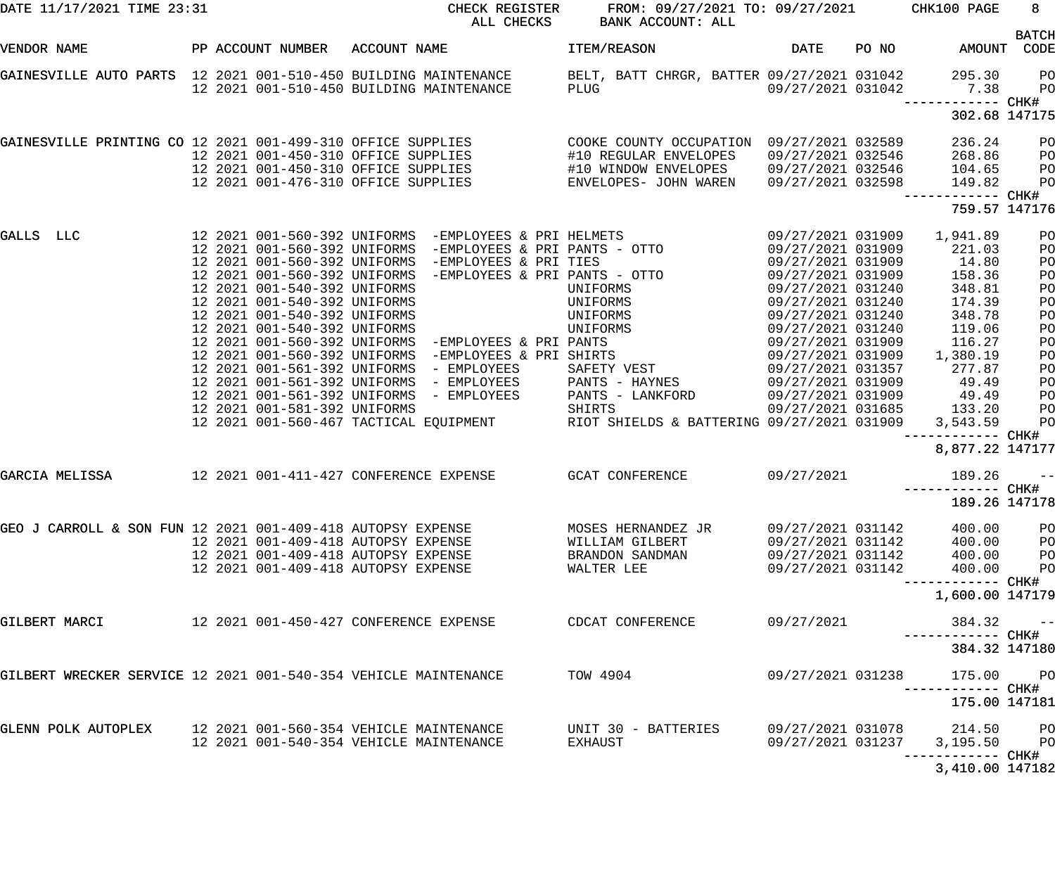| DATE 11/17/2021 TIME 23:31                                      |  | CHECK REGISTER                                                                                                                                                                                                                       | FROM: 09/27/2021 TO: 09/27/2021 CHK100 PAGE<br>ALL CHECKS BANK ACCOUNT: ALL |                                                             |                                      | $8 -$                                              |
|-----------------------------------------------------------------|--|--------------------------------------------------------------------------------------------------------------------------------------------------------------------------------------------------------------------------------------|-----------------------------------------------------------------------------|-------------------------------------------------------------|--------------------------------------|----------------------------------------------------|
| VENDOR NAME                                                     |  | PP ACCOUNT NUMBER ACCOUNT NAME TEM/REASON                                                                                                                                                                                            |                                                                             |                                                             | DATE PO NO AMOUNT CODE               | <b>BATCH</b>                                       |
|                                                                 |  | GAINESVILLE AUTO PARTS 12 2021 001-510-450 BUILDING MAINTENANCE BELT, BATT CHRGR, BATTER 09/27/2021 031042 295.30<br>12 2021 001-510-450 BUILDING MAINTENANCE PLUG 19/27/2021 031042 1.38                                            |                                                                             |                                                             | ------------ CHK#                    | <b>PO</b><br><b>PO</b>                             |
|                                                                 |  |                                                                                                                                                                                                                                      |                                                                             |                                                             | 302.68 147175                        |                                                    |
|                                                                 |  | GAINESVILLE PRINTING CO 12 2021 001-499-310 OFFICE SUPPLIES (COOKE COUNTY OCCUPATION 09/27/2021 032589<br>12 2021 001-450-310 OFFICE SUPPLIES (#10 REGULAR ENVELOPES 09/27/2021 032546<br>12 2021 001-476-310 OFFICE SUPPLIES (#10 W |                                                                             |                                                             | 236.24<br>268.86                     | P <sub>O</sub><br>P <sub>O</sub>                   |
|                                                                 |  |                                                                                                                                                                                                                                      |                                                                             |                                                             | 104.65<br>149.82                     | P <sub>O</sub><br>P <sub>O</sub>                   |
|                                                                 |  |                                                                                                                                                                                                                                      |                                                                             |                                                             | ------------ CHK#<br>759.57 147176   |                                                    |
| GALLS LLC                                                       |  |                                                                                                                                                                                                                                      |                                                                             |                                                             |                                      | P <sub>O</sub><br>PO<br>PO                         |
|                                                                 |  |                                                                                                                                                                                                                                      |                                                                             |                                                             |                                      | PO<br>PO<br>PO                                     |
|                                                                 |  |                                                                                                                                                                                                                                      |                                                                             |                                                             |                                      | PO<br>PO<br>PO                                     |
|                                                                 |  | 12 2021 001-561-392 UNIFORMS - EMPLOYEES PANTS - HAYNES 09/27/2021 031909                                                                                                                                                            |                                                                             |                                                             | 49.49                                | PO<br>PO<br>PO                                     |
|                                                                 |  | 12  2021  001-561-392  UNIFORMS - EMPLOYEES                                                                                                                                                                                          | PANTS - LANKFORD                                                            |                                                             |                                      | PO<br>P <sub>O</sub><br>PO                         |
|                                                                 |  |                                                                                                                                                                                                                                      |                                                                             |                                                             | ------------ CHK#<br>8,877.22 147177 |                                                    |
|                                                                 |  | GARCIA MELISSA                12 2021 001-411-427 CONFERENCE EXPENSE         GCAT CONFERENCE                                                                                                                                         |                                                                             |                                                             | 09/27/2021 189.26                    | $ -$                                               |
|                                                                 |  |                                                                                                                                                                                                                                      |                                                                             |                                                             | 189.26 147178                        |                                                    |
| GEO J CARROLL & SON FUN 12 2021 001-409-418 AUTOPSY EXPENSE     |  | 12 2021 001-409-418 AUTOPSY EXPENSE<br>12 2021 001-409-418 AUTOPSY EXPENSE                                                                                                                                                           | MOSES HERNANDEZ JR<br>WILLIAM GILBERT<br>BRANDON SANDMAN                    | 09/27/2021 031142<br>09/27/2021 031142<br>09/27/2021 031142 | 400.00<br>400.00<br>400.00           | P <sub>O</sub><br>P <sub>O</sub><br>P <sub>O</sub> |
|                                                                 |  | 12 2021 001-409-418 AUTOPSY EXPENSE                                                                                                                                                                                                  | WALTER LEE                                                                  | 09/27/2021 031142                                           | 400.00                               | P <sub>O</sub>                                     |
| GILBERT MARCI                                                   |  |                                                                                                                                                                                                                                      | CDCAT CONFERENCE                                                            | 09/27/2021                                                  | 1,600.00 147179<br>384.32            | $\sim$ $-$                                         |
|                                                                 |  |                                                                                                                                                                                                                                      |                                                                             |                                                             | 384.32 147180                        |                                                    |
| GILBERT WRECKER SERVICE 12 2021 001-540-354 VEHICLE MAINTENANCE |  |                                                                                                                                                                                                                                      | TOW 4904                                                                    | 09/27/2021 031238                                           | 175.00 PO                            |                                                    |
|                                                                 |  |                                                                                                                                                                                                                                      |                                                                             |                                                             | 175.00 147181                        |                                                    |
| GLENN POLK AUTOPLEX                                             |  | 12 2021 001-560-354 VEHICLE MAINTENANCE<br>12 2021 001-540-354 VEHICLE MAINTENANCE                                                                                                                                                   | UNIT 30 - BATTERIES<br>EXHAUST                                              | 09/27/2021 031237                                           | 3,195.50 PO                          |                                                    |
|                                                                 |  |                                                                                                                                                                                                                                      |                                                                             |                                                             | 3,410.00 147182                      |                                                    |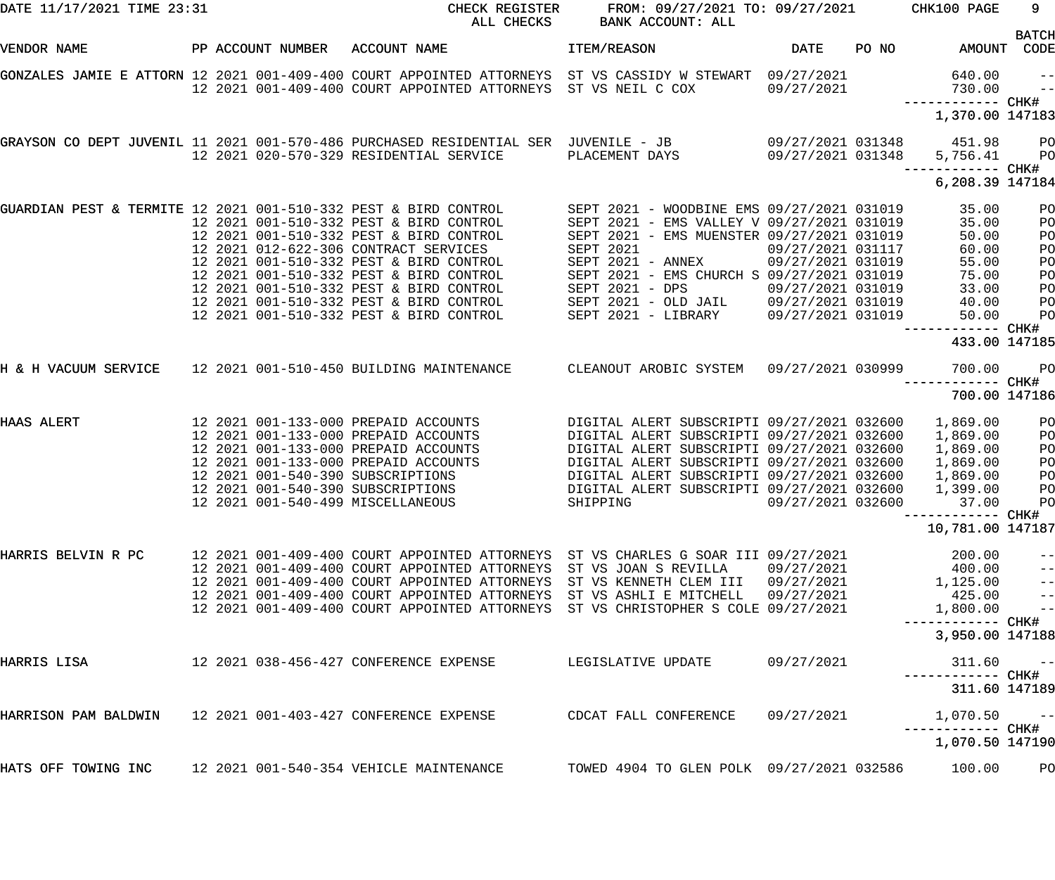| DATE 11/17/2021 TIME 23:31                                      |                   | CHECK REGISTER<br>ALL CHECKS                                                                                                                                                                                                                                                                                                                       | FROM: 09/27/2021 TO: 09/27/2021<br>BANK ACCOUNT: ALL                                                                                                                                                                                                                                                                |                                                                                  |       | CHK100 PAGE                                                                                       | 9                                                                        |
|-----------------------------------------------------------------|-------------------|----------------------------------------------------------------------------------------------------------------------------------------------------------------------------------------------------------------------------------------------------------------------------------------------------------------------------------------------------|---------------------------------------------------------------------------------------------------------------------------------------------------------------------------------------------------------------------------------------------------------------------------------------------------------------------|----------------------------------------------------------------------------------|-------|---------------------------------------------------------------------------------------------------|--------------------------------------------------------------------------|
| VENDOR NAME                                                     | PP ACCOUNT NUMBER | ACCOUNT NAME                                                                                                                                                                                                                                                                                                                                       | ITEM/REASON                                                                                                                                                                                                                                                                                                         | DATE                                                                             | PO NO | AMOUNT                                                                                            | <b>BATCH</b><br>CODE                                                     |
|                                                                 |                   | GONZALES JAMIE E ATTORN 12 2021 001-409-400 COURT APPOINTED ATTORNEYS ST VS CASSIDY W STEWART 09/27/2021<br>12 2021 001-409-400 COURT APPOINTED ATTORNEYS ST VS NEIL C COX                                                                                                                                                                         |                                                                                                                                                                                                                                                                                                                     | 09/27/2021                                                                       |       | 640.00<br>730.00                                                                                  | $- -$<br>$\qquad \qquad -$                                               |
|                                                                 |                   |                                                                                                                                                                                                                                                                                                                                                    |                                                                                                                                                                                                                                                                                                                     |                                                                                  |       | 1,370.00 147183                                                                                   |                                                                          |
|                                                                 |                   | GRAYSON CO DEPT JUVENIL 11 2021 001-570-486 PURCHASED RESIDENTIAL SER JUVENILE - JB<br>12 2021 020-570-329 RESIDENTIAL SERVICE                                                                                                                                                                                                                     | PLACEMENT DAYS                                                                                                                                                                                                                                                                                                      | 09/27/2021 031348<br>09/27/2021 031348                                           |       | 451.98<br>5,756.41<br>—————————— CHK#                                                             | $P$ O<br>P <sub>O</sub>                                                  |
|                                                                 |                   |                                                                                                                                                                                                                                                                                                                                                    |                                                                                                                                                                                                                                                                                                                     |                                                                                  |       | 6,208.39 147184                                                                                   |                                                                          |
| GUARDIAN PEST & TERMITE 12 2021 001-510-332 PEST & BIRD CONTROL |                   | 12 2021 001-510-332 PEST & BIRD CONTROL<br>12 2021 001-510-332 PEST & BIRD CONTROL<br>12 2021 012-622-306 CONTRACT SERVICES<br>12 2021 001-510-332 PEST & BIRD CONTROL<br>12 2021 001-510-332 PEST & BIRD CONTROL<br>12 2021 001-510-332 PEST & BIRD CONTROL<br>12 2021 001-510-332 PEST & BIRD CONTROL<br>12 2021 001-510-332 PEST & BIRD CONTROL | SEPT 2021 - WOODBINE EMS 09/27/2021 031019<br>SEPT 2021 - EMS VALLEY V 09/27/2021 031019<br>SEPT 2021 - EMS MUENSTER 09/27/2021 031019<br><b>SEPT 2021</b><br>SEPT 2021 - ANNEX<br>SEPT 2021 - EMS CHURCH S 09/27/2021 031019<br>SEPT $2021 - DPS$<br>SEPT 2021 - OLD JAIL 09/27/2021 031019<br>SEPT 2021 - LIBRARY | 09/27/2021 031117<br>09/27/2021 031019<br>09/27/2021 031019<br>09/27/2021 031019 |       | 35.00<br>35.00<br>50.00<br>60.00<br>55.00<br>75.00<br>33.00<br>40.00<br>50.00<br>433.00 147185    | PO<br>PO<br>PO<br>PO<br>PO<br>PO<br>PO<br>PO<br>PO                       |
| H & H VACUUM SERVICE 12 2021 001-510-450 BUILDING MAINTENANCE   |                   |                                                                                                                                                                                                                                                                                                                                                    | CLEANOUT AROBIC SYSTEM 09/27/2021 030999                                                                                                                                                                                                                                                                            |                                                                                  |       | 700.00                                                                                            | PO                                                                       |
|                                                                 |                   |                                                                                                                                                                                                                                                                                                                                                    |                                                                                                                                                                                                                                                                                                                     |                                                                                  |       | 700.00 147186                                                                                     |                                                                          |
| HAAS ALERT                                                      |                   | 12 2021 001-133-000 PREPAID ACCOUNTS<br>12 2021 001-133-000 PREPAID ACCOUNTS<br>12 2021 001-133-000 PREPAID ACCOUNTS<br>12 2021 001-133-000 PREPAID ACCOUNTS<br>12 2021 001-540-390 SUBSCRIPTIONS<br>12 2021 001-540-390 SUBSCRIPTIONS<br>12 2021 001-540-499 MISCELLANEOUS                                                                        | DIGITAL ALERT SUBSCRIPTI 09/27/2021 032600<br>DIGITAL ALERT SUBSCRIPTI 09/27/2021 032600<br>DIGITAL ALERT SUBSCRIPTI 09/27/2021 032600<br>DIGITAL ALERT SUBSCRIPTI 09/27/2021 032600<br>DIGITAL ALERT SUBSCRIPTI 09/27/2021 032600<br>DIGITAL ALERT SUBSCRIPTI 09/27/2021 032600<br>SHIPPING                        | 09/27/2021 032600                                                                |       | 1,869.00<br>1,869.00<br>1,869.00<br>1,869.00<br>1,869.00<br>1,399.00<br>37.00<br>10,781.00 147187 | PO<br>PO<br>PO<br>P <sub>O</sub><br>P <sub>O</sub><br>PO<br>PO           |
| HARRIS BELVIN R PC                                              |                   | 12 2021 001-409-400 COURT APPOINTED ATTORNEYS ST VS CHARLES G SOAR III 09/27/2021<br>12 2021 001-409-400 COURT APPOINTED ATTORNEYS ST VS JOAN S REVILLA 09/27/2021<br>12 2021 001-409-400 COURT APPOINTED ATTORNEYS<br>12 2021 001-409-400 COURT APPOINTED ATTORNEYS<br>12 2021 001-409-400 COURT APPOINTED ATTORNEYS                              | ST VS KENNETH CLEM III 09/27/2021<br>ST VS ASHLI E MITCHELL<br>ST VS CHRISTOPHER S COLE 09/27/2021                                                                                                                                                                                                                  | 09/27/2021                                                                       |       | 200.00<br>400.00<br>1,125.00<br>425.00<br>1,800.00<br>3,950.00 147188                             | $\qquad \qquad -$<br>$\begin{array}{c} -1 \\ -1 \\ -1 \\ -1 \end{array}$ |
| HARRIS LISA                                                     |                   | 12  2021  038-456-427  CONFERENCE EXPENSE                                                                                                                                                                                                                                                                                                          | LEGISLATIVE UPDATE                                                                                                                                                                                                                                                                                                  | 09/27/2021                                                                       |       | 311.60                                                                                            | $\sim$ $ -$                                                              |
| HARRISON PAM BALDWIN 12 2021 001-403-427 CONFERENCE EXPENSE     |                   |                                                                                                                                                                                                                                                                                                                                                    | CDCAT FALL CONFERENCE                                                                                                                                                                                                                                                                                               | 09/27/2021                                                                       |       | 311.60 147189<br>$1,070.50$ --                                                                    |                                                                          |
|                                                                 |                   |                                                                                                                                                                                                                                                                                                                                                    |                                                                                                                                                                                                                                                                                                                     |                                                                                  |       | 1,070.50 147190                                                                                   |                                                                          |
| HATS OFF TOWING INC 12 2021 001-540-354 VEHICLE MAINTENANCE     |                   |                                                                                                                                                                                                                                                                                                                                                    | TOWED 4904 TO GLEN POLK 09/27/2021 032586                                                                                                                                                                                                                                                                           |                                                                                  |       | 100.00                                                                                            | PО                                                                       |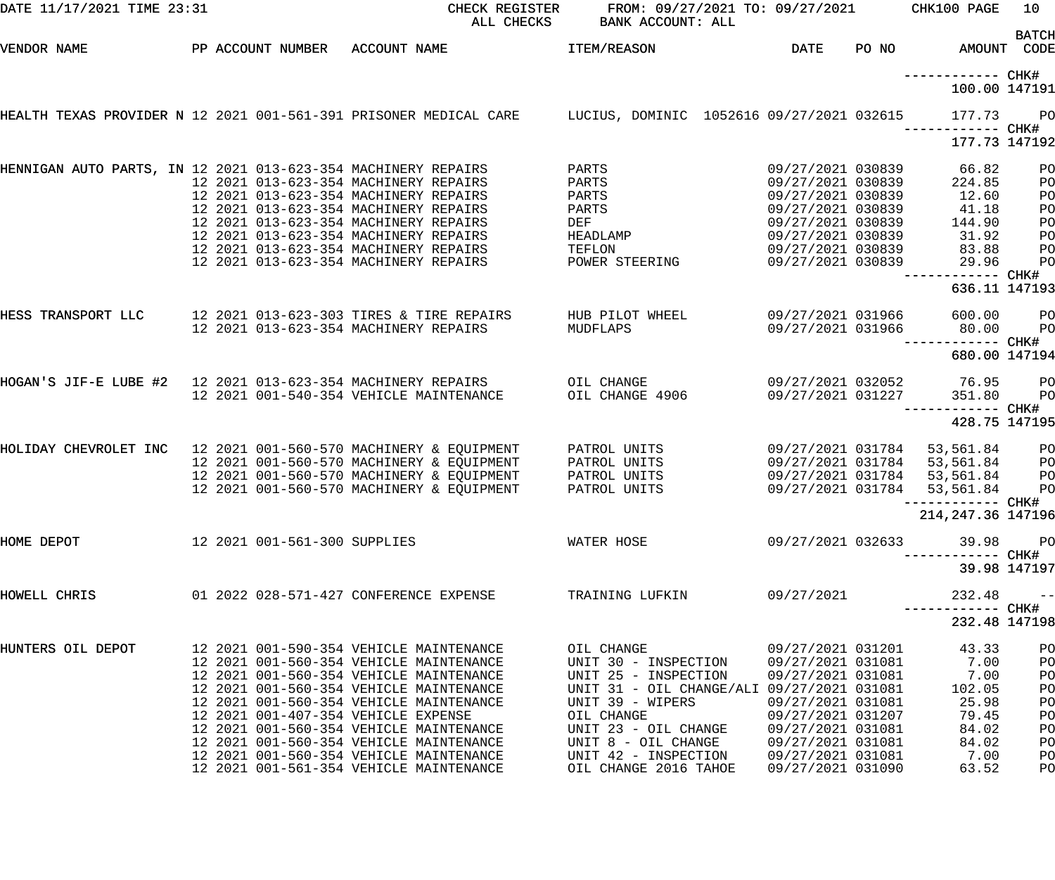| DATE 11/17/2021 TIME 23:31                                                                                       |  |                                                                                        | CHECK REGISTER<br>ALL CHECKS             | FROM: 09/27/2021 TO: 09/27/2021<br>BANK ACCOUNT: ALL                            |                                        |       | CHK100 PAGE                        | 10 <sub>1</sub>      |
|------------------------------------------------------------------------------------------------------------------|--|----------------------------------------------------------------------------------------|------------------------------------------|---------------------------------------------------------------------------------|----------------------------------------|-------|------------------------------------|----------------------|
| VENDOR NAME                                                                                                      |  |                                                                                        | PP ACCOUNT NUMBER ACCOUNT NAME           | <b>ITEM/REASON</b>                                                              | <b>DATE</b>                            | PO NO | AMOUNT CODE                        | <b>BATCH</b>         |
|                                                                                                                  |  |                                                                                        |                                          |                                                                                 |                                        |       | ------------ CHK#<br>100.00 147191 |                      |
| HEALTH TEXAS PROVIDER N 12 2021 001-561-391 PRISONER MEDICAL CARE      LUCIUS, DOMINIC 1052616 09/27/2021 032615 |  |                                                                                        |                                          |                                                                                 |                                        |       | 177.73<br>----------- CHK#         | P <sub>O</sub>       |
|                                                                                                                  |  |                                                                                        |                                          |                                                                                 |                                        |       | 177.73 147192                      |                      |
| HENNIGAN AUTO PARTS, IN 12 2021 013-623-354 MACHINERY REPAIRS                                                    |  | 12 2021 013-623-354 MACHINERY REPAIRS                                                  |                                          | PARTS<br>PARTS                                                                  | 09/27/2021 030839<br>09/27/2021 030839 |       | 66.82<br>224.85                    | PO<br>PO             |
|                                                                                                                  |  | 12 2021 013-623-354 MACHINERY REPAIRS                                                  |                                          | PARTS                                                                           | 09/27/2021 030839                      |       | 12.60                              | PO                   |
|                                                                                                                  |  | 12 2021 013-623-354 MACHINERY REPAIRS<br>12 2021 013-623-354 MACHINERY REPAIRS         |                                          | PARTS<br>DEF                                                                    | 09/27/2021 030839<br>09/27/2021 030839 |       | 41.18<br>144.90                    | PO<br>PO             |
|                                                                                                                  |  | 12 2021 013-623-354 MACHINERY REPAIRS                                                  |                                          | HEADLAMP                                                                        | 09/27/2021 030839                      |       | 31.92                              | PO                   |
|                                                                                                                  |  | 12 2021 013-623-354 MACHINERY REPAIRS                                                  |                                          | TEFLON                                                                          | 09/27/2021 030839                      |       | 83.88                              | PO                   |
|                                                                                                                  |  | 12 2021 013-623-354 MACHINERY REPAIRS                                                  |                                          | POWER STEERING                                                                  | 09/27/2021 030839                      |       | 29.96<br>------------              | PO<br>CHK#           |
|                                                                                                                  |  |                                                                                        |                                          |                                                                                 |                                        |       | 636.11 147193                      |                      |
| HESS TRANSPORT LLC                                                                                               |  |                                                                                        | 12 2021 013-623-303 TIRES & TIRE REPAIRS | HUB PILOT WHEEL                                                                 | 09/27/2021 031966                      |       | 600.00                             | PO                   |
|                                                                                                                  |  | 12 2021 013-623-354 MACHINERY REPAIRS                                                  |                                          | MUDFLAPS                                                                        | 09/27/2021 031966                      |       | 80.00<br>------------ CHK#         | PO                   |
|                                                                                                                  |  |                                                                                        |                                          |                                                                                 |                                        |       | 680.00 147194                      |                      |
| HOGAN'S JIF-E LUBE #2   12 2021 013-623-354 MACHINERY REPAIRS                                                    |  |                                                                                        |                                          | OIL CHANGE                                                                      | 09/27/2021 032052                      |       | 76.95                              | PO                   |
|                                                                                                                  |  | 12 2021 001-540-354 VEHICLE MAINTENANCE                                                |                                          | OIL CHANGE 4906                                                                 | 09/27/2021 031227                      |       | 351.80                             | PO                   |
|                                                                                                                  |  |                                                                                        |                                          |                                                                                 |                                        |       | 428.75 147195                      |                      |
| HOLIDAY CHEVROLET INC 12 2021 001-560-570 MACHINERY & EQUIPMENT                                                  |  |                                                                                        |                                          | PATROL UNITS                                                                    | 09/27/2021 031784                      |       | 53,561.84                          | PO                   |
|                                                                                                                  |  | 12 2021 001-560-570 MACHINERY & EQUIPMENT                                              |                                          | PATROL UNITS                                                                    | 09/27/2021 031784                      |       | 53,561.84                          | PO                   |
|                                                                                                                  |  | 12 2021 001-560-570 MACHINERY & EQUIPMENT<br>12 2021 001-560-570 MACHINERY & EQUIPMENT |                                          | PATROL UNITS<br>PATROL UNITS                                                    | 09/27/2021 031784<br>09/27/2021 031784 |       | 53,561.84<br>53,561.84             | PO<br>PO             |
|                                                                                                                  |  |                                                                                        |                                          |                                                                                 |                                        |       | ------------ CHK#                  |                      |
|                                                                                                                  |  |                                                                                        |                                          |                                                                                 |                                        |       | 214, 247.36 147196                 |                      |
| HOME DEPOT                                                                                                       |  |                                                                                        | 12 2021 001-561-300 SUPPLIES             | WATER HOSE                                                                      | 09/27/2021 032633                      |       |                                    | 39.98 PO             |
|                                                                                                                  |  |                                                                                        |                                          |                                                                                 |                                        |       |                                    | 39.98 147197         |
| HOWELL CHRIS                                                                                                     |  |                                                                                        |                                          | 01  2022  028-571-427  CONFERENCE EXPENSE  TRAINING LUFKIN   09/27/2021         |                                        |       | 232.48                             | $- -$                |
|                                                                                                                  |  |                                                                                        |                                          |                                                                                 |                                        |       | 232.48 147198                      |                      |
| HUNTERS OIL DEPOT                                                                                                |  |                                                                                        |                                          | OIL CHANGE                                                                      | 09/27/2021 031201                      |       | 43.33                              | PO                   |
|                                                                                                                  |  | 12 2021 001-560-354 VEHICLE MAINTENANCE<br>12 2021 001-560-354 VEHICLE MAINTENANCE     |                                          | UNIT 30 - INSPECTION 09/27/2021 031081 7.00<br>UNIT 25 - INSPECTION             |                                        |       | 09/27/2021 031081 7.00             | P <sub>O</sub><br>PO |
|                                                                                                                  |  | 12 2021 001-560-354 VEHICLE MAINTENANCE                                                |                                          | UNIT 31 - OIL CHANGE/ALI 09/27/2021 031081                                      |                                        |       | 102.05                             | PO                   |
|                                                                                                                  |  | 12 2021 001-560-354 VEHICLE MAINTENANCE                                                |                                          | UNIT 39 - WIPERS                                                                | 09/27/2021 031081                      |       | 25.98                              | PO                   |
|                                                                                                                  |  | 12 2021 001-407-354 VEHICLE EXPENSE                                                    |                                          | OIL CHANGE                                                                      | 09/27/2021 031207                      |       | 79.45                              | PO                   |
|                                                                                                                  |  | 12 2021 001-560-354 VEHICLE MAINTENANCE                                                |                                          | UNIT 23 - OIL CHANGE 09/27/2021 031081                                          |                                        |       | 84.02                              | P <sub>O</sub>       |
|                                                                                                                  |  | 12 2021 001-560-354 VEHICLE MAINTENANCE<br>12 2021 001-560-354 VEHICLE MAINTENANCE     |                                          | UNIT 8 - OIL CHANGE 09/27/2021 031081<br>UNIT 42 - INSPECTION 09/27/2021 031081 |                                        |       | 84.02<br>7.00                      | P <sub>O</sub><br>PO |
|                                                                                                                  |  | 12 2021 001-561-354 VEHICLE MAINTENANCE                                                |                                          | OIL CHANGE 2016 TAHOE                                                           | 09/27/2021 031090                      |       | 63.52                              | PO                   |
|                                                                                                                  |  |                                                                                        |                                          |                                                                                 |                                        |       |                                    |                      |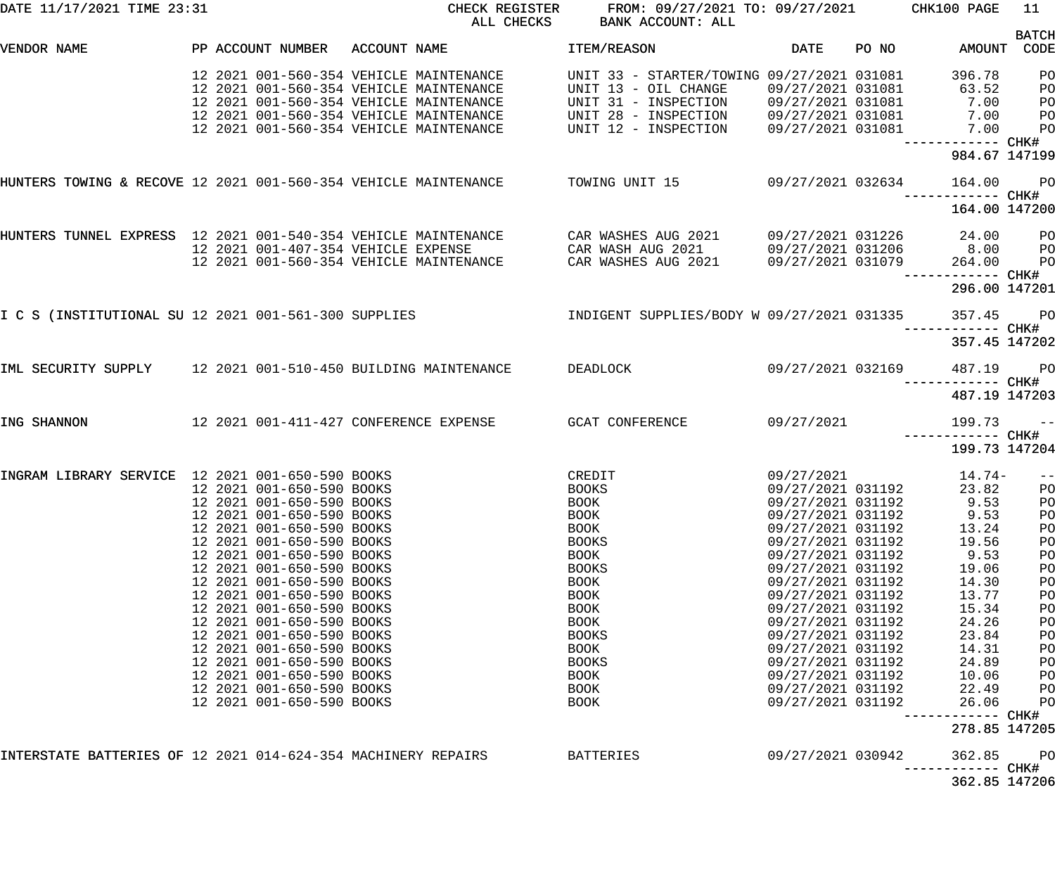| DATE 11/17/2021 TIME 23:31                                                     |                                           |              | CHECK REGISTER<br>ALL CHECKS | FROM: 09/27/2021 TO: 09/27/2021<br>BANK ACCOUNT: ALL |                     |       | CHK100 PAGE                 | 11                   |
|--------------------------------------------------------------------------------|-------------------------------------------|--------------|------------------------------|------------------------------------------------------|---------------------|-------|-----------------------------|----------------------|
| VENDOR NAME                                                                    | PP ACCOUNT NUMBER                         | ACCOUNT NAME |                              | ITEM/REASON                                          | DATE                | PO NO | AMOUNT                      | <b>BATCH</b><br>CODE |
|                                                                                |                                           |              |                              |                                                      |                     |       |                             |                      |
|                                                                                | 12 2021 001-560-354 VEHICLE MAINTENANCE   |              |                              | UNIT 33 - STARTER/TOWING 09/27/2021 031081           |                     |       | 396.78                      | PO                   |
|                                                                                | 12 2021 001-560-354 VEHICLE MAINTENANCE   |              |                              | UNIT 13 - OIL CHANGE                                 | 09/27/2021 031081   |       | 63.52                       | PO                   |
|                                                                                | 12 2021 001-560-354 VEHICLE MAINTENANCE   |              |                              | UNIT 31 - INSPECTION                                 | 09/27/2021 031081   |       | 7.00                        | PO                   |
|                                                                                | 12 2021 001-560-354 VEHICLE MAINTENANCE   |              |                              | UNIT 28 - INSPECTION                                 | 09/27/2021 031081   |       | 7.00                        | PO                   |
|                                                                                | 12 2021 001-560-354 VEHICLE MAINTENANCE   |              |                              | UNIT 12 - INSPECTION                                 | 09/27/2021 031081   |       | 7.00                        | P <sub>O</sub>       |
|                                                                                |                                           |              |                              |                                                      |                     |       | ------------ CHK#           |                      |
|                                                                                |                                           |              |                              |                                                      |                     |       | 984.67 147199               |                      |
| HUNTERS TOWING & RECOVE 12 2021 001-560-354 VEHICLE MAINTENANCE TOWING UNIT 15 |                                           |              |                              |                                                      | $09/27/2021$ 032634 |       | 164.00                      | $P$ O                |
|                                                                                |                                           |              |                              |                                                      |                     |       | 164.00 147200               |                      |
| HUNTERS TUNNEL EXPRESS 12 2021 001-540-354 VEHICLE MAINTENANCE                 |                                           |              |                              | CAR WASHES AUG 2021                                  |                     |       | 09/27/2021 031226 24.00     | P <sub>O</sub>       |
|                                                                                | 12 2021 001-407-354 VEHICLE EXPENSE       |              |                              | CAR WASH AUG 2021                                    | 09/27/2021 031206   |       | 8.00                        | P <sub>O</sub>       |
|                                                                                | 12 2021 001-560-354 VEHICLE MAINTENANCE   |              |                              | CAR WASHES AUG 2021                                  | 09/27/2021 031079   |       | 264.00                      | PO                   |
|                                                                                |                                           |              |                              |                                                      |                     |       |                             |                      |
|                                                                                |                                           |              |                              |                                                      |                     |       | 296.00 147201               |                      |
| I C S (INSTITUTIONAL SU 12 2021 001-561-300 SUPPLIES                           |                                           |              |                              | INDIGENT SUPPLIES/BODY W 09/27/2021 031335           |                     |       | 357.45                      | $P$ O                |
|                                                                                |                                           |              |                              |                                                      |                     |       | 357.45 147202               |                      |
| IML SECURITY SUPPLY 12 2021 001-510-450 BUILDING MAINTENANCE                   |                                           |              |                              | DEADLOCK                                             | 09/27/2021 032169   |       | 487.19                      | <b>PO</b>            |
|                                                                                |                                           |              |                              |                                                      |                     |       | 487.19 147203               |                      |
| ING SHANNON                                                                    | 12  2021  001-411-427  CONFERENCE EXPENSE |              |                              | GCAT CONFERENCE                                      | 09/27/2021          |       | 199.73                      | $ -$                 |
|                                                                                |                                           |              |                              |                                                      |                     |       | ----------<br>199.73 147204 | $--$ CHK#            |
| INGRAM LIBRARY SERVICE 12 2021 001-650-590 BOOKS                               |                                           |              |                              | CREDIT                                               | 09/27/2021          |       | 14.74-                      | $- -$                |
|                                                                                | 12 2021 001-650-590 BOOKS                 |              |                              | <b>BOOKS</b>                                         | 09/27/2021 031192   |       | 23.82                       | P <sub>O</sub>       |
|                                                                                | 12 2021 001-650-590 BOOKS                 |              |                              | <b>BOOK</b>                                          | 09/27/2021 031192   |       | 9.53 P                      |                      |
|                                                                                | 12 2021 001-650-590 BOOKS                 |              |                              | <b>BOOK</b>                                          | 09/27/2021 031192   |       | 9.53                        | PO                   |
|                                                                                | 12 2021 001-650-590 BOOKS                 |              |                              | BOOK                                                 | 09/27/2021 031192   |       | 13.24                       | PO                   |
|                                                                                | 12 2021 001-650-590 BOOKS                 |              |                              | <b>BOOKS</b>                                         | 09/27/2021 031192   |       | 19.56                       | PO                   |
|                                                                                | 12 2021 001-650-590 BOOKS                 |              |                              | <b>BOOK</b>                                          | 09/27/2021 031192   |       | 9.53                        | PO                   |
|                                                                                | 12 2021 001-650-590 BOOKS                 |              |                              | <b>BOOKS</b>                                         | 09/27/2021 031192   |       | 19.06                       | PO                   |
|                                                                                | 12 2021 001-650-590 BOOKS                 |              |                              |                                                      |                     |       | 14.30                       |                      |
|                                                                                |                                           |              |                              | BOOK                                                 | 09/27/2021 031192   |       |                             | PO                   |
|                                                                                | 12 2021 001-650-590 BOOKS                 |              |                              | <b>BOOK</b>                                          | 09/27/2021 031192   |       | 13.77                       | PO                   |
|                                                                                | 12 2021 001-650-590 BOOKS                 |              |                              | <b>BOOK</b>                                          | 09/27/2021 031192   |       | 15.34                       | PO                   |
|                                                                                | 12 2021 001-650-590 BOOKS                 |              |                              | <b>BOOK</b>                                          | 09/27/2021 031192   |       | 24.26                       | PO                   |
|                                                                                | 12 2021 001-650-590 BOOKS                 |              |                              | <b>BOOKS</b>                                         | 09/27/2021 031192   |       | 23.84                       | PO                   |
|                                                                                | 12 2021 001-650-590 BOOKS                 |              |                              | <b>BOOK</b>                                          | 09/27/2021 031192   |       | 14.31                       | PO                   |
|                                                                                | 12 2021 001-650-590 BOOKS                 |              |                              | <b>BOOKS</b>                                         | 09/27/2021 031192   |       | 24.89                       | PO                   |
|                                                                                | 12 2021 001-650-590 BOOKS                 |              |                              | BOOK                                                 | 09/27/2021 031192   |       | 10.06                       | PO                   |
|                                                                                | 12 2021 001-650-590 BOOKS                 |              |                              | BOOK                                                 | 09/27/2021 031192   |       | 22.49                       | PO                   |
|                                                                                | 12 2021 001-650-590 BOOKS                 |              |                              | BOOK                                                 | 09/27/2021 031192   |       | 26.06<br>------------       | PO<br>CHK#           |
|                                                                                |                                           |              |                              |                                                      |                     |       | 278.85 147205               |                      |
| INTERSTATE BATTERIES OF 12 2021 014-624-354 MACHINERY REPAIRS                  |                                           |              |                              | <b>BATTERIES</b>                                     | 09/27/2021 030942   |       | 362.85                      | PO<br>CHK#           |
|                                                                                |                                           |              |                              |                                                      |                     |       | 362.85 147206               |                      |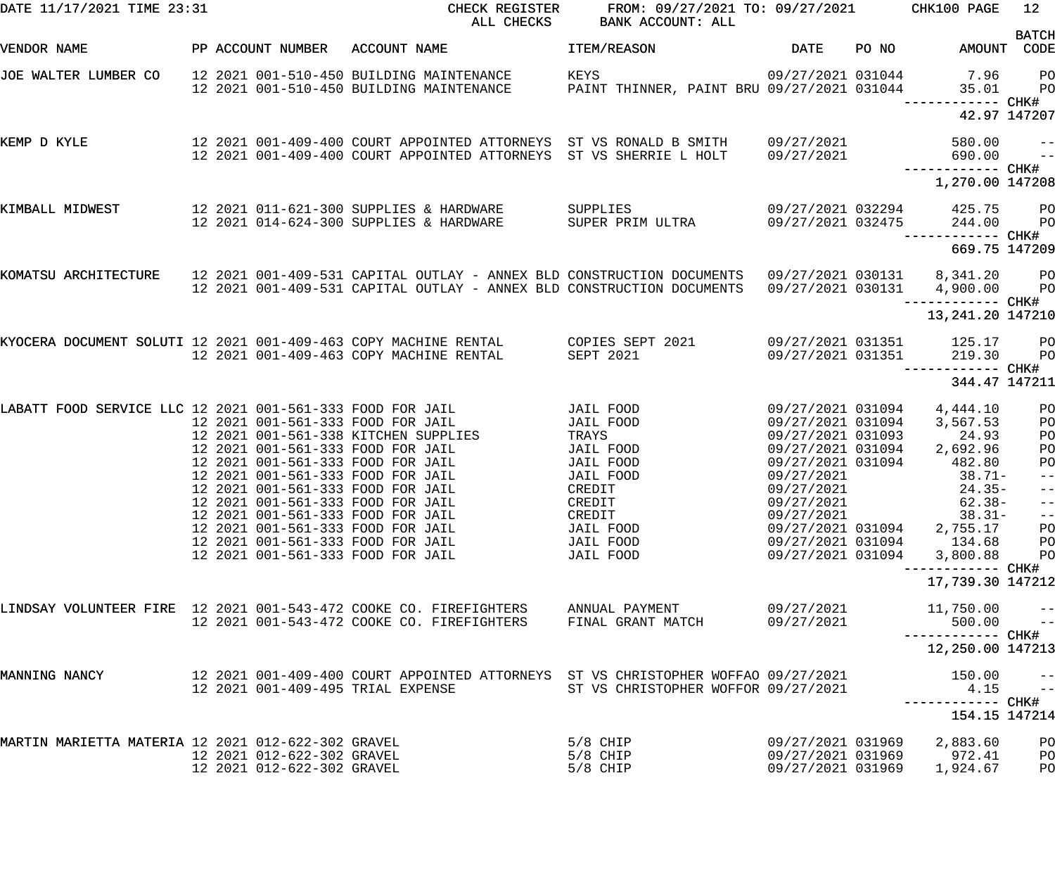| DATE 11/17/2021 TIME 23:31                                      |                                                          | CHECK REGISTER<br>ALL CHECKS                                                                                                                                                                                                                                                                                                                                                                                           | FROM: 09/27/2021 TO: 09/27/2021<br>BANK ACCOUNT: ALL                                                                                        |                                                                                                                                                                                                                              |       | CHK100 PAGE                                                                                                                           | 12                                                                                          |
|-----------------------------------------------------------------|----------------------------------------------------------|------------------------------------------------------------------------------------------------------------------------------------------------------------------------------------------------------------------------------------------------------------------------------------------------------------------------------------------------------------------------------------------------------------------------|---------------------------------------------------------------------------------------------------------------------------------------------|------------------------------------------------------------------------------------------------------------------------------------------------------------------------------------------------------------------------------|-------|---------------------------------------------------------------------------------------------------------------------------------------|---------------------------------------------------------------------------------------------|
| VENDOR NAME                                                     | PP ACCOUNT NUMBER                                        | ACCOUNT NAME                                                                                                                                                                                                                                                                                                                                                                                                           | ITEM/REASON                                                                                                                                 | <b>DATE</b>                                                                                                                                                                                                                  | PO NO | AMOUNT CODE                                                                                                                           | <b>BATCH</b>                                                                                |
| JOE WALTER LUMBER CO                                            |                                                          | 12 2021 001-510-450 BUILDING MAINTENANCE<br>12 2021 001-510-450 BUILDING MAINTENANCE                                                                                                                                                                                                                                                                                                                                   | KEYS<br>PAINT THINNER, PAINT BRU 09/27/2021 031044                                                                                          | 09/27/2021 031044                                                                                                                                                                                                            |       | 7.96<br>35.01                                                                                                                         | PO<br>PO                                                                                    |
|                                                                 |                                                          |                                                                                                                                                                                                                                                                                                                                                                                                                        |                                                                                                                                             |                                                                                                                                                                                                                              |       | 42.97 147207                                                                                                                          |                                                                                             |
| KEMP D KYLE                                                     |                                                          | 12 2021 001-409-400 COURT APPOINTED ATTORNEYS ST VS RONALD B SMITH<br>12 2021 001-409-400 COURT APPOINTED ATTORNEYS ST VS SHERRIE L HOLT                                                                                                                                                                                                                                                                               |                                                                                                                                             | 09/27/2021<br>09/27/2021                                                                                                                                                                                                     |       | 580.00<br>690.00<br>------------ CHK#                                                                                                 | $- -$<br>$ -$                                                                               |
|                                                                 |                                                          |                                                                                                                                                                                                                                                                                                                                                                                                                        |                                                                                                                                             |                                                                                                                                                                                                                              |       | 1,270.00 147208                                                                                                                       |                                                                                             |
| KIMBALL MIDWEST                                                 |                                                          | 12 2021 011-621-300 SUPPLIES & HARDWARE<br>12 2021 014-624-300 SUPPLIES & HARDWARE                                                                                                                                                                                                                                                                                                                                     | SUPPLIES<br>SUPER PRIM ULTRA                                                                                                                | 09/27/2021 032294<br>09/27/2021 032475                                                                                                                                                                                       |       | 425.75<br>244.00                                                                                                                      | PО<br>PO                                                                                    |
|                                                                 |                                                          |                                                                                                                                                                                                                                                                                                                                                                                                                        |                                                                                                                                             |                                                                                                                                                                                                                              |       | 669.75 147209                                                                                                                         |                                                                                             |
| KOMATSU ARCHITECTURE                                            |                                                          | 12 2021 001-409-531 CAPITAL OUTLAY - ANNEX BLD CONSTRUCTION DOCUMENTS<br>12 2021 001-409-531 CAPITAL OUTLAY - ANNEX BLD CONSTRUCTION DOCUMENTS                                                                                                                                                                                                                                                                         |                                                                                                                                             | 09/27/2021 030131<br>09/27/2021 030131                                                                                                                                                                                       |       | 8,341.20<br>4,900.00<br>----------- CHK#                                                                                              | P <sub>O</sub><br>P <sub>O</sub>                                                            |
|                                                                 |                                                          |                                                                                                                                                                                                                                                                                                                                                                                                                        |                                                                                                                                             |                                                                                                                                                                                                                              |       | 13, 241. 20 147210                                                                                                                    |                                                                                             |
| KYOCERA DOCUMENT SOLUTI 12 2021 001-409-463 COPY MACHINE RENTAL |                                                          | 12 2021 001-409-463 COPY MACHINE RENTAL                                                                                                                                                                                                                                                                                                                                                                                | COPIES SEPT 2021<br>SEPT 2021                                                                                                               | 09/27/2021 031351<br>09/27/2021 031351                                                                                                                                                                                       |       | 125.17<br>219.30                                                                                                                      | PО<br>P <sub>O</sub>                                                                        |
|                                                                 |                                                          |                                                                                                                                                                                                                                                                                                                                                                                                                        |                                                                                                                                             |                                                                                                                                                                                                                              |       | 344.47 147211                                                                                                                         |                                                                                             |
| LABATT FOOD SERVICE LLC 12 2021 001-561-333 FOOD FOR JAIL       |                                                          | 12 2021 001-561-333 FOOD FOR JAIL<br>12 2021 001-561-338 KITCHEN SUPPLIES<br>12 2021 001-561-333 FOOD FOR JAIL<br>12 2021 001-561-333 FOOD FOR JAIL<br>12 2021 001-561-333 FOOD FOR JAIL<br>12 2021 001-561-333 FOOD FOR JAIL<br>12 2021 001-561-333 FOOD FOR JAIL<br>12 2021 001-561-333 FOOD FOR JAIL<br>12 2021 001-561-333 FOOD FOR JAIL<br>12 2021 001-561-333 FOOD FOR JAIL<br>12 2021 001-561-333 FOOD FOR JAIL | JAIL FOOD<br>JAIL FOOD<br>TRAYS<br>JAIL FOOD<br>JAIL FOOD<br>JAIL FOOD<br>CREDIT<br>CREDIT<br>CREDIT<br>JAIL FOOD<br>JAIL FOOD<br>JAIL FOOD | 09/27/2021 031094<br>09/27/2021 031094<br>09/27/2021 031093<br>09/27/2021 031094<br>09/27/2021 031094<br>09/27/2021<br>09/27/2021<br>09/27/2021<br>09/27/2021<br>09/27/2021 031094<br>09/27/2021 031094<br>09/27/2021 031094 |       | 4,444.10<br>3,567.53<br>24.93<br>2,692.96<br>482.80<br>$38.71-$<br>$24.35-$<br>$62.38-$<br>$38.31-$<br>2,755.17<br>134.68<br>3,800.88 | PO<br>PO<br>PO<br>PO<br>PO<br>$\frac{-}{-}$<br>$- -$<br>$- -$<br>PO<br>PО<br>P <sub>O</sub> |
|                                                                 |                                                          |                                                                                                                                                                                                                                                                                                                                                                                                                        |                                                                                                                                             |                                                                                                                                                                                                                              |       | 17,739.30 147212                                                                                                                      |                                                                                             |
|                                                                 |                                                          | LINDSAY VOLUNTEER FIRE 12 2021 001-543-472 COOKE CO. FIREFIGHTERS<br>12 2021 001-543-472 COOKE CO. FIREFIGHTERS                                                                                                                                                                                                                                                                                                        | ANNUAL PAYMENT<br>FINAL GRANT MATCH                                                                                                         | 09/27/2021<br>09/27/2021                                                                                                                                                                                                     |       | 11,750.00<br>500.00<br>12,250.00 147213                                                                                               | $- -$<br>$\qquad \qquad -$                                                                  |
| MANNING NANCY                                                   |                                                          | 12 2021 001-409-400 COURT APPOINTED ATTORNEYS ST VS CHRISTOPHER WOFFAO 09/27/2021<br>12 2021 001-409-495 TRIAL EXPENSE                                                                                                                                                                                                                                                                                                 | ST VS CHRISTOPHER WOFFOR 09/27/2021                                                                                                         |                                                                                                                                                                                                                              |       | 150.00<br>4.15<br>154.15 147214                                                                                                       | $- -$<br>$\frac{1}{2}$                                                                      |
| MARTIN MARIETTA MATERIA 12 2021 012-622-302 GRAVEL              | 12 2021 012-622-302 GRAVEL<br>12 2021 012-622-302 GRAVEL |                                                                                                                                                                                                                                                                                                                                                                                                                        | 5/8 CHIP<br>5/8 CHIP<br>$5/8$ CHIP                                                                                                          | 09/27/2021 031969<br>09/27/2021 031969<br>09/27/2021 031969                                                                                                                                                                  |       | 2,883.60<br>972.41<br>1,924.67                                                                                                        | PO<br>P <sub>O</sub><br>PO                                                                  |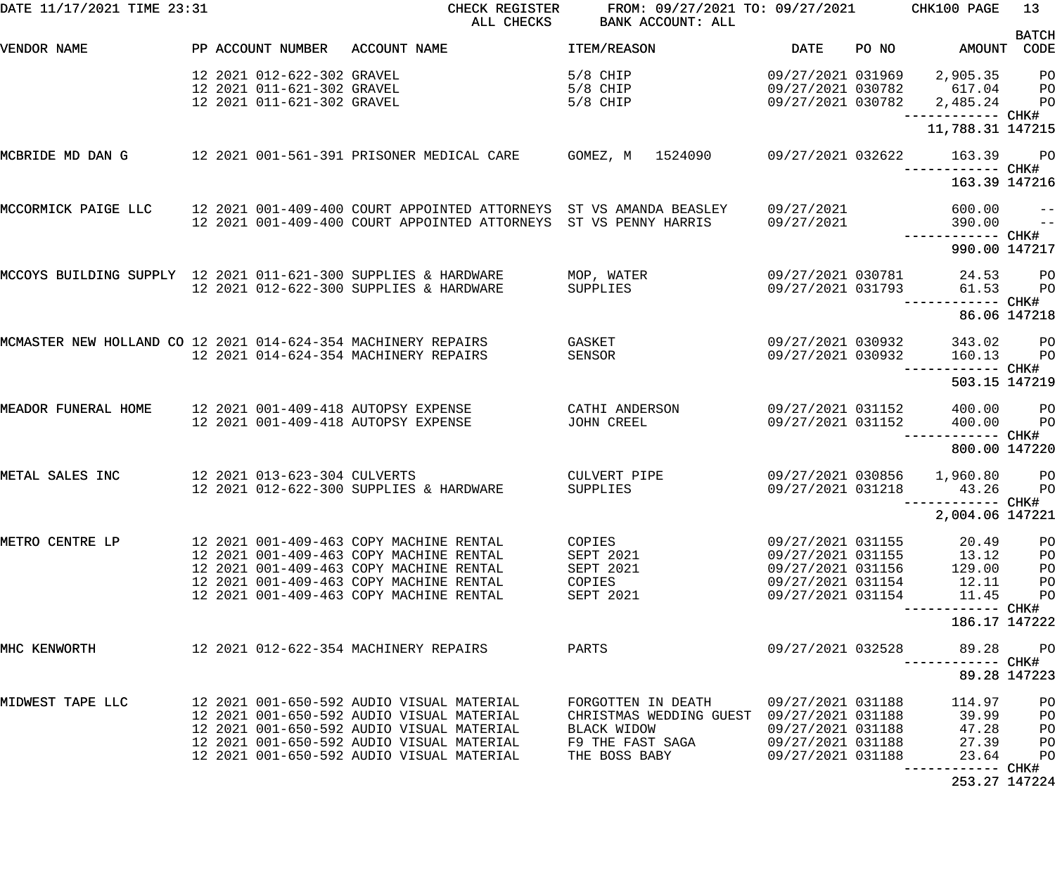| DATE 11/17/2021 TIME 23:31                                     |                                                                                        | CHECK REGISTER<br>ALL CHECKS                                                                                                                                                                                                  | FROM: 09/27/2021 TO: 09/27/2021<br>BANK ACCOUNT: ALL                                                                |                                                                                                       |       | CHK100 PAGE                                         | 13                                     |
|----------------------------------------------------------------|----------------------------------------------------------------------------------------|-------------------------------------------------------------------------------------------------------------------------------------------------------------------------------------------------------------------------------|---------------------------------------------------------------------------------------------------------------------|-------------------------------------------------------------------------------------------------------|-------|-----------------------------------------------------|----------------------------------------|
| VENDOR NAME                                                    | PP ACCOUNT NUMBER                                                                      | ACCOUNT NAME                                                                                                                                                                                                                  | ITEM/REASON                                                                                                         | <b>DATE</b>                                                                                           | PO NO | AMOUNT CODE                                         | <b>BATCH</b>                           |
|                                                                | 12 2021 012-622-302 GRAVEL<br>12 2021 011-621-302 GRAVEL<br>12 2021 011-621-302 GRAVEL |                                                                                                                                                                                                                               | $5/8$ CHIP<br>5/8 CHIP<br>5/8 CHIP                                                                                  | 09/27/2021 031969<br>09/27/2021 030782<br>09/27/2021 030782                                           |       | 2,905.35<br>617.04<br>2,485.24<br>------------ CHK# | P <sub>O</sub><br>P <sub>O</sub><br>PO |
|                                                                |                                                                                        |                                                                                                                                                                                                                               |                                                                                                                     |                                                                                                       |       | 11,788.31 147215                                    |                                        |
| MCBRIDE MD DAN G                                               |                                                                                        | 12  2021  001-561-391  PRISONER MEDICAL CARE                                                                                                                                                                                  | GOMEZ, M 1524090                                                                                                    | 09/27/2021 032622                                                                                     |       | 163.39<br>----------- CHK#                          | <b>PO</b>                              |
|                                                                |                                                                                        |                                                                                                                                                                                                                               |                                                                                                                     |                                                                                                       |       | 163.39 147216                                       |                                        |
| MCCORMICK PAIGE LLC                                            |                                                                                        | 12 2021 001-409-400 COURT APPOINTED ATTORNEYS ST VS AMANDA BEASLEY<br>12 2021 001-409-400 COURT APPOINTED ATTORNEYS ST VS PENNY HARRIS                                                                                        |                                                                                                                     | 09/27/2021<br>09/27/2021                                                                              |       | 600.00<br>390.00                                    | $ -$<br>$ -$                           |
|                                                                |                                                                                        |                                                                                                                                                                                                                               |                                                                                                                     |                                                                                                       |       | 990.00 147217                                       |                                        |
| MCCOYS BUILDING SUPPLY 12 2021 011-621-300 SUPPLIES & HARDWARE |                                                                                        | 12 2021 012-622-300 SUPPLIES & HARDWARE                                                                                                                                                                                       | MOP, WATER<br>SUPPLIES                                                                                              | 09/27/2021 030781<br>09/27/2021 031793                                                                |       | 24.53<br>61.53                                      | P <sub>O</sub><br>P <sub>O</sub>       |
|                                                                |                                                                                        |                                                                                                                                                                                                                               |                                                                                                                     |                                                                                                       |       | ------ CHK#                                         | 86.06 147218                           |
| MCMASTER NEW HOLLAND CO 12 2021 014-624-354 MACHINERY REPAIRS  |                                                                                        | 12 2021 014-624-354 MACHINERY REPAIRS                                                                                                                                                                                         | GASKET<br>SENSOR                                                                                                    | 09/27/2021 030932<br>09/27/2021 030932                                                                |       | 343.02<br>160.13                                    | P <sub>O</sub><br>P <sub>O</sub>       |
|                                                                |                                                                                        |                                                                                                                                                                                                                               |                                                                                                                     |                                                                                                       |       | ------ CHK#<br>503.15 147219                        |                                        |
| MEADOR FUNERAL HOME                                            |                                                                                        | 12 2021 001-409-418 AUTOPSY EXPENSE<br>12 2021 001-409-418 AUTOPSY EXPENSE                                                                                                                                                    | CATHI ANDERSON<br>JOHN CREEL                                                                                        | 09/27/2021 031152<br>09/27/2021 031152                                                                |       | 400.00<br>400.00<br>------------ CHK#               | P <sub>O</sub><br>PO                   |
|                                                                |                                                                                        |                                                                                                                                                                                                                               |                                                                                                                     |                                                                                                       |       | 800.00 147220                                       |                                        |
| METAL SALES INC                                                | 12 2021 013-623-304 CULVERTS                                                           | 12 2021 012-622-300 SUPPLIES & HARDWARE                                                                                                                                                                                       | CULVERT PIPE<br>SUPPLIES                                                                                            | 09/27/2021 030856<br>09/27/2021 031218                                                                |       | 1,960.80<br>43.26<br>------------ CHK#              | $P$ O<br>PO                            |
|                                                                |                                                                                        |                                                                                                                                                                                                                               |                                                                                                                     |                                                                                                       |       | 2,004.06 147221                                     |                                        |
| METRO CENTRE LP                                                |                                                                                        | 12 2021 001-409-463 COPY MACHINE RENTAL<br>12 2021 001-409-463 COPY MACHINE RENTAL<br>12 2021 001-409-463 COPY MACHINE RENTAL<br>12 2021 001-409-463 COPY MACHINE RENTAL<br>12 2021 001-409-463 COPY MACHINE RENTAL           | COPIES<br>SEPT 2021<br>SEPT 2021<br>COPIES<br>SEPT 2021                                                             | 09/27/2021 031155<br>09/27/2021 031155<br>09/27/2021 031156<br>09/27/2021 031154<br>09/27/2021 031154 |       | 20.49<br>13.12<br>129.00<br>12.11<br>11.45          | PO<br>PO<br>PO<br>PO<br>PO             |
|                                                                |                                                                                        |                                                                                                                                                                                                                               |                                                                                                                     |                                                                                                       |       | 186.17 147222                                       |                                        |
| MHC KENWORTH                                                   |                                                                                        | 12 2021 012-622-354 MACHINERY REPAIRS                                                                                                                                                                                         | PARTS                                                                                                               | 09/27/2021 032528                                                                                     |       | 89.28                                               | $P$ O<br>89.28 147223                  |
| MIDWEST TAPE LLC                                               |                                                                                        | 12 2021 001-650-592 AUDIO VISUAL MATERIAL<br>12 2021 001-650-592 AUDIO VISUAL MATERIAL<br>12 2021 001-650-592 AUDIO VISUAL MATERIAL<br>12 2021 001-650-592 AUDIO VISUAL MATERIAL<br>12 2021 001-650-592 AUDIO VISUAL MATERIAL | FORGOTTEN IN DEATH<br>CHRISTMAS WEDDING GUEST 09/27/2021 031188<br>BLACK WIDOW<br>F9 THE FAST SAGA<br>THE BOSS BABY | 09/27/2021 031188<br>09/27/2021 031188<br>09/27/2021 031188<br>09/27/2021 031188                      |       | 114.97<br>39.99<br>47.28<br>27.39<br>23.64          | PO<br>PO<br>PO<br>PO<br>PO             |
|                                                                |                                                                                        |                                                                                                                                                                                                                               |                                                                                                                     |                                                                                                       |       | 253.27 147224                                       |                                        |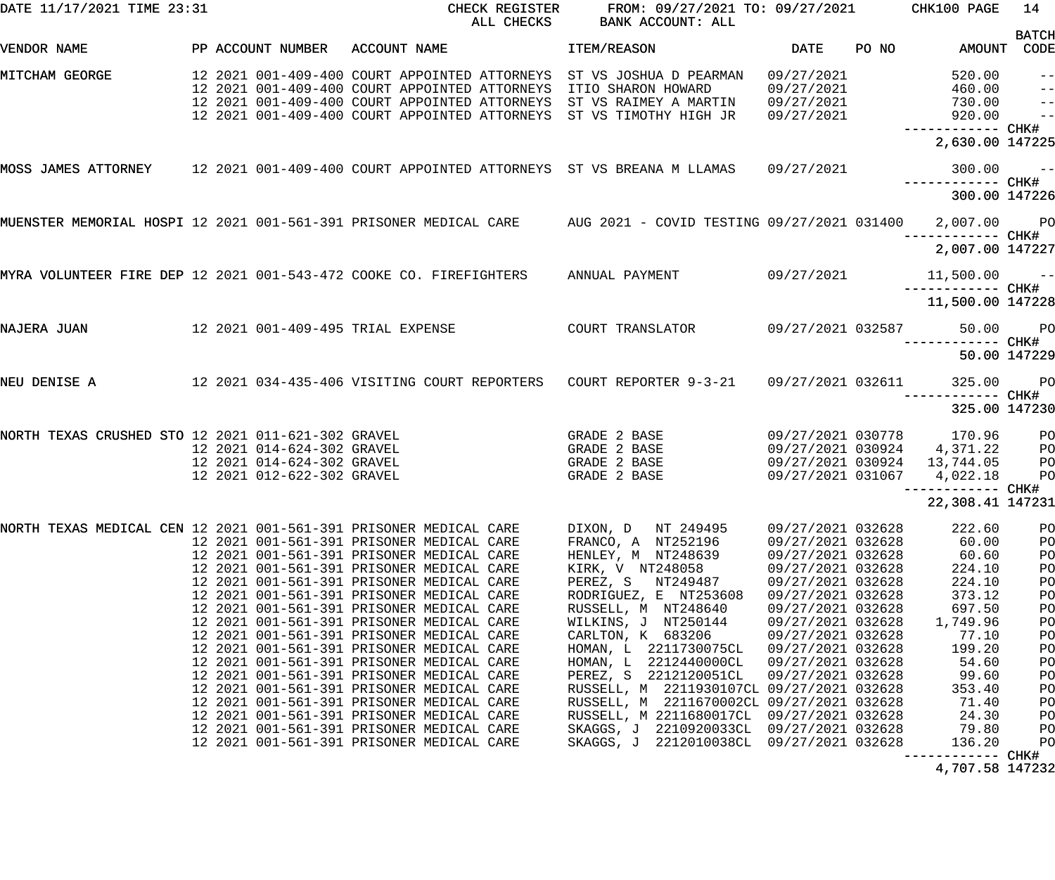| DATE 11/17/2021 TIME 23:31                         |  |                                                                                        | CHECK REGISTER<br>ALL CHECKS                                                                                                                                                                                                                                                                                                                                                                                                                                                                                                                                                                                                                       | FROM: 09/27/2021 TO: 09/27/2021<br>BANK ACCOUNT: ALL                                                                                                                                                                                                                                                                                                                                            |                                                                                                                                                                                                                                     |       | CHK100 PAGE                                                                                                                         | 14                                                                               |
|----------------------------------------------------|--|----------------------------------------------------------------------------------------|----------------------------------------------------------------------------------------------------------------------------------------------------------------------------------------------------------------------------------------------------------------------------------------------------------------------------------------------------------------------------------------------------------------------------------------------------------------------------------------------------------------------------------------------------------------------------------------------------------------------------------------------------|-------------------------------------------------------------------------------------------------------------------------------------------------------------------------------------------------------------------------------------------------------------------------------------------------------------------------------------------------------------------------------------------------|-------------------------------------------------------------------------------------------------------------------------------------------------------------------------------------------------------------------------------------|-------|-------------------------------------------------------------------------------------------------------------------------------------|----------------------------------------------------------------------------------|
| VENDOR NAME                                        |  | PP ACCOUNT NUMBER                                                                      | ACCOUNT NAME                                                                                                                                                                                                                                                                                                                                                                                                                                                                                                                                                                                                                                       | ITEM/REASON                                                                                                                                                                                                                                                                                                                                                                                     | <b>DATE</b>                                                                                                                                                                                                                         | PO NO | AMOUNT                                                                                                                              | <b>BATCH</b><br>CODE                                                             |
| MITCHAM GEORGE                                     |  |                                                                                        | 12 2021 001-409-400 COURT APPOINTED ATTORNEYS<br>12 2021 001-409-400 COURT APPOINTED ATTORNEYS<br>12 2021 001-409-400 COURT APPOINTED ATTORNEYS<br>12 2021 001-409-400 COURT APPOINTED ATTORNEYS                                                                                                                                                                                                                                                                                                                                                                                                                                                   | ST VS JOSHUA D PEARMAN<br>ITIO SHARON HOWARD<br>ST VS RAIMEY A MARTIN<br>ST VS TIMOTHY HIGH JR                                                                                                                                                                                                                                                                                                  | 09/27/2021<br>09/27/2021<br>09/27/2021<br>09/27/2021                                                                                                                                                                                |       | 520.00<br>460.00<br>730.00<br>920.00<br>—————————— CHK#                                                                             | $ -$<br>$\frac{1}{2}$<br>$\qquad \qquad -$<br>$\frac{1}{2}$                      |
|                                                    |  |                                                                                        |                                                                                                                                                                                                                                                                                                                                                                                                                                                                                                                                                                                                                                                    |                                                                                                                                                                                                                                                                                                                                                                                                 |                                                                                                                                                                                                                                     |       | 2,630.00 147225                                                                                                                     |                                                                                  |
|                                                    |  |                                                                                        | MOSS JAMES ATTORNEY 12 2021 001-409-400 COURT APPOINTED ATTORNEYS ST VS BREANA M LLAMAS                                                                                                                                                                                                                                                                                                                                                                                                                                                                                                                                                            |                                                                                                                                                                                                                                                                                                                                                                                                 | 09/27/2021                                                                                                                                                                                                                          |       | 300.00<br>------------ CHK#                                                                                                         | $\sim$ $ -$                                                                      |
|                                                    |  |                                                                                        |                                                                                                                                                                                                                                                                                                                                                                                                                                                                                                                                                                                                                                                    |                                                                                                                                                                                                                                                                                                                                                                                                 |                                                                                                                                                                                                                                     |       | 300.00 147226                                                                                                                       |                                                                                  |
|                                                    |  |                                                                                        | MUENSTER MEMORIAL HOSPI 12 2021 001-561-391 PRISONER MEDICAL CARE AUG 2021 - COVID TESTING 09/27/2021 031400 2,007.00 PO                                                                                                                                                                                                                                                                                                                                                                                                                                                                                                                           |                                                                                                                                                                                                                                                                                                                                                                                                 |                                                                                                                                                                                                                                     |       | —————————— CHK#                                                                                                                     |                                                                                  |
|                                                    |  |                                                                                        |                                                                                                                                                                                                                                                                                                                                                                                                                                                                                                                                                                                                                                                    |                                                                                                                                                                                                                                                                                                                                                                                                 |                                                                                                                                                                                                                                     |       | 2,007.00 147227                                                                                                                     |                                                                                  |
|                                                    |  |                                                                                        | MYRA VOLUNTEER FIRE DEP 12 2021 001-543-472 COOKE CO. FIREFIGHTERS ANNUAL PAYMENT                                                                                                                                                                                                                                                                                                                                                                                                                                                                                                                                                                  |                                                                                                                                                                                                                                                                                                                                                                                                 | 09/27/2021                                                                                                                                                                                                                          |       | $11,500.00$ --                                                                                                                      |                                                                                  |
|                                                    |  |                                                                                        |                                                                                                                                                                                                                                                                                                                                                                                                                                                                                                                                                                                                                                                    |                                                                                                                                                                                                                                                                                                                                                                                                 |                                                                                                                                                                                                                                     |       | 11,500.00 147228                                                                                                                    |                                                                                  |
| NAJERA JUAN                                        |  |                                                                                        | 12 2021 001-409-495 TRIAL EXPENSE                                                                                                                                                                                                                                                                                                                                                                                                                                                                                                                                                                                                                  | COURT TRANSLATOR                                                                                                                                                                                                                                                                                                                                                                                | 09/27/2021 032587                                                                                                                                                                                                                   |       | ----------- CHK#                                                                                                                    | 50.00 PO                                                                         |
|                                                    |  |                                                                                        |                                                                                                                                                                                                                                                                                                                                                                                                                                                                                                                                                                                                                                                    |                                                                                                                                                                                                                                                                                                                                                                                                 |                                                                                                                                                                                                                                     |       |                                                                                                                                     | 50.00 147229                                                                     |
| NEU DENISE A                                       |  |                                                                                        | 12 2021 034-435-406 VISITING COURT REPORTERS COURT REPORTER 9-3-21 09/27/2021 032611                                                                                                                                                                                                                                                                                                                                                                                                                                                                                                                                                               |                                                                                                                                                                                                                                                                                                                                                                                                 |                                                                                                                                                                                                                                     |       | 325.00                                                                                                                              | <b>PO</b>                                                                        |
|                                                    |  |                                                                                        |                                                                                                                                                                                                                                                                                                                                                                                                                                                                                                                                                                                                                                                    |                                                                                                                                                                                                                                                                                                                                                                                                 |                                                                                                                                                                                                                                     |       | 325.00 147230                                                                                                                       |                                                                                  |
| NORTH TEXAS CRUSHED STO 12 2021 011-621-302 GRAVEL |  | 12 2021 014-624-302 GRAVEL<br>12 2021 014-624-302 GRAVEL<br>12 2021 012-622-302 GRAVEL |                                                                                                                                                                                                                                                                                                                                                                                                                                                                                                                                                                                                                                                    | GRADE 2 BASE<br>GRADE 2 BASE<br>GRADE 2 BASE<br>GRADE 2 BASE                                                                                                                                                                                                                                                                                                                                    | 09/27/2021 030778<br>09/27/2021 030924<br>09/27/2021 030924<br>09/27/2021 031067                                                                                                                                                    |       | 170.96<br>4,371.22<br>13,744.05<br>4,022.18<br>—————————— CHK#                                                                      | PО<br>P <sub>O</sub><br>P <sub>O</sub><br>PO                                     |
|                                                    |  |                                                                                        |                                                                                                                                                                                                                                                                                                                                                                                                                                                                                                                                                                                                                                                    |                                                                                                                                                                                                                                                                                                                                                                                                 |                                                                                                                                                                                                                                     |       | 22,308.41 147231                                                                                                                    |                                                                                  |
|                                                    |  |                                                                                        | 12 2021 001-561-391 PRISONER MEDICAL CARE<br>12 2021 001-561-391 PRISONER MEDICAL CARE<br>12 2021 001-561-391 PRISONER MEDICAL CARE<br>12 2021 001-561-391 PRISONER MEDICAL CARE<br>12 2021 001-561-391 PRISONER MEDICAL CARE<br>12 2021 001-561-391 PRISONER MEDICAL CARE<br>12 2021 001-561-391 PRISONER MEDICAL CARE<br>12 2021 001-561-391 PRISONER MEDICAL CARE<br>12 2021 001-561-391 PRISONER MEDICAL CARE<br>12 2021 001-561-391 PRISONER MEDICAL CARE<br>12 2021 001-561-391 PRISONER MEDICAL CARE<br>12 2021 001-561-391 PRISONER MEDICAL CARE<br>12 2021 001-561-391 PRISONER MEDICAL CARE<br>12 2021 001-561-391 PRISONER MEDICAL CARE | FRANCO, A NT252196<br>HENLEY, M NT248639<br>KIRK, V NT248058<br>PEREZ, S NT249487<br>RODRIGUEZ, E NT253608<br>RUSSELL, M NT248640<br>WILKINS, J NT250144<br>CARLTON, K 683206<br>HOMAN, L 2211730075CL<br>HOMAN, L 2212440000CL<br>PEREZ, S 2212120051CL<br>RUSSELL, M 2211930107CL 09/27/2021 032628<br>RUSSELL, M 2211670002CL 09/27/2021 032628<br>RUSSELL, M 2211680017CL 09/27/2021 032628 | 09/27/2021 032628<br>09/27/2021 032628<br>09/27/2021 032628<br>09/27/2021 032628<br>09/27/2021 032628<br>09/27/2021 032628<br>09/27/2021 032628<br>09/27/2021 032628<br>09/27/2021 032628<br>09/27/2021 032628<br>09/27/2021 032628 |       | 60.00<br>60.60<br>224.10<br>224.10<br>373.12<br>697.50<br>1,749.96<br>77.10<br>199.20<br>54.60<br>99.60<br>353.40<br>71.40<br>24.30 | PO<br>PO<br>PO<br>PO<br>PO<br>PO<br>PO<br>PO<br>PO<br>PO<br>PO<br>PO<br>PO<br>PO |
|                                                    |  |                                                                                        | 12 2021 001-561-391 PRISONER MEDICAL CARE<br>12 2021 001-561-391 PRISONER MEDICAL CARE                                                                                                                                                                                                                                                                                                                                                                                                                                                                                                                                                             | SKAGGS, J 2210920033CL 09/27/2021 032628<br>SKAGGS, J 2212010038CL 09/27/2021 032628                                                                                                                                                                                                                                                                                                            |                                                                                                                                                                                                                                     |       | 79.80<br>136.20                                                                                                                     | PO<br>PO                                                                         |

4,707.58 147232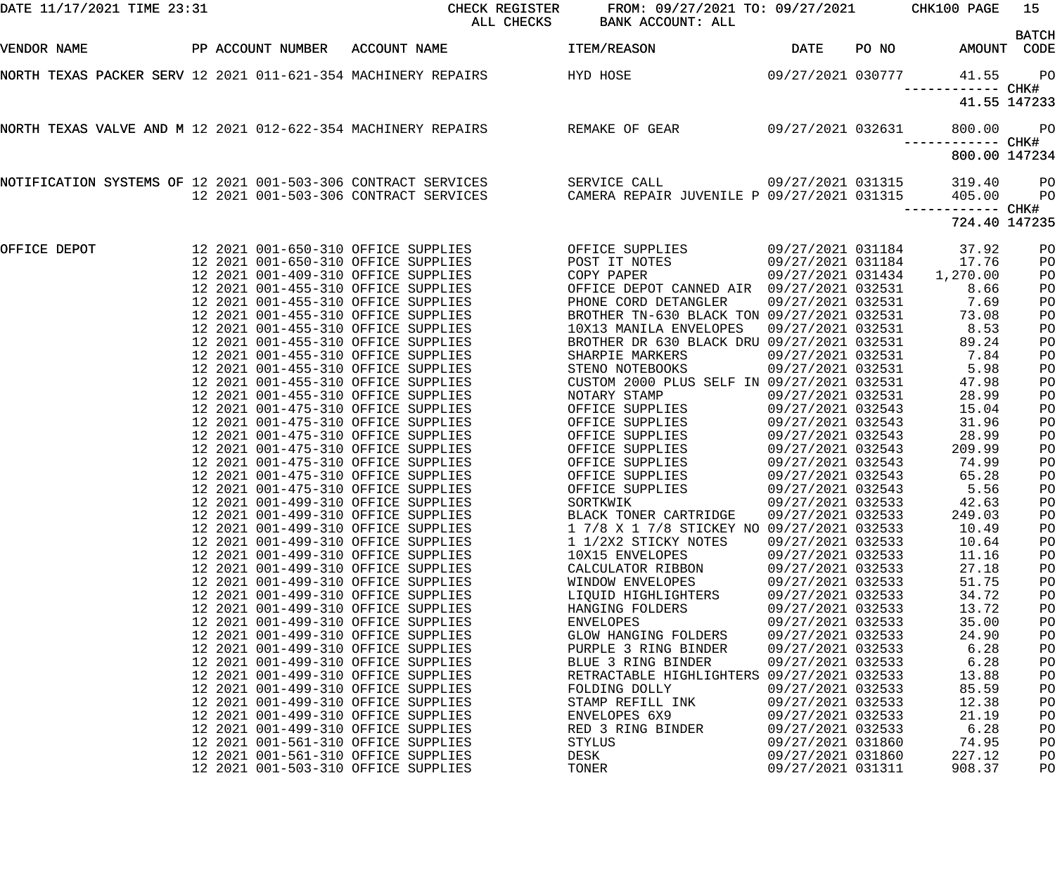| DATE 11/17/2021 TIME 23:31 | CHECK REGISTER<br>ALL CHECKS                                                                                                                                   | FROM: 09/27/2021 TO: 09/27/2021 CHK100 PAGE<br>BANK ACCOUNT: ALL                                                                                                                 |                                                                                  |       |                                     | 15<br><b>BATCH</b>   |
|----------------------------|----------------------------------------------------------------------------------------------------------------------------------------------------------------|----------------------------------------------------------------------------------------------------------------------------------------------------------------------------------|----------------------------------------------------------------------------------|-------|-------------------------------------|----------------------|
| VENDOR NAME                | PP ACCOUNT NUMBER ACCOUNT NAME                                                                                                                                 | ITEM/REASON                                                                                                                                                                      | DATE                                                                             | PO NO | AMOUNT CODE                         |                      |
|                            |                                                                                                                                                                | NORTH TEXAS PACKER SERV 12 2021 011-621-354 MACHINERY REPAIRS HYD HOSE NORTH TEXAS PACKER 8777                                                                                   |                                                                                  |       | 41.55                               | <b>PO</b>            |
|                            |                                                                                                                                                                |                                                                                                                                                                                  |                                                                                  |       |                                     | 41.55 147233         |
|                            |                                                                                                                                                                | NORTH TEXAS VALVE AND M 12 2021 012-622-354 MACHINERY REPAIRS REMAKE OF GEAR 69/27/2021 032631                                                                                   |                                                                                  |       | 800.00                              | <b>PO</b>            |
|                            |                                                                                                                                                                |                                                                                                                                                                                  |                                                                                  |       | 800.00 147234                       |                      |
|                            |                                                                                                                                                                | NOTIFICATION SYSTEMS OF 12 2021 001-503-306 CONTRACT SERVICES SERVICE CALL 09/27/2021 031315<br>12 2021 001-503-306 CONTRACT SERVICES CAMERA REPAIR JUVENILE P 09/27/2021 031315 |                                                                                  |       | 319.40<br>405.00<br>—————————— CHK# | PО<br>P <sub>O</sub> |
|                            |                                                                                                                                                                |                                                                                                                                                                                  |                                                                                  |       | 724.40 147235                       |                      |
| OFFICE DEPOT               | 12  2021  001-650-310  OFFICE SUPPLIES<br>12  2021  001-650-310  OFFICE SUPPLIES<br>12 2021 001-409-310 OFFICE SUPPLIES<br>12 2021 001-455-310 OFFICE SUPPLIES | OFFICE SUPPLIES<br>POST IT NOTES<br>COPY PAPER<br>OFFICE DEPOT CANNED AIR 09/27/2021 032531                                                                                      | 09/27/2021 031184<br>09/27/2021 031184<br>09/27/2021 031434                      |       | 37.92<br>17.76<br>1,270.00<br>8.66  | PO<br>PO<br>PO<br>PO |
|                            | 12 2021 001-455-310 OFFICE SUPPLIES<br>12 2021 001-455-310 OFFICE SUPPLIES<br>12 2021 001-455-310 OFFICE SUPPLIES                                              | PHONE CORD DETANGLER<br>BROTHER TN-630 BLACK TON 09/27/2021 032531<br>10X13 MANILA ENVELOPES                                                                                     | 09/27/2021 032531<br>09/27/2021 032531                                           |       | 7.69<br>73.08<br>8.53               | PO<br>PO<br>PO       |
|                            | 12 2021 001-455-310 OFFICE SUPPLIES<br>12 2021 001-455-310 OFFICE SUPPLIES<br>12 2021 001-455-310 OFFICE SUPPLIES<br>12 2021 001-455-310 OFFICE SUPPLIES       | BROTHER DR 630 BLACK DRU 09/27/2021 032531<br>SHARPIE MARKERS<br>STENO NOTEBOOKS<br>CUSTOM 2000 PLUS SELF IN 09/27/2021 032531                                                   | 09/27/2021 032531<br>09/27/2021 032531                                           |       | 89.24<br>7.84<br>5.98<br>47.98      | PO<br>PO<br>PO<br>PO |
|                            | 12 2021 001-455-310 OFFICE SUPPLIES<br>12 2021 001-475-310 OFFICE SUPPLIES<br>12 2021 001-475-310 OFFICE SUPPLIES                                              | NOTARY STAMP<br>OFFICE SUPPLIES<br>OFFICE SUPPLIES<br>OFFICE SUPPLIES<br>OFFICE SUPPLIES                                                                                         | 09/27/2021 032531<br>09/27/2021 032543<br>09/27/2021 032543                      |       | 28.99<br>15.04<br>31.96             | PO<br>PO<br>PO       |
|                            | 12 2021 001-475-310 OFFICE SUPPLIES<br>12 2021 001-475-310 OFFICE SUPPLIES<br>12 2021 001-475-310 OFFICE SUPPLIES<br>12 2021 001-475-310 OFFICE SUPPLIES       | OFFICE SUPPLIES<br>OFFICE SUPPLIES<br>OFFICE SUPPLIES<br>PFICE SUPPLIES                                                                                                          | 09/27/2021 032543<br>09/27/2021 032543<br>09/27/2021 032543<br>09/27/2021 032543 |       | 28.99<br>209.99<br>74.99<br>65.28   | PO<br>PO<br>PO<br>PO |
|                            | 12 2021 001-475-310 OFFICE SUPPLIES<br>12 2021 001-499-310 OFFICE SUPPLIES<br>12 2021 001-499-310 OFFICE SUPPLIES                                              | SORTKWIK<br>BLACK TONER CARTRIDGE                                                                                                                                                | 09/27/2021 032543<br>09/27/2021 032533<br>09/27/2021 032533                      |       | 5.56<br>42.63<br>249.03             | PO<br>PO<br>PO       |
|                            | 12 2021 001-499-310 OFFICE SUPPLIES<br>12 2021 001-499-310 OFFICE SUPPLIES<br>12 2021 001-499-310 OFFICE SUPPLIES                                              | 1 7/8 X 1 7/8 STICKEY NO 09/27/2021 032533<br>1 1/2X2 STICKY NOTES<br>10X15 ENVELOPES                                                                                            | 09/27/2021 032533<br>09/27/2021 032533                                           |       | 10.49<br>10.64<br>11.16             | PO<br>PO<br>PO       |
|                            | 12 2021 001-499-310 OFFICE SUPPLIES<br>12 2021 001-499-310 OFFICE SUPPLIES<br>12 2021 001-499-310 OFFICE SUPPLIES<br>12 2021 001-499-310 OFFICE SUPPLIES       | CALCULATOR RIBBON<br>WINDOW ENVELOPES<br>LIQUID HIGHLIGHTERS<br>HANGING FOLDERS                                                                                                  | 09/27/2021 032533<br>09/27/2021 032533<br>09/27/2021 032533<br>09/27/2021 032533 |       | 27.18<br>51.75<br>34.72<br>13.72    | PO<br>PO<br>PO<br>PO |
|                            | 12 2021 001-499-310 OFFICE SUPPLIES<br>12 2021 001-499-310 OFFICE SUPPLIES<br>12 2021 001-499-310 OFFICE SUPPLIES                                              | <b>ENVELOPES</b><br><b>GLOW HANGING FOLDERS</b><br>PURPLE 3 RING BINDER                                                                                                          | 09/27/2021 032533<br>09/27/2021 032533<br>09/27/2021 032533                      |       | 35.00<br>24.90<br>6.28              | PO<br>PO<br>PO       |
|                            | 12 2021 001-499-310 OFFICE SUPPLIES<br>12 2021 001-499-310 OFFICE SUPPLIES<br>12 2021 001-499-310 OFFICE SUPPLIES                                              | BLUE 3 RING BINDER<br>RETRACTABLE HIGHLIGHTERS 09/27/2021 032533<br>FOLDING DOLLY                                                                                                | 09/27/2021 032533<br>09/27/2021 032533                                           |       | 6.28<br>13.88<br>85.59              | PO<br>PO<br>PO       |
|                            | 12 2021 001-499-310 OFFICE SUPPLIES<br>12 2021 001-499-310 OFFICE SUPPLIES<br>12 2021 001-499-310 OFFICE SUPPLIES<br>12 2021 001-561-310 OFFICE SUPPLIES       | STAMP REFILL INK<br>ENVELOPES 6X9<br>RED 3 RING BINDER<br><b>STYLUS</b>                                                                                                          | 09/27/2021 032533<br>09/27/2021 032533<br>09/27/2021 032533<br>09/27/2021 031860 |       | 12.38<br>21.19<br>6.28<br>74.95     | PO<br>PO<br>PO<br>PO |
|                            | 12 2021 001-561-310 OFFICE SUPPLIES<br>12 2021 001-503-310 OFFICE SUPPLIES                                                                                     | DESK<br>TONER                                                                                                                                                                    | 09/27/2021 031860<br>09/27/2021 031311                                           |       | 227.12<br>908.37                    | PO<br>PO             |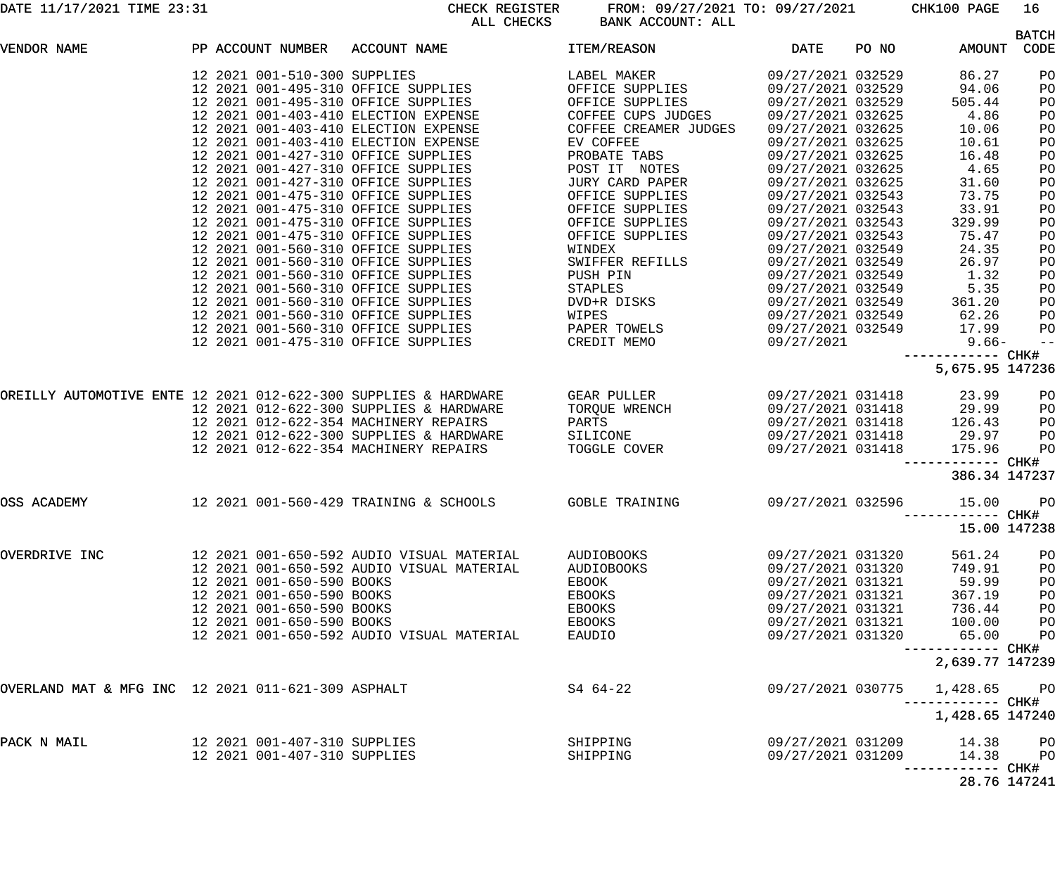DATE 11/17/2021 TIME 23:31 CHECK REGISTER FROM: 09/27/2021 TO: 09/27/2021 CHK100 PAGE 16 BANK ACCOUNT: ALL

|                                                    |  |                              |                                                                                                                                                                                                                                                                                                 |            |                   |       |                                     | <b>BATCH</b> |
|----------------------------------------------------|--|------------------------------|-------------------------------------------------------------------------------------------------------------------------------------------------------------------------------------------------------------------------------------------------------------------------------------------------|------------|-------------------|-------|-------------------------------------|--------------|
| VENDOR NAME                                        |  |                              | PP ACCOUNT NUMBER ACCOUNT NAME TEM/REASON DATE                                                                                                                                                                                                                                                  |            |                   | PO NO | AMOUNT CODE                         |              |
|                                                    |  |                              |                                                                                                                                                                                                                                                                                                 |            |                   |       |                                     | PO           |
|                                                    |  |                              |                                                                                                                                                                                                                                                                                                 |            |                   |       |                                     | PO           |
|                                                    |  |                              |                                                                                                                                                                                                                                                                                                 |            |                   |       |                                     | PO           |
|                                                    |  |                              |                                                                                                                                                                                                                                                                                                 |            |                   |       |                                     | PO           |
|                                                    |  |                              |                                                                                                                                                                                                                                                                                                 |            |                   |       |                                     | PO           |
|                                                    |  |                              |                                                                                                                                                                                                                                                                                                 |            |                   |       |                                     | PO           |
|                                                    |  |                              |                                                                                                                                                                                                                                                                                                 |            |                   |       |                                     | PO           |
|                                                    |  |                              |                                                                                                                                                                                                                                                                                                 |            |                   |       |                                     | PO           |
|                                                    |  |                              |                                                                                                                                                                                                                                                                                                 |            |                   |       |                                     | PO           |
|                                                    |  |                              |                                                                                                                                                                                                                                                                                                 |            |                   |       |                                     | PO           |
|                                                    |  |                              |                                                                                                                                                                                                                                                                                                 |            |                   |       |                                     | PO           |
|                                                    |  |                              |                                                                                                                                                                                                                                                                                                 |            |                   |       |                                     | PO           |
|                                                    |  |                              |                                                                                                                                                                                                                                                                                                 |            |                   |       |                                     | PO           |
|                                                    |  |                              |                                                                                                                                                                                                                                                                                                 |            |                   |       |                                     | PO           |
|                                                    |  |                              |                                                                                                                                                                                                                                                                                                 |            |                   |       |                                     | PO           |
|                                                    |  |                              |                                                                                                                                                                                                                                                                                                 |            |                   |       |                                     | PO           |
|                                                    |  |                              |                                                                                                                                                                                                                                                                                                 |            |                   |       |                                     | PO           |
|                                                    |  |                              |                                                                                                                                                                                                                                                                                                 |            |                   |       |                                     | PO           |
|                                                    |  |                              |                                                                                                                                                                                                                                                                                                 |            |                   |       |                                     | PO           |
|                                                    |  |                              |                                                                                                                                                                                                                                                                                                 |            |                   |       |                                     | PO           |
|                                                    |  |                              |                                                                                                                                                                                                                                                                                                 |            |                   |       |                                     | $-$          |
|                                                    |  |                              |                                                                                                                                                                                                                                                                                                 |            |                   |       | ------------ CHK#                   |              |
|                                                    |  |                              | $\begin{tabular}{l c c c c c} $r$ & $12021$ & $010-510-300$ & $500-710$ & $1000$ & $1000$ & $1000$ & $1000$ & $1000$ & $1000$ & $1000$ & $1000$ & $1000$ & $1000$ & $1000$ & $1000$ & $1000$ & $1000$ & $1000$ & $1000$ & $1000$ & $1000$ & $1000$ & $1000$ & $1000$ & $1000$ & $1000$ & $1000$ |            |                   |       | 5,675.95 147236                     |              |
|                                                    |  |                              | OREILLY AUTOMOTIVE ENTE 12 2021 012-622-300 SUPPLIES & HARDWARE GEAR PULLER (199/27/2021 031418 (23.99 PO                                                                                                                                                                                       |            |                   |       |                                     |              |
|                                                    |  |                              |                                                                                                                                                                                                                                                                                                 |            |                   |       |                                     | PO           |
|                                                    |  |                              | 12 2021 012-622-300 SUPPLIES & HARDWARE TORQUE WRENCH (19/27/2021 031418 (29.99)<br>12 2021 012-622-354 MACHINERY REPAIRS (19/27/2021 031418 (29.99)<br>12 2021 012-622-300 SUPPLIES & HARDWARE (19/21/2021 031418 (29.97)                                                                      |            |                   |       |                                     | PO           |
|                                                    |  |                              |                                                                                                                                                                                                                                                                                                 |            |                   |       |                                     | PO           |
|                                                    |  |                              | 12 2021 012-622-354 MACHINERY REPAIRS TOGGLE COVER 09/27/2021 031418 175.96                                                                                                                                                                                                                     |            |                   |       |                                     | PO           |
|                                                    |  |                              |                                                                                                                                                                                                                                                                                                 |            |                   |       | ------------ CHK#                   |              |
|                                                    |  |                              |                                                                                                                                                                                                                                                                                                 |            |                   |       | 386.34 147237                       |              |
| OSS ACADEMY                                        |  |                              | 12 2021 001-560-429 TRAINING & SCHOOLS GOBLE TRAINING 69/27/2021 032596 15.00                                                                                                                                                                                                                   |            |                   |       |                                     | <b>PO</b>    |
|                                                    |  |                              |                                                                                                                                                                                                                                                                                                 |            |                   |       |                                     |              |
|                                                    |  |                              |                                                                                                                                                                                                                                                                                                 |            |                   |       | 15.00 147238                        |              |
|                                                    |  |                              |                                                                                                                                                                                                                                                                                                 |            |                   |       |                                     |              |
| OVERDRIVE INC                                      |  |                              |                                                                                                                                                                                                                                                                                                 | AUDIOBOOKS | 09/27/2021 031320 |       | 561.24                              | PO           |
|                                                    |  |                              | 12 2021 001-650-592 AUDIO VISUAL MATERIAL                                                                                                                                                                                                                                                       | AUDIOBOOKS | 09/27/2021 031320 |       | 749.91                              | PO           |
|                                                    |  | 12 2021 001-650-590 BOOKS    |                                                                                                                                                                                                                                                                                                 | EBOOK      | 09/27/2021 031321 |       | 59.99                               | PO           |
|                                                    |  | 12 2021 001-650-590 BOOKS    |                                                                                                                                                                                                                                                                                                 | EBOOKS     | 09/27/2021 031321 |       | 367.19                              | PO           |
|                                                    |  | 12 2021 001-650-590 BOOKS    |                                                                                                                                                                                                                                                                                                 | EBOOKS     | 09/27/2021 031321 |       | 736.44                              | PO           |
|                                                    |  | 12 2021 001-650-590 BOOKS    |                                                                                                                                                                                                                                                                                                 | EBOOKS     | 09/27/2021 031321 |       | 100.00                              | PO           |
|                                                    |  |                              | 12 2021 001-650-592 AUDIO VISUAL MATERIAL                                                                                                                                                                                                                                                       | EAUDIO     | 09/27/2021 031320 |       | 65.00                               | PO           |
|                                                    |  |                              |                                                                                                                                                                                                                                                                                                 |            |                   |       | ----------- CHK#<br>2,639.77 147239 |              |
|                                                    |  |                              |                                                                                                                                                                                                                                                                                                 |            |                   |       |                                     |              |
| OVERLAND MAT & MFG INC 12 2021 011-621-309 ASPHALT |  |                              |                                                                                                                                                                                                                                                                                                 | S4 64-22   | 09/27/2021 030775 |       | 1,428.65 PO                         |              |
|                                                    |  |                              |                                                                                                                                                                                                                                                                                                 |            |                   |       | ----------- CHK#                    |              |
|                                                    |  |                              |                                                                                                                                                                                                                                                                                                 |            |                   |       | 1,428.65 147240                     |              |
| PACK N MAIL                                        |  | 12 2021 001-407-310 SUPPLIES |                                                                                                                                                                                                                                                                                                 | SHIPPING   | 09/27/2021 031209 |       | 14.38 PO                            |              |
|                                                    |  | 12 2021 001-407-310 SUPPLIES |                                                                                                                                                                                                                                                                                                 | SHIPPING   | 09/27/2021 031209 |       | 14.38                               | PO           |
|                                                    |  |                              |                                                                                                                                                                                                                                                                                                 |            |                   |       |                                     |              |
|                                                    |  |                              |                                                                                                                                                                                                                                                                                                 |            |                   |       |                                     | 28.76 147241 |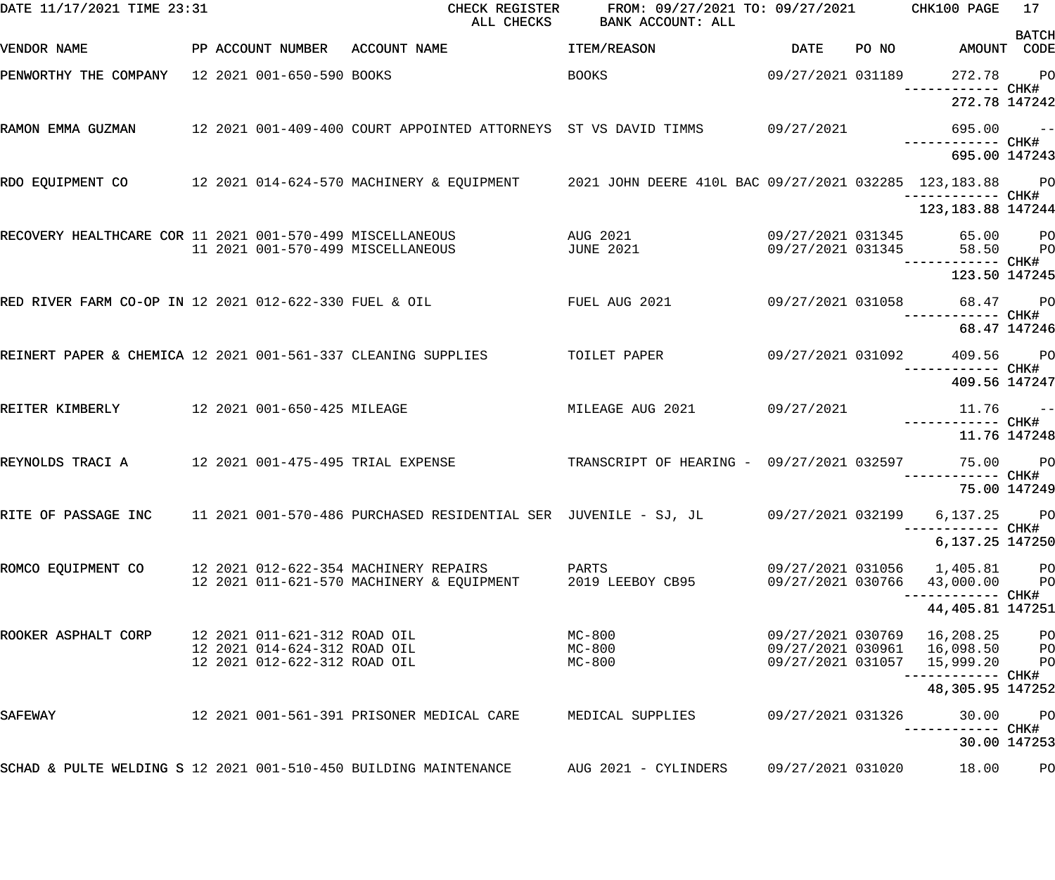| DATE 11/17/2021 TIME 23:31                                       |  |                                                              | CHECK REGISTER<br>ALL CHECKS                                                                                      | FROM: 09/27/2021 TO: 09/27/2021 CHK100 PAGE<br>BANK ACCOUNT: ALL |                                        |       |                                             | 17           |
|------------------------------------------------------------------|--|--------------------------------------------------------------|-------------------------------------------------------------------------------------------------------------------|------------------------------------------------------------------|----------------------------------------|-------|---------------------------------------------|--------------|
| VENDOR NAME                                                      |  |                                                              | PP ACCOUNT NUMBER ACCOUNT NAME                                                                                    | <b>ITEM/REASON</b>                                               | DATE                                   | PO NO | AMOUNT CODE                                 | <b>BATCH</b> |
| PENWORTHY THE COMPANY 12 2021 001-650-590 BOOKS                  |  |                                                              |                                                                                                                   | <b>BOOKS</b>                                                     |                                        |       | 09/27/2021 031189 272.78 PO<br>CHK#         |              |
|                                                                  |  |                                                              |                                                                                                                   |                                                                  |                                        |       | 272.78 147242                               |              |
|                                                                  |  |                                                              | RAMON EMMA GUZMAN       12 2021 001-409-400 COURT APPOINTED ATTORNEYS ST VS DAVID TIMMS      09/27/2021           |                                                                  |                                        |       | $695.00 - -$                                |              |
|                                                                  |  |                                                              |                                                                                                                   |                                                                  |                                        |       | 695.00 147243                               |              |
|                                                                  |  |                                                              |                                                                                                                   |                                                                  |                                        |       |                                             |              |
|                                                                  |  |                                                              |                                                                                                                   |                                                                  |                                        |       | 123, 183. 88 147244                         |              |
|                                                                  |  |                                                              | RECOVERY HEALTHCARE COR 11 2021 001-570-499 MISCELLANEOUS AUG 2021<br>11 2021 001-570-499 MISCELLANEOUS JUNE 2021 | <b>JUNE 2021</b>                                                 | 09/27/2021 031345<br>09/27/2021 031345 |       | 65.00 PO<br>58.50 PO                        |              |
|                                                                  |  |                                                              |                                                                                                                   |                                                                  |                                        |       | ------------ CHK#<br>123.50 147245          |              |
|                                                                  |  |                                                              | RED RIVER FARM CO-OP IN 12 2021 012-622-330 FUEL & OIL                                                            |                                                                  |                                        |       |                                             |              |
|                                                                  |  |                                                              |                                                                                                                   |                                                                  |                                        |       |                                             | 68.47 147246 |
|                                                                  |  |                                                              | REINERT PAPER & CHEMICA 12 2021 001-561-337 CLEANING SUPPLIES TOILET PAPER 69/27/2021 031092                      |                                                                  |                                        |       | 409.56 PO                                   |              |
|                                                                  |  |                                                              |                                                                                                                   |                                                                  |                                        |       | 409.56 147247                               |              |
| REITER KIMBERLY 12 2021 001-650-425 MILEAGE                      |  |                                                              |                                                                                                                   | MILEAGE AUG 2021 09/27/2021                                      |                                        |       | $11.76 -$                                   |              |
|                                                                  |  |                                                              |                                                                                                                   |                                                                  |                                        |       | 11.76 147248                                |              |
| REYNOLDS TRACI A 12 2021 001-475-495 TRIAL EXPENSE               |  |                                                              |                                                                                                                   | TRANSCRIPT OF HEARING - 09/27/2021 032597                        |                                        |       | 75.00 PO<br>------------ CHK#               |              |
|                                                                  |  |                                                              |                                                                                                                   |                                                                  |                                        |       |                                             | 75.00 147249 |
| RITE OF PASSAGE INC                                              |  |                                                              | 11 2021 001-570-486 PURCHASED RESIDENTIAL SER JUVENILE - SJ, JL         09/27/2021 032199                         |                                                                  |                                        |       | 6,137.25 PO<br>------------ CHK#            |              |
|                                                                  |  |                                                              |                                                                                                                   |                                                                  |                                        |       | 6,137.25 147250                             |              |
| ROMCO EQUIPMENT CO                                               |  |                                                              | 12 2021 012-622-354 MACHINERY REPAIRS<br>12 2021 011-621-570 MACHINERY & EQUIPMENT 2019 LEEBOY CB95               | PARTS                                                            | 09/27/2021 030766                      |       | 09/27/2021 031056 1,405.81 PO<br>43,000.00  | <b>PO</b>    |
|                                                                  |  |                                                              |                                                                                                                   |                                                                  |                                        |       | 44, 405.81 147251                           |              |
| ROOKER ASPHALT CORP                                              |  | 12 2021 011-621-312 ROAD OIL                                 |                                                                                                                   | $MC-800$                                                         |                                        |       | 09/27/2021 030769 16,208.25 PO              |              |
|                                                                  |  | 12 2021 014-624-312 ROAD OIL<br>12 2021 012-622-312 ROAD OIL |                                                                                                                   | $MC-800$<br>MC-800                                               | 09/27/2021 031057                      |       | 09/27/2021 030961 16,098.50 PO<br>15,999.20 | <b>PO</b>    |
|                                                                  |  |                                                              |                                                                                                                   |                                                                  |                                        |       | 48,305.95 147252                            |              |
| SAFEWAY                                                          |  |                                                              | 12 2021 001-561-391 PRISONER MEDICAL CARE MEDICAL SUPPLIES                                                        |                                                                  | 09/27/2021 031326                      |       | 30.00                                       | $P$ O        |
|                                                                  |  |                                                              |                                                                                                                   |                                                                  |                                        |       |                                             | 30.00 147253 |
| SCHAD & PULTE WELDING S 12 2021 001-510-450 BUILDING MAINTENANCE |  |                                                              |                                                                                                                   | AUG 2021 - CYLINDERS                                             | 09/27/2021 031020                      |       | 18.00                                       | PO           |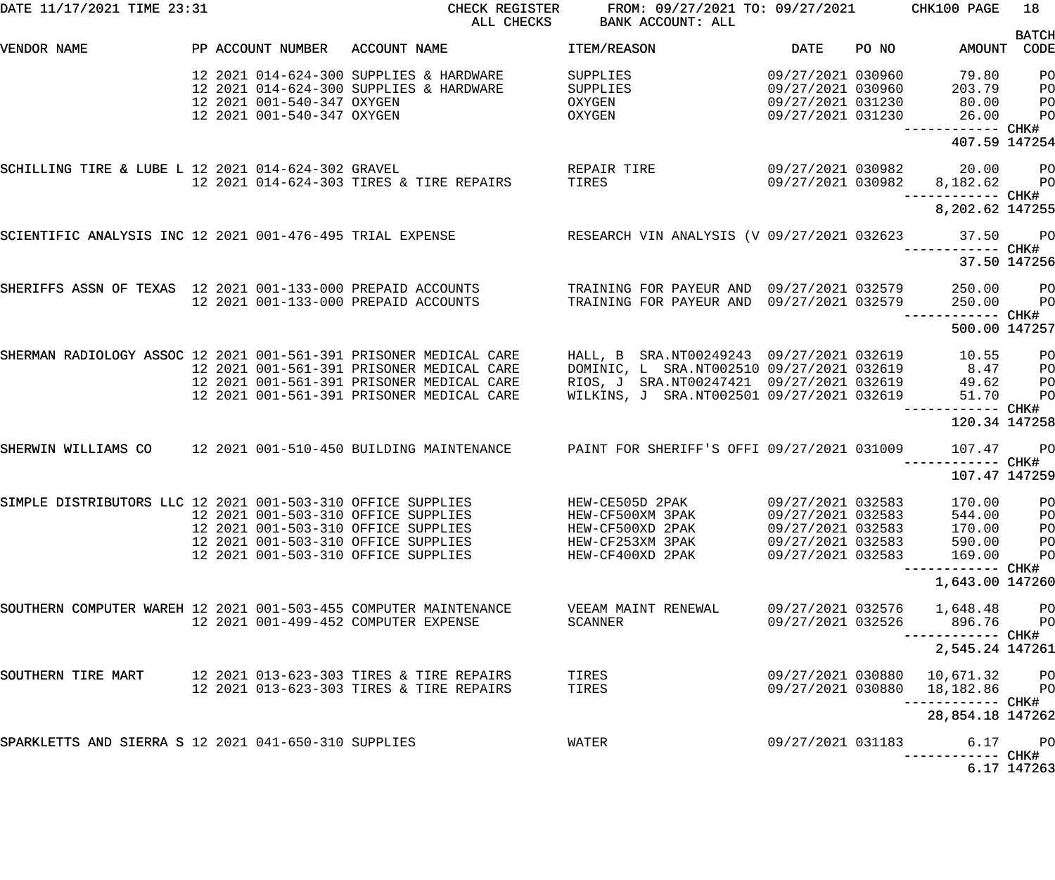| DATE 11/17/2021 TIME 23:31                                                                                           |                                                          |                                                                                                                                                          | CHECK REGISTER FROM: 09/27/2021 TO: 09/27/2021 CHK100 PAGE<br>ALL CHECKS BANK ACCOUNT: ALL                                                             |                                                                                  |                                                             | 18                                                 |
|----------------------------------------------------------------------------------------------------------------------|----------------------------------------------------------|----------------------------------------------------------------------------------------------------------------------------------------------------------|--------------------------------------------------------------------------------------------------------------------------------------------------------|----------------------------------------------------------------------------------|-------------------------------------------------------------|----------------------------------------------------|
| PP ACCOUNT NUMBER ACCOUNT NAME<br>VENDOR NAME                                                                        |                                                          |                                                                                                                                                          | DATE PO NO<br>ITEM/REASON                                                                                                                              |                                                                                  | AMOUNT CODE                                                 | <b>BATCH</b>                                       |
|                                                                                                                      | 12 2021 001-540-347 OXYGEN<br>12 2021 001-540-347 OXYGEN | 12 2021 014-624-300 SUPPLIES & HARDWARE<br>12 2021 014-624-300 SUPPLIES & HARDWARE                                                                       | 09/27/2021 030960<br>SUPPLIES<br>SUPPLIES 09/27/2021 030960 203.79<br>$OXYGEN$ $09/27/2021$ $031230$ $26.00$                                           |                                                                                  | 79.80 PO<br>------------ CHK#                               | PO<br>PO<br>P <sub>O</sub>                         |
|                                                                                                                      |                                                          |                                                                                                                                                          |                                                                                                                                                        |                                                                                  | 407.59 147254                                               |                                                    |
| SCHILLING TIRE & LUBE L 12 2021 014-624-302 GRAVEL                                                                   |                                                          |                                                                                                                                                          |                                                                                                                                                        |                                                                                  | 09/27/2021 030982 20.00 PO<br>09/27/2021 030982 8,182.62 PO |                                                    |
|                                                                                                                      |                                                          |                                                                                                                                                          |                                                                                                                                                        |                                                                                  | 8,202.62 147255                                             |                                                    |
| SCIENTIFIC ANALYSIS INC 12 2021 001-476-495 TRIAL EXPENSE RESEARCH VIN ANALYSIS (V 09/27/2021 032623 37.50           |                                                          |                                                                                                                                                          |                                                                                                                                                        |                                                                                  |                                                             | <b>PO</b>                                          |
|                                                                                                                      |                                                          |                                                                                                                                                          |                                                                                                                                                        |                                                                                  | 37.50 147256                                                |                                                    |
| SHERIFFS ASSN OF TEXAS 12 2021 001-133-000 PREPAID ACCOUNTS TRAINING FOR PAYEUR AND 09/27/2021 032579 250.00 PO      |                                                          | 12 2021 001-133-000 PREPAID ACCOUNTS TRAINING FOR PAYEUR AND 09/27/2021 032579 250.00                                                                    |                                                                                                                                                        |                                                                                  |                                                             | <b>PO</b>                                          |
|                                                                                                                      |                                                          |                                                                                                                                                          |                                                                                                                                                        |                                                                                  | 500.00 147257                                               |                                                    |
| SHERMAN RADIOLOGY ASSOC 12 2021 001-561-391 PRISONER MEDICAL CARE THALL, BTSRA.NT00249243 09/27/2021 032619 10.55 PO |                                                          | 12 2021 001-561-391 PRISONER MEDICAL CARE<br>12 2021 001-561-391 PRISONER MEDICAL CARE<br>12 2021 001-561-391 PRISONER MEDICAL CARE                      | DOMINIC, L SRA.NT002510 09/27/2021 032619 8.47<br>RIOS, J SRA.NT00247421  09/27/2021  032619  49.62<br>WILKINS, J SRA.NT002501 09/27/2021 032619 51.70 |                                                                                  |                                                             | P <sub>O</sub><br>P <sub>O</sub><br>P <sub>O</sub> |
|                                                                                                                      |                                                          |                                                                                                                                                          |                                                                                                                                                        |                                                                                  | 120.34 147258                                               |                                                    |
| SHERWIN WILLIAMS CO 12 2021 001-510-450 BUILDING MAINTENANCE PAINT FOR SHERIFF'S OFFI 09/27/2021 031009 107.47       |                                                          |                                                                                                                                                          |                                                                                                                                                        |                                                                                  | ------------ CHK#                                           | <b>PO</b>                                          |
|                                                                                                                      |                                                          |                                                                                                                                                          |                                                                                                                                                        |                                                                                  | 107.47 147259                                               |                                                    |
| SIMPLE DISTRIBUTORS LLC 12 2021 001-503-310 OFFICE SUPPLIES                                                          |                                                          | 12 2021 001-503-310 OFFICE SUPPLIES<br>12 2021 001-503-310 OFFICE SUPPLIES<br>12 2021 001-503-310 OFFICE SUPPLIES<br>12 2021 001-503-310 OFFICE SUPPLIES | HEW-CE505D 2PAK 09/27/2021 032583<br>HEW-CF500XM 3PAK<br>HEW-CF500XD 2PAK<br>HEW-CF253XM 3PAK<br>HEW-CF400XD 2PAK                                      | 09/27/2021 032583<br>09/27/2021 032583<br>09/27/2021 032583<br>09/27/2021 032583 | 170.00 PO<br>544.00<br>170.00<br>590.00<br>169.00           | PO<br>PO<br>PO<br>PO                               |
|                                                                                                                      |                                                          |                                                                                                                                                          |                                                                                                                                                        |                                                                                  | ----------- CHK#<br>1,643.00 147260                         |                                                    |
| SOUTHERN COMPUTER WAREH 12 2021 001-503-455 COMPUTER MAINTENANCE                                                     |                                                          | 12 2021 001-499-452 COMPUTER EXPENSE                                                                                                                     | VEEAM MAINT RENEWAL<br>SCANNER                                                                                                                         | 09/27/2021 032576<br>09/27/2021 032526                                           | 1,648.48<br>896.76                                          | PО<br>P <sub>O</sub>                               |
|                                                                                                                      |                                                          |                                                                                                                                                          |                                                                                                                                                        |                                                                                  | 2,545.24 147261                                             |                                                    |
| SOUTHERN TIRE MART                                                                                                   |                                                          | 12 2021 013-623-303 TIRES & TIRE REPAIRS<br>12 2021 013-623-303 TIRES & TIRE REPAIRS                                                                     | TIRES<br>TIRES                                                                                                                                         | 09/27/2021 030880                                                                | 09/27/2021 030880 10,671.32<br>18,182.86<br>—————————— CHK# | PО<br>PO                                           |
|                                                                                                                      |                                                          |                                                                                                                                                          |                                                                                                                                                        |                                                                                  | 28,854.18 147262                                            |                                                    |
| SPARKLETTS AND SIERRA S 12 2021 041-650-310 SUPPLIES                                                                 |                                                          |                                                                                                                                                          | WATER                                                                                                                                                  | 09/27/2021 031183                                                                | 6.17                                                        | PО<br>6.17 147263                                  |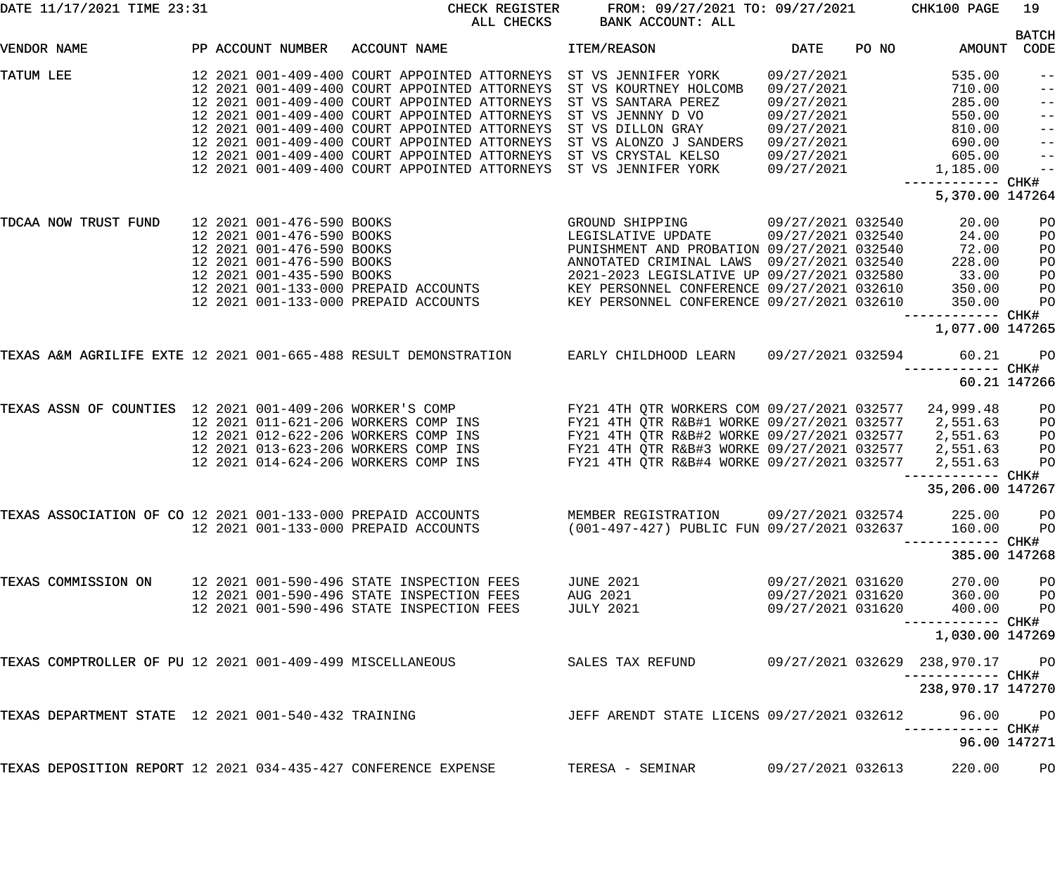| DATE 11/17/2021 TIME 23:31                                     |                   | CHECK REGISTER<br>ALL CHECKS                                                                                                                                                                                                                                                                                                               | FROM: 09/27/2021 TO: 09/27/2021 CHK100 PAGE<br>BANK ACCOUNT: ALL |                   |       |                                    | 19                |
|----------------------------------------------------------------|-------------------|--------------------------------------------------------------------------------------------------------------------------------------------------------------------------------------------------------------------------------------------------------------------------------------------------------------------------------------------|------------------------------------------------------------------|-------------------|-------|------------------------------------|-------------------|
| VENDOR NAME                                                    | PP ACCOUNT NUMBER | ACCOUNT NAME                                                                                                                                                                                                                                                                                                                               | ITEM/REASON                                                      | DATE              | PO NO | AMOUNT CODE                        | <b>BATCH</b>      |
|                                                                |                   |                                                                                                                                                                                                                                                                                                                                            |                                                                  |                   |       |                                    |                   |
| TATUM LEE                                                      |                   | 12 2021 001-409-400 COURT APPOINTED ATTORNEYS ST VS JENNIFER YORK                                                                                                                                                                                                                                                                          |                                                                  | 09/27/2021        |       | 535.00                             | $- -$             |
|                                                                |                   | 12 2021 001-409-400 COURT APPOINTED ATTORNEYS ST VS KOURTNEY HOLCOMB                                                                                                                                                                                                                                                                       |                                                                  | 09/27/2021        |       | 710.00                             | $\qquad \qquad -$ |
|                                                                |                   | 12 2021 001-409-400 COURT APPOINTED ATTORNEYS                                                                                                                                                                                                                                                                                              | ST VS SANTARA PEREZ                                              | 09/27/2021        |       | 285.00                             | $\qquad \qquad -$ |
|                                                                |                   | 12 2021 001-409-400 COURT APPOINTED ATTORNEYS                                                                                                                                                                                                                                                                                              | ST VS JENNNY D VO                                                | 09/27/2021        |       | 550.00                             | $ -$              |
|                                                                |                   | 12 2021 001-409-400 COURT APPOINTED ATTORNEYS ST VS DILLON GRAY                                                                                                                                                                                                                                                                            |                                                                  | 09/27/2021        |       | 810.00                             | $\qquad \qquad -$ |
|                                                                |                   | 12 2021 001-409-400 COURT APPOINTED ATTORNEYS                                                                                                                                                                                                                                                                                              | ST VS ALONZO J SANDERS                                           | 09/27/2021        |       | 690.00                             | $\qquad \qquad -$ |
|                                                                |                   | 12 2021 001-409-400 COURT APPOINTED ATTORNEYS ST VS CRYSTAL KELSO                                                                                                                                                                                                                                                                          |                                                                  | 09/27/2021        |       | 605.00                             | $\qquad \qquad -$ |
|                                                                |                   | 12 2021 001-409-400 COURT APPOINTED ATTORNEYS ST VS JENNIFER YORK 09/27/2021                                                                                                                                                                                                                                                               |                                                                  |                   |       | 1,185.00                           | $ -$              |
|                                                                |                   |                                                                                                                                                                                                                                                                                                                                            |                                                                  |                   |       | ----------- CHK#                   |                   |
|                                                                |                   |                                                                                                                                                                                                                                                                                                                                            |                                                                  |                   |       | 5,370.00 147264                    |                   |
| TDCAA NOW TRUST FUND                                           |                   | $\begin{tabular}{lllllllllllllllllllll} \hline 12&2021&001-476-590&BOOKS&\multicolumn{3}{c}{\textbf{EGLSLATIVE UPDATE}}&09/27/2021&032540\\ 12&2021&001-476-590&BOOKS&\multicolumn{3}{c}{\textbf{EGLSLATIVE UPDATE}}&09/27/2021&032540\\ 12&2021&001-476-590&BOOKS&\multicolumn{3}{c}{\textbf{EGLSLATIVE UPDATE}}&09/27/2021&032540\\ 12&$ |                                                                  | 09/27/2021 032540 |       | 20.00                              | PO                |
|                                                                |                   |                                                                                                                                                                                                                                                                                                                                            |                                                                  |                   |       | 24.00                              | PO                |
|                                                                |                   |                                                                                                                                                                                                                                                                                                                                            |                                                                  |                   |       | 72.00                              | PO                |
|                                                                |                   |                                                                                                                                                                                                                                                                                                                                            |                                                                  |                   |       | 228.00                             | PO                |
|                                                                |                   |                                                                                                                                                                                                                                                                                                                                            |                                                                  |                   |       |                                    | PO                |
|                                                                |                   |                                                                                                                                                                                                                                                                                                                                            |                                                                  |                   |       |                                    | PO                |
|                                                                |                   |                                                                                                                                                                                                                                                                                                                                            |                                                                  |                   |       | 33.00<br>350.00<br>350.00          | PO                |
|                                                                |                   |                                                                                                                                                                                                                                                                                                                                            |                                                                  |                   |       | —————————— CHK#                    |                   |
|                                                                |                   |                                                                                                                                                                                                                                                                                                                                            |                                                                  |                   |       | 1,077.00 147265                    |                   |
|                                                                |                   | TEXAS A&M AGRILIFE EXTE 12 2021 001-665-488 RESULT DEMONSTRATION EARLY CHILDHOOD LEARN 09/27/2021 032594                                                                                                                                                                                                                                   |                                                                  |                   |       | 60.21<br>------------ CHK#         | <b>PO</b>         |
|                                                                |                   |                                                                                                                                                                                                                                                                                                                                            |                                                                  |                   |       | 60.21 147266                       |                   |
| TEXAS ASSN OF COUNTIES 12 2021 001-409-206 WORKER'S COMP       |                   |                                                                                                                                                                                                                                                                                                                                            | FY21 4TH QTR WORKERS COM 09/27/2021 032577                       |                   |       | 24,999.48                          | P <sub>O</sub>    |
|                                                                |                   | 12  2021  011-621-206  WORKERS  COMP  INS                                                                                                                                                                                                                                                                                                  | FY21 4TH QTR R&B#1 WORKE 09/27/2021 032577                       |                   |       | 2,551.63                           | PO                |
|                                                                |                   | 12 2021 012-622-206 WORKERS COMP INS                                                                                                                                                                                                                                                                                                       | FY21 4TH QTR R&B#2 WORKE 09/27/2021 032577                       |                   |       | 2,551.63                           | PO                |
|                                                                |                   | 12 2021 013-623-206 WORKERS COMP INS                                                                                                                                                                                                                                                                                                       | FY21 4TH QTR R&B#3 WORKE 09/27/2021 032577                       |                   |       | 2,551.63                           | PO                |
|                                                                |                   | 12 2021 014-624-206 WORKERS COMP INS                                                                                                                                                                                                                                                                                                       | FY21 4TH QTR R&B#4 WORKE 09/27/2021 032577                       |                   |       | 2,551.63                           | P <sub>O</sub>    |
|                                                                |                   |                                                                                                                                                                                                                                                                                                                                            |                                                                  |                   |       |                                    |                   |
|                                                                |                   |                                                                                                                                                                                                                                                                                                                                            |                                                                  |                   |       | 35,206.00 147267                   |                   |
|                                                                |                   | TEXAS ASSOCIATION OF CO 12 2021 001-133-000 PREPAID ACCOUNTS                                                                                                                                                                                                                                                                               | MEMBER REGISTRATION 09/27/2021 032574                            |                   |       | 225.00 PO                          |                   |
|                                                                |                   | 12 2021 001-133-000 PREPAID ACCOUNTS                                                                                                                                                                                                                                                                                                       | (001-497-427) PUBLIC FUN 09/27/2021 032637                       |                   |       | 160.00                             | <b>PO</b>         |
|                                                                |                   |                                                                                                                                                                                                                                                                                                                                            |                                                                  |                   |       |                                    |                   |
|                                                                |                   |                                                                                                                                                                                                                                                                                                                                            |                                                                  |                   |       | 385.00 147268                      |                   |
| TEXAS COMMISSION ON                                            |                   | 12 2021 001-590-496 STATE INSPECTION FEES                                                                                                                                                                                                                                                                                                  | <b>JUNE 2021</b>                                                 | 09/27/2021 031620 |       | 270.00                             | P <sub>O</sub>    |
|                                                                |                   | 12 2021 001-590-496 STATE INSPECTION FEES                                                                                                                                                                                                                                                                                                  | AUG 2021                                                         | 09/27/2021 031620 |       | 360.00 PO                          |                   |
|                                                                |                   | 12 2021 001-590-496 STATE INSPECTION FEES                                                                                                                                                                                                                                                                                                  | JULY 2021                                                        | 09/27/2021 031620 |       | 400.00                             | <b>PO</b>         |
|                                                                |                   |                                                                                                                                                                                                                                                                                                                                            |                                                                  |                   |       | ------------ CHK#                  |                   |
|                                                                |                   |                                                                                                                                                                                                                                                                                                                                            |                                                                  |                   |       | 1,030.00 147269                    |                   |
| TEXAS COMPTROLLER OF PU 12 2021 001-409-499 MISCELLANEOUS      |                   |                                                                                                                                                                                                                                                                                                                                            | SALES TAX REFUND                                                 |                   |       | 09/27/2021  032629  238,970.17  PO |                   |
|                                                                |                   |                                                                                                                                                                                                                                                                                                                                            |                                                                  |                   |       | 238,970.17 147270                  |                   |
| TEXAS DEPARTMENT STATE 12 2021 001-540-432 TRAINING            |                   |                                                                                                                                                                                                                                                                                                                                            | JEFF ARENDT STATE LICENS 09/27/2021 032612                       |                   |       | 96.00 PO                           |                   |
|                                                                |                   |                                                                                                                                                                                                                                                                                                                                            |                                                                  |                   |       | 96.00 147271                       |                   |
| TEXAS DEPOSITION REPORT 12 2021 034-435-427 CONFERENCE EXPENSE |                   |                                                                                                                                                                                                                                                                                                                                            |                                                                  |                   |       | 220.00                             | P <sub>O</sub>    |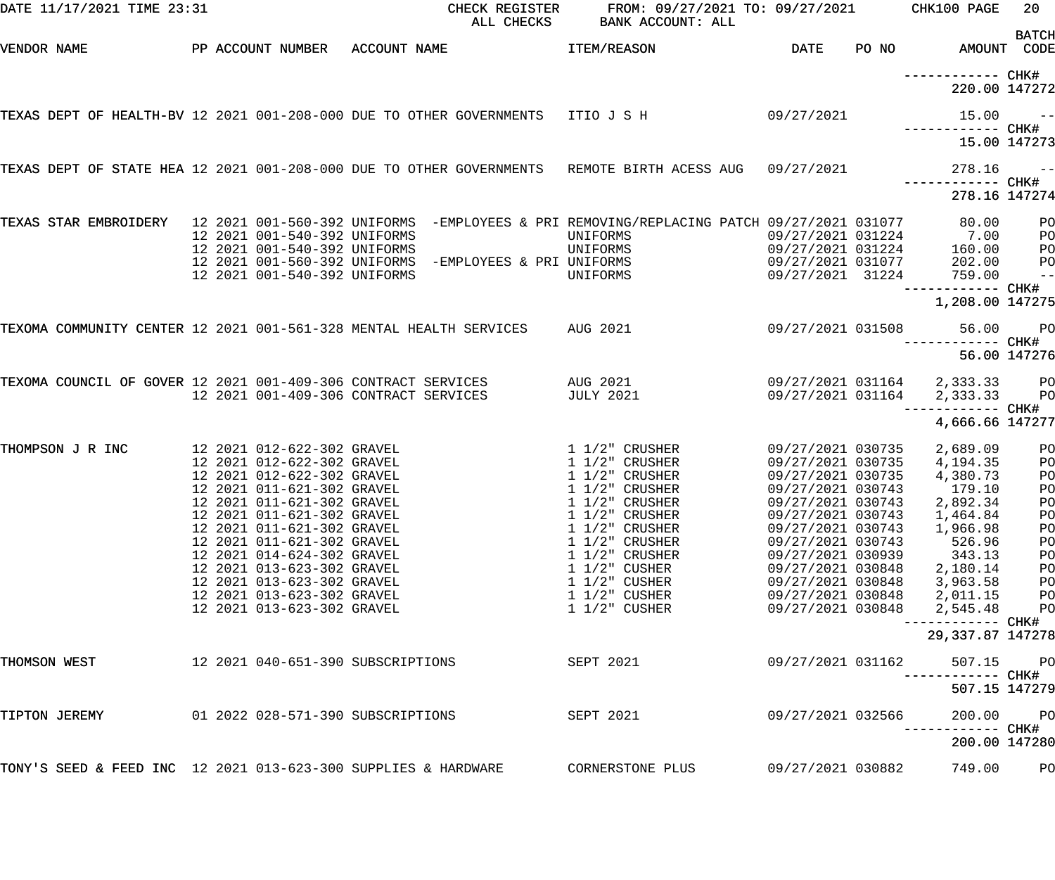| DATE 11/17/2021 TIME 23:31                                     |                                                                                                                                                                                                                                                                                                                                                                                                    | CHECK REGISTER<br>ALL CHECKS                                                                                                                                             | FROM: 09/27/2021 TO: 09/27/2021<br>BANK ACCOUNT: ALL                                                                                                                                                                                                                                            |                                                                                                                                                                                                                                                                               |       | CHK100 PAGE                                                                                                                                                                                  | 20                                                                                                 |
|----------------------------------------------------------------|----------------------------------------------------------------------------------------------------------------------------------------------------------------------------------------------------------------------------------------------------------------------------------------------------------------------------------------------------------------------------------------------------|--------------------------------------------------------------------------------------------------------------------------------------------------------------------------|-------------------------------------------------------------------------------------------------------------------------------------------------------------------------------------------------------------------------------------------------------------------------------------------------|-------------------------------------------------------------------------------------------------------------------------------------------------------------------------------------------------------------------------------------------------------------------------------|-------|----------------------------------------------------------------------------------------------------------------------------------------------------------------------------------------------|----------------------------------------------------------------------------------------------------|
| VENDOR NAME                                                    |                                                                                                                                                                                                                                                                                                                                                                                                    | PP ACCOUNT NUMBER ACCOUNT NAME                                                                                                                                           | ITEM/REASON                                                                                                                                                                                                                                                                                     | DATE                                                                                                                                                                                                                                                                          | PO NO | AMOUNT CODE                                                                                                                                                                                  | <b>BATCH</b>                                                                                       |
|                                                                |                                                                                                                                                                                                                                                                                                                                                                                                    |                                                                                                                                                                          |                                                                                                                                                                                                                                                                                                 |                                                                                                                                                                                                                                                                               |       | ------------ CHK#<br>220.00 147272                                                                                                                                                           |                                                                                                    |
|                                                                |                                                                                                                                                                                                                                                                                                                                                                                                    | TEXAS DEPT OF HEALTH-BV 12 2021 001-208-000 DUE TO OTHER GOVERNMENTS ITIO J S H                                                                                          |                                                                                                                                                                                                                                                                                                 | 09/27/2021                                                                                                                                                                                                                                                                    |       | 15.00                                                                                                                                                                                        | $ -$                                                                                               |
|                                                                |                                                                                                                                                                                                                                                                                                                                                                                                    |                                                                                                                                                                          |                                                                                                                                                                                                                                                                                                 |                                                                                                                                                                                                                                                                               |       | 15.00 147273                                                                                                                                                                                 |                                                                                                    |
|                                                                |                                                                                                                                                                                                                                                                                                                                                                                                    | TEXAS DEPT OF STATE HEA 12 2021 001-208-000 DUE TO OTHER GOVERNMENTS  REMOTE BIRTH ACESS AUG                                                                             |                                                                                                                                                                                                                                                                                                 | 09/27/2021                                                                                                                                                                                                                                                                    |       | 278.16                                                                                                                                                                                       | $- -$                                                                                              |
|                                                                |                                                                                                                                                                                                                                                                                                                                                                                                    |                                                                                                                                                                          |                                                                                                                                                                                                                                                                                                 |                                                                                                                                                                                                                                                                               |       | 278.16 147274                                                                                                                                                                                |                                                                                                    |
|                                                                | 12 2021 001-540-392 UNIFORMS<br>12 2021 001-540-392 UNIFORMS<br>12 2021 001-540-392 UNIFORMS                                                                                                                                                                                                                                                                                                       | TEXAS STAR EMBROIDERY 12 2021 001-560-392 UNIFORMS -EMPLOYEES & PRI REMOVING/REPLACING PATCH 09/27/2021 031077<br>12 2021 001-560-392 UNIFORMS -EMPLOYEES & PRI UNIFORMS | UNIFORMS<br>UNIFORMS<br>UNIFORMS                                                                                                                                                                                                                                                                | 09/27/2021 031224<br>09/27/2021 031224<br>09/27/2021 031077<br>09/27/2021 31224                                                                                                                                                                                               |       | 80.00<br>7.00<br>160.00<br>202.00<br>759.00                                                                                                                                                  | PO<br>PO<br>PO<br>P <sub>O</sub><br>$\qquad \qquad -$                                              |
|                                                                |                                                                                                                                                                                                                                                                                                                                                                                                    |                                                                                                                                                                          |                                                                                                                                                                                                                                                                                                 |                                                                                                                                                                                                                                                                               |       | 1,208.00 147275                                                                                                                                                                              |                                                                                                    |
|                                                                |                                                                                                                                                                                                                                                                                                                                                                                                    | TEXOMA COMMUNITY CENTER 12 2021 001-561-328 MENTAL HEALTH SERVICES                                                                                                       | AUG 2021                                                                                                                                                                                                                                                                                        | 09/27/2021 031508                                                                                                                                                                                                                                                             |       | 56.00                                                                                                                                                                                        | P <sub>O</sub>                                                                                     |
|                                                                |                                                                                                                                                                                                                                                                                                                                                                                                    |                                                                                                                                                                          |                                                                                                                                                                                                                                                                                                 |                                                                                                                                                                                                                                                                               |       |                                                                                                                                                                                              | 56.00 147276                                                                                       |
| TEXOMA COUNCIL OF GOVER 12 2021 001-409-306 CONTRACT SERVICES  |                                                                                                                                                                                                                                                                                                                                                                                                    | 12 2021 001-409-306 CONTRACT SERVICES                                                                                                                                    | AUG 2021<br><b>JULY 2021</b>                                                                                                                                                                                                                                                                    | 09/27/2021 031164                                                                                                                                                                                                                                                             |       | 09/27/2021 031164  2,333.33  PO<br>2,333.33<br>------------ CHK#                                                                                                                             | P <sub>O</sub>                                                                                     |
|                                                                |                                                                                                                                                                                                                                                                                                                                                                                                    |                                                                                                                                                                          |                                                                                                                                                                                                                                                                                                 |                                                                                                                                                                                                                                                                               |       | 4,666.66 147277                                                                                                                                                                              |                                                                                                    |
| THOMPSON J R INC                                               | 12 2021 012-622-302 GRAVEL<br>12 2021 012-622-302 GRAVEL<br>12 2021 012-622-302 GRAVEL<br>12 2021 011-621-302 GRAVEL<br>12 2021 011-621-302 GRAVEL<br>12 2021 011-621-302 GRAVEL<br>12 2021 011-621-302 GRAVEL<br>12 2021 011-621-302 GRAVEL<br>12 2021 014-624-302 GRAVEL<br>12 2021 013-623-302 GRAVEL<br>12 2021 013-623-302 GRAVEL<br>12 2021 013-623-302 GRAVEL<br>12 2021 013-623-302 GRAVEL |                                                                                                                                                                          | 1 1/2" CRUSHER<br>1 1/2" CRUSHER<br>$1\;1/2$ " CRUSHER<br>$1\ 1/2$ " CRUSHER<br>$1\frac{1}{2}$ CRUSHER<br>$1\frac{1}{2}$ CRUSHER<br>$1\ 1/2$ " CRUSHER<br>$1\frac{1}{2}$ CRUSHER<br>$1\frac{1}{2}$ CRUSHER<br>$1\ 1/2"$ CUSHER<br>$1\ 1/2"$ CUSHER<br>$1\ 1/2"$ CUSHER<br>$1\frac{1}{2}$ CUSHER | 09/27/2021 030735<br>09/27/2021 030735<br>09/27/2021 030735<br>09/27/2021 030743<br>09/27/2021 030743<br>09/27/2021 030743<br>09/27/2021 030743<br>09/27/2021 030743<br>09/27/2021 030939<br>09/27/2021 030848<br>09/27/2021 030848<br>09/27/2021 030848<br>09/27/2021 030848 |       | 2,689.09<br>4,194.35<br>4,380.73<br>179.10<br>2,892.34<br>1,464.84<br>1,966.98<br>526.96<br>343.13<br>2,180.14<br>3,963.58<br>2,011.15<br>2,545.48<br>------------ CHK#<br>29, 337.87 147278 | P <sub>O</sub><br>P <sub>O</sub><br>PO<br>PO<br>PO<br>PO<br>PO<br>PO<br>PO<br>PO<br>PO<br>PO<br>PO |
| THOMSON WEST                                                   |                                                                                                                                                                                                                                                                                                                                                                                                    |                                                                                                                                                                          | SEPT 2021                                                                                                                                                                                                                                                                                       | 09/27/2021 031162                                                                                                                                                                                                                                                             |       | 507.15<br>507.15 147279                                                                                                                                                                      | PO                                                                                                 |
| TIPTON JEREMY                                                  |                                                                                                                                                                                                                                                                                                                                                                                                    |                                                                                                                                                                          | SEPT 2021                                                                                                                                                                                                                                                                                       | 09/27/2021 032566                                                                                                                                                                                                                                                             |       | 200.00<br>----------- CHK#                                                                                                                                                                   | PO                                                                                                 |
|                                                                |                                                                                                                                                                                                                                                                                                                                                                                                    |                                                                                                                                                                          |                                                                                                                                                                                                                                                                                                 |                                                                                                                                                                                                                                                                               |       | 200.00 147280                                                                                                                                                                                |                                                                                                    |
| TONY'S SEED & FEED INC 12 2021 013-623-300 SUPPLIES & HARDWARE |                                                                                                                                                                                                                                                                                                                                                                                                    |                                                                                                                                                                          | CORNERSTONE PLUS                                                                                                                                                                                                                                                                                | 09/27/2021 030882                                                                                                                                                                                                                                                             |       | 749.00                                                                                                                                                                                       | PO                                                                                                 |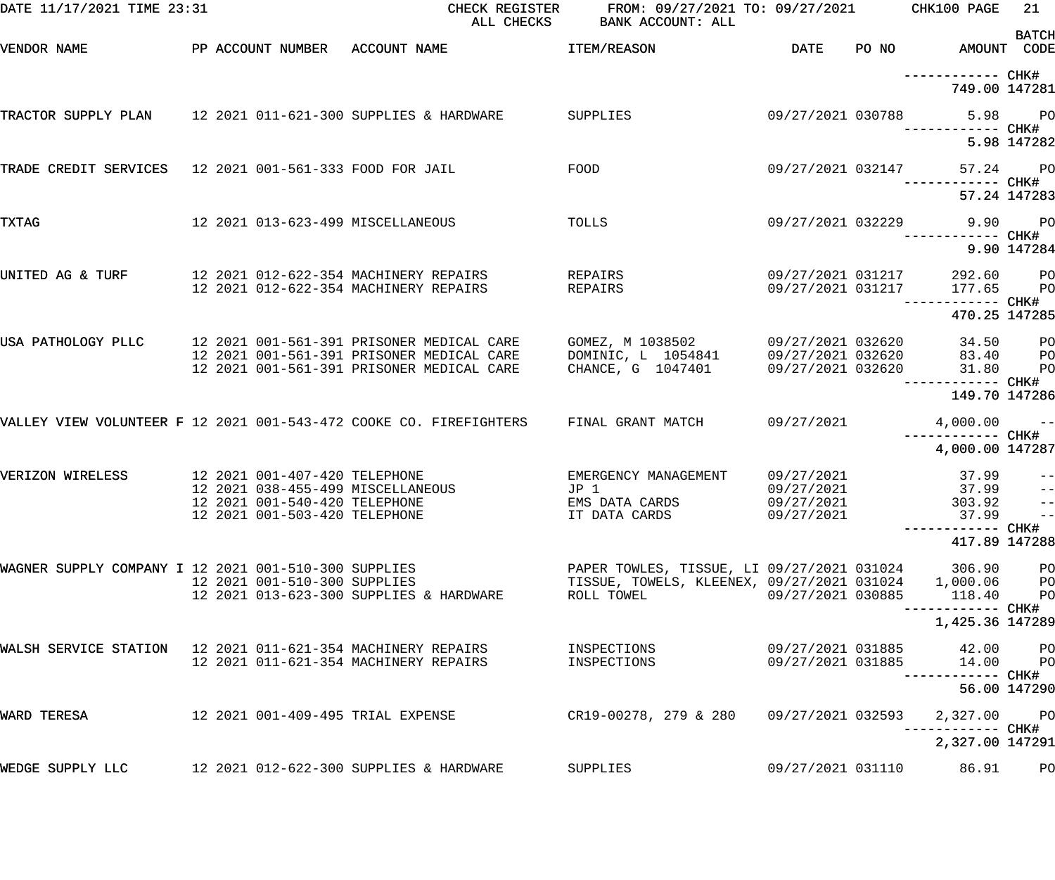| DATE 11/17/2021 TIME 23:31                                  |                                                                                                                                      | CHECK REGISTER<br>ALL CHECKS                                                                                                                           | FROM: 09/27/2021 TO: 09/27/2021 CHK100 PAGE<br>BANK ACCOUNT: ALL                                                   |                                                             |       |                                              | 21                                                              |
|-------------------------------------------------------------|--------------------------------------------------------------------------------------------------------------------------------------|--------------------------------------------------------------------------------------------------------------------------------------------------------|--------------------------------------------------------------------------------------------------------------------|-------------------------------------------------------------|-------|----------------------------------------------|-----------------------------------------------------------------|
| VENDOR NAME                                                 | PP ACCOUNT NUMBER ACCOUNT NAME                                                                                                       |                                                                                                                                                        | ITEM/REASON                                                                                                        | DATE                                                        | PO NO | AMOUNT CODE                                  | <b>BATCH</b>                                                    |
|                                                             |                                                                                                                                      |                                                                                                                                                        |                                                                                                                    |                                                             |       | ------------ CHK#<br>749.00 147281           |                                                                 |
|                                                             |                                                                                                                                      | TRACTOR SUPPLY PLAN 12 2021 011-621-300 SUPPLIES & HARDWARE                                                                                            | SUPPLIES                                                                                                           | 09/27/2021 030788                                           |       | —————————— CHK#                              | 5.98 PO                                                         |
|                                                             |                                                                                                                                      |                                                                                                                                                        |                                                                                                                    |                                                             |       |                                              | 5.98 147282                                                     |
| TRADE CREDIT SERVICES 12 2021 001-561-333 FOOD FOR JAIL     |                                                                                                                                      |                                                                                                                                                        | FOOD                                                                                                               | 09/27/2021 032147                                           |       | 57.24<br>—————————— CHK#                     | <b>PO</b><br>57.24 147283                                       |
| TXTAG                                                       | 12 2021 013-623-499 MISCELLANEOUS                                                                                                    |                                                                                                                                                        | TOLLS                                                                                                              | 09/27/2021 032229                                           |       | 9.90 PO<br>------------ CHK#                 |                                                                 |
|                                                             |                                                                                                                                      |                                                                                                                                                        |                                                                                                                    |                                                             |       |                                              | 9.90 147284                                                     |
| UNITED AG & TURF                                            | 12 2021 012-622-354 MACHINERY REPAIRS<br>12 2021 012-622-354 MACHINERY REPAIRS                                                       |                                                                                                                                                        | REPAIRS<br>REPAIRS                                                                                                 | 09/27/2021 031217<br>09/27/2021 031217                      |       | 292.60 PO<br>177.65<br>—————————— CHK#       | P <sub>O</sub>                                                  |
|                                                             |                                                                                                                                      |                                                                                                                                                        |                                                                                                                    |                                                             |       | 470.25 147285                                |                                                                 |
|                                                             |                                                                                                                                      | USA PATHOLOGY PLLC 12 2021 001-561-391 PRISONER MEDICAL CARE<br>12 2021 001-561-391 PRISONER MEDICAL CARE<br>12 2021 001-561-391 PRISONER MEDICAL CARE | GOMEZ, M 1038502<br>DOMINIC, L 1054841<br>CHANCE, G 1047401                                                        | 09/27/2021 032620<br>09/27/2021 032620<br>09/27/2021 032620 |       | 34.50<br>83.40<br>31.80<br>------------ CHK# | P <sub>O</sub><br>P <sub>O</sub><br>P <sub>O</sub>              |
|                                                             |                                                                                                                                      |                                                                                                                                                        |                                                                                                                    |                                                             |       | 149.70 147286                                |                                                                 |
|                                                             |                                                                                                                                      | VALLEY VIEW VOLUNTEER F 12 2021 001-543-472 COOKE CO. FIREFIGHTERS                                                                                     | FINAL GRANT MATCH                                                                                                  | 09/27/2021                                                  |       | $4,000.00$ --                                |                                                                 |
|                                                             |                                                                                                                                      |                                                                                                                                                        |                                                                                                                    |                                                             |       | 4,000.00 147287                              |                                                                 |
| VERIZON WIRELESS                                            | 12 2021 001-407-420 TELEPHONE<br>12 2021 038-455-499 MISCELLANEOUS<br>12 2021 001-540-420 TELEPHONE<br>12 2021 001-503-420 TELEPHONE |                                                                                                                                                        | EMERGENCY MANAGEMENT<br>JP 1<br>EMS DATA CARDS<br>IT DATA CARDS                                                    | 09/27/2021<br>09/27/2021<br>09/27/2021<br>09/27/2021        |       | 37.99<br>37.99<br>303.92<br>$37.99 - -$      | $\pm$ $\pm$<br>$\rightarrow$ $\rightarrow$<br>$\sim$ $\sim$ $-$ |
|                                                             |                                                                                                                                      |                                                                                                                                                        |                                                                                                                    |                                                             |       | 417.89 147288                                |                                                                 |
| WAGNER SUPPLY COMPANY I 12 2021 001-510-300 SUPPLIES        | 12 2021 001-510-300 SUPPLIES                                                                                                         | 12 2021 013-623-300 SUPPLIES & HARDWARE                                                                                                                | PAPER TOWLES, TISSUE, LI 09/27/2021 031024<br>TISSUE, TOWELS, KLEENEX, 09/27/2021 031024 1,000.06 PO<br>ROLL TOWEL | 09/27/2021 030885                                           |       | 306.90<br>118.40                             | P <sub>O</sub><br>P <sub>O</sub>                                |
|                                                             |                                                                                                                                      |                                                                                                                                                        |                                                                                                                    |                                                             |       | 1,425.36 147289                              |                                                                 |
| WALSH SERVICE STATION 12 2021 011-621-354 MACHINERY REPAIRS | 12 2021 011-621-354 MACHINERY REPAIRS                                                                                                |                                                                                                                                                        | INSPECTIONS<br>INSPECTIONS                                                                                         | 09/27/2021 031885<br>09/27/2021 031885                      |       | 42.00<br>14.00<br>—————————— CHK#            | P <sub>O</sub><br>$P$ O                                         |
|                                                             |                                                                                                                                      |                                                                                                                                                        |                                                                                                                    |                                                             |       |                                              | 56.00 147290                                                    |
| WARD TERESA                                                 | 12 2021 001-409-495 TRIAL EXPENSE                                                                                                    |                                                                                                                                                        | CR19-00278, 279 & 280                                                                                              | 09/27/2021 032593                                           |       | 2,327.00                                     | $P$ O                                                           |
|                                                             |                                                                                                                                      |                                                                                                                                                        |                                                                                                                    |                                                             |       | 2,327.00 147291                              |                                                                 |
| WEDGE SUPPLY LLC                                            |                                                                                                                                      | 12 2021 012-622-300 SUPPLIES & HARDWARE                                                                                                                | SUPPLIES                                                                                                           | 09/27/2021 031110                                           |       | 86.91                                        | P <sub>O</sub>                                                  |